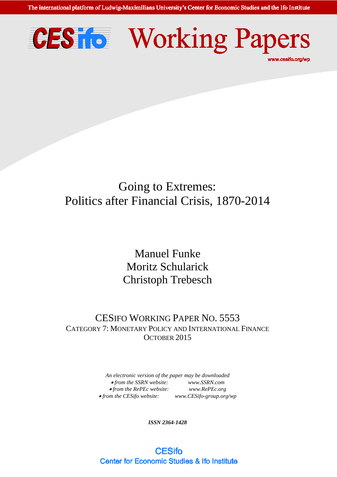The international platform of Ludwig-Maximilians University's Center for Economic Studies and the Ifo Institute





## Going to Extremes: Politics after Financial Crisis, 1870-2014

Manuel Funke Moritz Schularick Christoph Trebesch

## CESIFO WORKING PAPER NO. 5553 CATEGORY 7: MONETARY POLICY AND INTERNATIONAL FINANCE OCTOBER 2015

*An electronic version of the paper may be downloaded*  • *from the SSRN website: [www.SSRN.com](http://www.ssrn.com/)* • *from the RePEc website: [www.RePEc.org](http://www.repec.org/)*  $\bullet$  *from the CESifo website: [www.CESifo-group.org/wp](http://www.cesifo-group.de/)* 

*ISSN 2364-1428*

**CESifo Center for Economic Studies & Ifo Institute**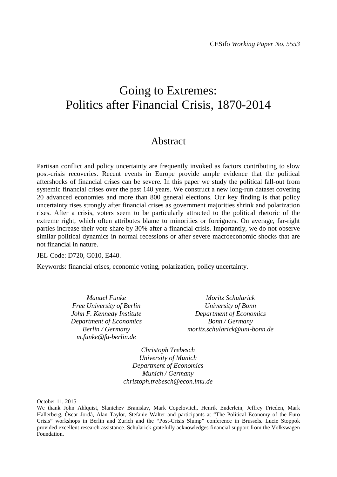## Going to Extremes: Politics after Financial Crisis, 1870-2014

## Abstract

Partisan conflict and policy uncertainty are frequently invoked as factors contributing to slow post-crisis recoveries. Recent events in Europe provide ample evidence that the political aftershocks of financial crises can be severe. In this paper we study the political fall-out from systemic financial crises over the past 140 years. We construct a new long-run dataset covering 20 advanced economies and more than 800 general elections. Our key finding is that policy uncertainty rises strongly after financial crises as government majorities shrink and polarization rises. After a crisis, voters seem to be particularly attracted to the political rhetoric of the extreme right, which often attributes blame to minorities or foreigners. On average, far-right parties increase their vote share by 30% after a financial crisis. Importantly, we do not observe similar political dynamics in normal recessions or after severe macroeconomic shocks that are not financial in nature.

JEL-Code: D720, G010, E440.

Keywords: financial crises, economic voting, polarization, policy uncertainty.

*Manuel Funke Free University of Berlin John F. Kennedy Institute Department of Economics Berlin / Germany m.funke@fu-berlin.de*

*Moritz Schularick University of Bonn Department of Economics Bonn / Germany moritz.schularick@uni-bonn.de*

*Christoph Trebesch University of Munich Department of Economics Munich / Germany christoph.trebesch@econ.lmu.de*

October 11, 2015

We thank John Ahlquist, Slantchev Branislav, Mark Copelovitch, Henrik Enderlein, Jeffrey Frieden, Mark Hallerberg, Òscar Jordà, Alan Taylor, Stefanie Walter and participants at "The Political Economy of the Euro Crisis" workshops in Berlin and Zurich and the "Post-Crisis Slump" conference in Brussels. Lucie Stoppok provided excellent research assistance. Schularick gratefully acknowledges financial support from the Volkswagen Foundation.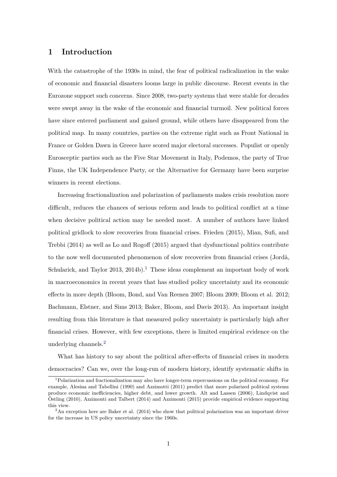#### **1 Introduction**

With the catastrophe of the 1930s in mind, the fear of political radicalization in the wake of economic and financial disasters looms large in public discourse. Recent events in the Eurozone support such concerns. Since 2008, two-party systems that were stable for decades were swept away in the wake of the economic and financial turmoil. New political forces have since entered parliament and gained ground, while others have disappeared from the political map. In many countries, parties on the extreme right such as Front National in France or Golden Dawn in Greece have scored major electoral successes. Populist or openly Eurosceptic parties such as the Five Star Movement in Italy, Podemos, the party of True Finns, the UK Independence Party, or the Alternative for Germany have been surprise winners in recent elections.

Increasing fractionalization and polarization of parliaments makes crisis resolution more difficult, reduces the chances of serious reform and leads to political conflict at a time when decisive political action may be needed most. A number of authors have linked political gridlock to slow recoveries from financial crises. Frieden (2015), Mian, Sufi, and Trebbi (2014) as well as Lo and Rogoff (2015) argued that dysfunctional politics contribute to the now well documented phenomenon of slow recoveries from financial crises (Jordà, Schularick, and Taylor  $2013$  $2013$  $2013$ ,  $2014b$ ).<sup>1</sup> These ideas complement an important body of work in macroeconomics in recent years that has studied policy uncertainty and its economic effects in more depth (Bloom, Bond, and Van Reenen 2007; Bloom 2009; Bloom et al. 2012; Bachmann, Elstner, and Sims 2013; Baker, Bloom, and Davis 2013). An important insight resulting from this literature is that measured policy uncertainty is particularly high after financial crises. However, with few exceptions, there is limited empirical evidence on the underlying channels.[2](#page-2-1)

What has history to say about the political after-effects of financial crises in modern democracies? Can we, over the long-run of modern history, identify systematic shifts in

<span id="page-2-0"></span><sup>1</sup>Polarization and fractionalization may also have longer-term repercussions on the political economy. For example, Alesina and Tabellini (1990) and Azzimotti (2011) predict that more polarized political systems produce economic inefficiencies, higher debt, and lower growth. Alt and Lassen (2006), Lindqvist and Ostling (2010), Azzimonti and Talbert (2014) and Azzimonti (2015) provide empirical evidence supporting ¨ this view.

<span id="page-2-1"></span><sup>&</sup>lt;sup>2</sup>An exception here are Baker et al. (2014) who show that political polarization was an important driver for the increase in US policy uncertainty since the 1960s.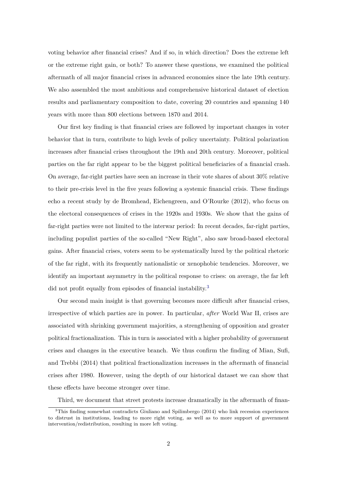voting behavior after financial crises? And if so, in which direction? Does the extreme left or the extreme right gain, or both? To answer these questions, we examined the political aftermath of all major financial crises in advanced economies since the late 19th century. We also assembled the most ambitious and comprehensive historical dataset of election results and parliamentary composition to date, covering 20 countries and spanning 140 years with more than 800 elections between 1870 and 2014.

Our first key finding is that financial crises are followed by important changes in voter behavior that in turn, contribute to high levels of policy uncertainty. Political polarization increases after financial crises throughout the 19th and 20th century. Moreover, political parties on the far right appear to be the biggest political beneficiaries of a financial crash. On average, far-right parties have seen an increase in their vote shares of about 30% relative to their pre-crisis level in the five years following a systemic financial crisis. These findings echo a recent study by de Bromhead, Eichengreen, and O'Rourke (2012), who focus on the electoral consequences of crises in the 1920s and 1930s. We show that the gains of far-right parties were not limited to the interwar period: In recent decades, far-right parties, including populist parties of the so-called "New Right", also saw broad-based electoral gains. After financial crises, voters seem to be systematically lured by the political rhetoric of the far right, with its frequently nationalistic or xenophobic tendencies. Moreover, we identify an important asymmetry in the political response to crises: on average, the far left did not profit equally from episodes of financial instability.<sup>[3](#page-3-0)</sup>

Our second main insight is that governing becomes more difficult after financial crises, irrespective of which parties are in power. In particular, *after* World War II, crises are associated with shrinking government majorities, a strengthening of opposition and greater political fractionalization. This in turn is associated with a higher probability of government crises and changes in the executive branch. We thus confirm the finding of Mian, Sufi, and Trebbi (2014) that political fractionalization increases in the aftermath of financial crises after 1980. However, using the depth of our historical dataset we can show that these effects have become stronger over time.

<span id="page-3-0"></span>Third, we document that street protests increase dramatically in the aftermath of finan-

<sup>3</sup>This finding somewhat contradicts Giuliano and Spilimbergo (2014) who link recession experiences to distrust in institutions, leading to more right voting, as well as to more support of government intervention/redistribution, resulting in more left voting.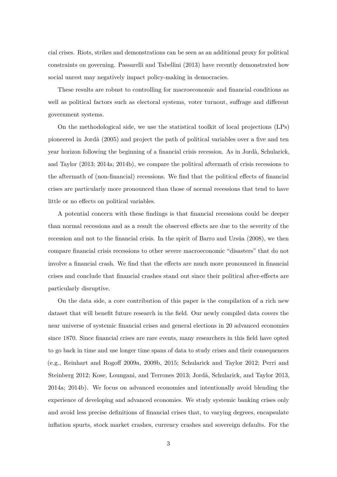cial crises. Riots, strikes and demonstrations can be seen as an additional proxy for political constraints on governing. Passarelli and Tabellini (2013) have recently demonstrated how social unrest may negatively impact policy-making in democracies.

These results are robust to controlling for macroeconomic and financial conditions as well as political factors such as electoral systems, voter turnout, suffrage and different government systems.

On the methodological side, we use the statistical toolkit of local projections (LPs) pioneered in Jord`a (2005) and project the path of political variables over a five and ten year horizon following the beginning of a financial crisis recession. As in Jordà, Schularick, and Taylor (2013; 2014a; 2014b), we compare the political aftermath of crisis recessions to the aftermath of (non-financial) recessions. We find that the political effects of financial crises are particularly more pronounced than those of normal recessions that tend to have little or no effects on political variables.

A potential concern with these findings is that financial recessions could be deeper than normal recessions and as a result the observed effects are due to the severity of the recession and not to the financial crisis. In the spirit of Barro and Ursúa (2008), we then compare financial crisis recessions to other severe macroeconomic "disasters" that do not involve a financial crash. We find that the effects are much more pronounced in financial crises and conclude that financial crashes stand out since their political after-effects are particularly disruptive.

On the data side, a core contribution of this paper is the compilation of a rich new dataset that will benefit future research in the field. Our newly compiled data covers the near universe of systemic financial crises and general elections in 20 advanced economies since 1870. Since financial crises are rare events, many researchers in this field have opted to go back in time and use longer time spans of data to study crises and their consequences (e.g., Reinhart and Rogoff 2009a, 2009b, 2015; Schularick and Taylor 2012; Perri and Steinberg 2012; Kose, Loungani, and Terrones 2013; Jordà, Schularick, and Taylor 2013, 2014a; 2014b). We focus on advanced economies and intentionally avoid blending the experience of developing and advanced economies. We study systemic banking crises only and avoid less precise definitions of financial crises that, to varying degrees, encapsulate inflation spurts, stock market crashes, currency crashes and sovereign defaults. For the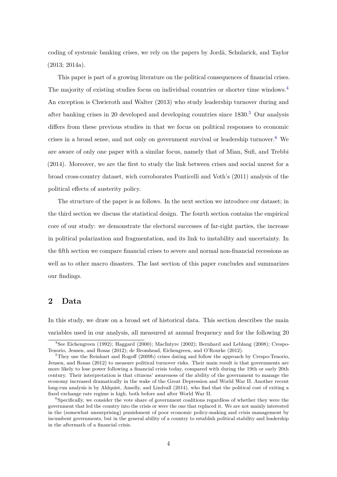coding of systemic banking crises, we rely on the papers by Jordà, Schularick, and Taylor (2013; 2014a).

This paper is part of a growing literature on the political consequences of financial crises. The majority of existing studies focus on individual countries or shorter time windows.[4](#page-5-0) An exception is Chwieroth and Walter (2013) who study leadership turnover during and after banking crises in 20 developed and developing countries since  $1830<sup>5</sup>$  $1830<sup>5</sup>$  $1830<sup>5</sup>$  Our analysis differs from these previous studies in that we focus on political responses to economic crises in a broad sense, and not only on government survival or leadership turnover.[6](#page-5-2) We are aware of only one paper with a similar focus, namely that of Mian, Sufi, and Trebbi (2014). Moreover, we are the first to study the link between crises and social unrest for a broad cross-country dataset, wich corroborates Ponticelli and Voth's (2011) analysis of the political effects of austerity policy.

The structure of the paper is as follows. In the next section we introduce our dataset; in the third section we discuss the statistical design. The fourth section contains the empirical core of our study: we demonstrate the electoral successes of far-right parties, the increase in political polarization and fragmentation, and its link to instability and uncertainty. In the fifth section we compare financial crises to severe and normal non-financial recessions as well as to other macro disasters. The last section of this paper concludes and summarizes our findings.

#### **2 Data**

In this study, we draw on a broad set of historical data. This section describes the main variables used in our analysis, all measured at annual frequency and for the following 20

<span id="page-5-0"></span><sup>4</sup>See Eichengreen (1992); Haggard (2000); MacIntyre (2002); Bernhard and Leblang (2008); Crespo-Tenorio, Jensen, and Rosas (2012); de Bromhead, Eichengreen, and O'Rourke (2012).

<span id="page-5-1"></span><sup>&</sup>lt;sup>5</sup>They use the Reinhart and Rogoff (2009b) crises dating and follow the approach by Crespo-Tenorio, Jensen, and Rosas (2012) to measure political turnover risks. Their main result is that governments are more likely to lose power following a financial crisis today, compared with during the 19th or early 20th century. Their interpretation is that citizens' awareness of the ability of the government to manage the economy increased dramatically in the wake of the Great Depression and World War II. Another recent long-run analysis is by Ahlquist, Anselly, and Lindvall (2014), who find that the political cost of exiting a fixed exchange rate regime is high, both before and after World War II.

<span id="page-5-2"></span><sup>&</sup>lt;sup>6</sup>Specifically, we consider the vote share of government coalitions regardless of whether they were the government that led the country into the crisis or were the one that replaced it. We are not mainly interested in the (somewhat unsurprising) punishment of poor economic policy-making and crisis management by incumbent governments, but in the general ability of a country to establish political stability and leadership in the aftermath of a financial crisis.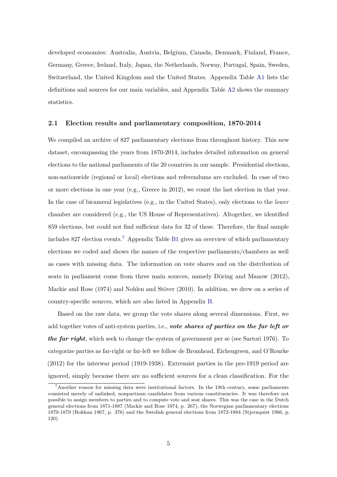developed economies: Australia, Austria, Belgium, Canada, Denmark, Finland, France, Germany, Greece, Ireland, Italy, Japan, the Netherlands, Norway, Portugal, Spain, Sweden, Switzerland, the United Kingdom and the United States. Appendix Table [A1](#page-42-0) lists the definitions and sources for our main variables, and Appendix Table [A2](#page-43-0) shows the summary statistics.

#### **2.1 Election results and parliamentary composition, 1870-2014**

We compiled an archive of 827 parliamentary elections from throughout history. This new dataset, encompassing the years from 1870-2014, includes detailed information on general elections to the national parliaments of the 20 countries in our sample. Presidential elections, non-nationwide (regional or local) elections and referendums are excluded. In case of two or more elections in one year (e.g., Greece in 2012), we count the last election in that year. In the case of bicameral legislatives (e.g., in the United States), only elections to the *lower* chamber are considered (e.g., the US House of Representatives). Altogether, we identified 859 elections, but could not find sufficient data for 32 of these. Therefore, the final sample includes 827 election events.[7](#page-6-0) Appendix Table [B1](#page-45-0) gives an overview of which parliamentary elections we coded and shows the names of the respective parliaments/chambers as well as cases with missing data. The information on vote shares and on the distribution of seats in parliament come from three main sources, namely Döring and Manow  $(2012)$ , Mackie and Rose  $(1974)$  and Nohlen and Stöver  $(2010)$ . In addition, we drew on a series of country-specific sources, which are also listed in Appendix [B.](#page-44-0)

Based on the raw data, we group the vote shares along several dimensions. First, we add together votes of anti-system parties, i.e., *vote shares of parties on the far left or the far right*, which seek to change the system of government per se (see Sartori 1976). To categorize parties as far-right or far-left we follow de Bromhead, Eichengreen, and O'Rourke (2012) for the interwar period (1919-1938). Extremist parties in the pre-1919 period are ignored, simply because there are no sufficient sources for a clean classification. For the

<span id="page-6-0"></span> $7$ Another reason for missing data were institutional factors. In the 19th century, some parliaments consisted merely of unlinked, nonpartisan candidates from various constituencies. It was therefore not possible to assign members to parties and to compute vote and seat shares. This was the case in the Dutch general elections from 1871-1887 (Mackie and Rose 1974, p. 267), the Norwegian parliamentary elections 1870-1879 (Rokkan 1967, p. 376) and the Swedish general elections from 1872-1884 (Stjernquist 1966, p. 120).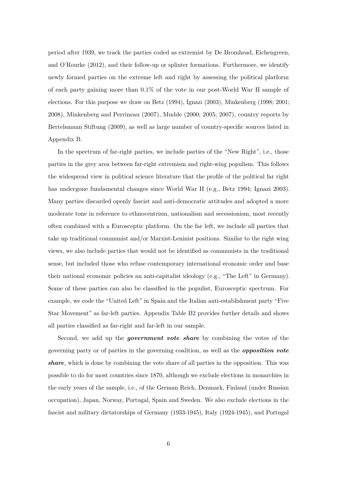period after 1939, we track the parties coded as extremist by De Bromhead, Eichengreen, and O'Rourke (2012), and their follow-up or splinter formations. Furthermore, we identify newly formed parties on the extreme left and right by assessing the political platform of each party gaining more than 0.1% of the vote in our post-World War II sample of elections. For this purpose we draw on Betz (1994), Ignazi (2003), Minkenberg (1998; 2001; 2008), Minkenberg and Perrineau (2007), Mudde (2000; 2005; 2007), country reports by Bertelsmann Stiftung (2009), as well as large number of country-specific sources listed in Appendix [B.](#page-44-0)

In the spectrum of far-right parties, we include parties of the "New Right", i.e., those parties in the grey area between far-right extremism and right-wing populism. This follows the widespread view in political science literature that the profile of the political far right has undergone fundamental changes since World War II (e.g., Betz 1994; Ignazi 2003). Many parties discarded openly fascist and anti-democratic attitudes and adopted a more moderate tone in reference to ethnocentrism, nationalism and secessionism, most recently often combined with a Eurosceptic platform. On the far left, we include all parties that take up traditional communist and/or Marxist-Leninist positions. Similar to the right wing views, we also include parties that would not be identified as communists in the traditional sense, but included those who refuse contemporary international economic order and base their national economic policies an anti-capitalist ideology (e.g., "The Left" in Germany). Some of these parties can also be classified in the populist, Eurosceptic spectrum. For example, we code the "United Left" in Spain and the Italian anti-establishment party "Five Star Movement" as far-left parties. Appendix Table [B2](#page-50-0) provides further details and shows all parties classified as far-right and far-left in our sample.

Second, we add up the *government vote share* by combining the votes of the governing party or of parties in the governing coalition, as well as the *opposition vote share*, which is done by combining the vote share of all parties in the opposition. This was possible to do for most countries since 1870, although we exclude elections in monarchies in the early years of the sample, i.e., of the German Reich, Denmark, Finland (under Russian occupation), Japan, Norway, Portugal, Spain and Sweden. We also exclude elections in the fascist and military dictatorships of Germany (1933-1945), Italy (1924-1945), and Portugal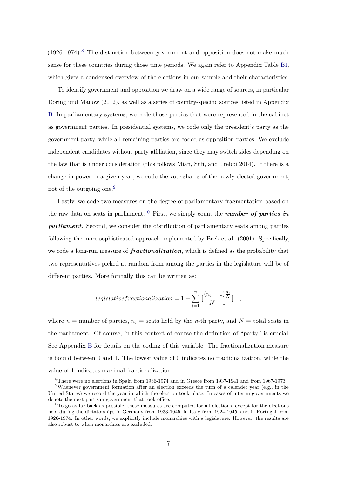$(1926-1974).<sup>8</sup>$  $(1926-1974).<sup>8</sup>$  $(1926-1974).<sup>8</sup>$  The distinction between government and opposition does not make much sense for these countries during those time periods. We again refer to Appendix Table [B1,](#page-45-0) which gives a condensed overview of the elections in our sample and their characteristics.

To identify government and opposition we draw on a wide range of sources, in particular Döring und Manow (2012), as well as a series of country-specific sources listed in Appendix [B.](#page-44-0) In parliamentary systems, we code those parties that were represented in the cabinet as government parties. In presidential systems, we code only the president's party as the government party, while all remaining parties are coded as opposition parties. We exclude independent candidates without party affiliation, since they may switch sides depending on the law that is under consideration (this follows Mian, Sufi, and Trebbi 2014). If there is a change in power in a given year, we code the vote shares of the newly elected government, not of the outgoing one.<sup>[9](#page-8-1)</sup>

Lastly, we code two measures on the degree of parliamentary fragmentation based on the raw data on seats in parliament.<sup>[10](#page-8-2)</sup> First, we simply count the *number of parties in parliament*. Second, we consider the distribution of parliamentary seats among parties following the more sophisticated approach implemented by Beck et al. (2001). Specifically, we code a long-run measure of *fractionalization*, which is defined as the probability that two representatives picked at random from among the parties in the legislature will be of different parties. More formally this can be written as:

$$
legislative fractionalization = 1 - \sum_{i=1}^{n} \left[ \frac{(n_i - 1)\frac{n_i}{N}}{N - 1} \right] ,
$$

where  $n =$  number of parties,  $n_i =$  seats held by the *n*-th party, and  $N =$  total seats in the parliament. Of course, in this context of course the definition of "party" is crucial. See Appendix [B](#page-44-0) for details on the coding of this variable. The fractionalization measure is bound between 0 and 1. The lowest value of 0 indicates no fractionalization, while the value of 1 indicates maximal fractionalization.

<span id="page-8-1"></span><span id="page-8-0"></span><sup>8</sup>There were no elections in Spain from 1936-1974 and in Greece from 1937-1941 and from 1967-1973.

<sup>&</sup>lt;sup>9</sup>Whenever government formation after an election exceeds the turn of a calender year (e.g., in the United States) we record the year in which the election took place. In cases of interim governments we denote the next partisan government that took office.

<span id="page-8-2"></span> $10$ To go as far back as possible, these measures are computed for all elections, except for the elections held during the dictatorships in Germany from 1933-1945, in Italy from 1924-1945, and in Portugal from 1926-1974. In other words, we explicitly include monarchies with a legislature. However, the results are also robust to when monarchies are excluded.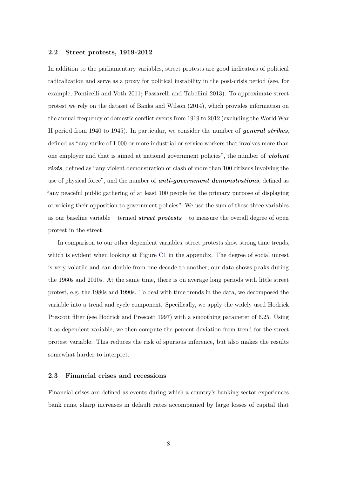#### **2.2 Street protests, 1919-2012**

In addition to the parliamentary variables, street protests are good indicators of political radicalization and serve as a proxy for political instability in the post-crisis period (see, for example, Ponticelli and Voth 2011; Passarelli and Tabellini 2013). To approximate street protest we rely on the dataset of Banks and Wilson (2014), which provides information on the annual frequency of domestic conflict events from 1919 to 2012 (excluding the World War II period from 1940 to 1945). In particular, we consider the number of *general strikes*, defined as "any strike of 1,000 or more industrial or service workers that involves more than one employer and that is aimed at national government policies", the number of *violent riots*, defined as "any violent demonstration or clash of more than 100 citizens involving the use of physical force", and the number of *anti-government demonstrations*, defined as "any peaceful public gathering of at least 100 people for the primary purpose of displaying or voicing their opposition to government policies". We use the sum of these three variables as our baseline variable – termed *street protests* – to measure the overall degree of open protest in the street.

In comparison to our other dependent variables, street protests show strong time trends, which is evident when looking at Figure [C1](#page-53-0) in the appendix. The degree of social unrest is very volatile and can double from one decade to another; our data shows peaks during the 1960s and 2010s. At the same time, there is on average long periods with little street protest, e.g. the 1980s and 1990s. To deal with time trends in the data, we decomposed the variable into a trend and cycle component. Specifically, we apply the widely used Hodrick Prescott filter (see Hodrick and Prescott 1997) with a smoothing parameter of 6.25. Using it as dependent variable, we then compute the percent deviation from trend for the street protest variable. This reduces the risk of spurious inference, but also makes the results somewhat harder to interpret.

#### **2.3 Financial crises and recessions**

Financial crises are defined as events during which a country's banking sector experiences bank runs, sharp increases in default rates accompanied by large losses of capital that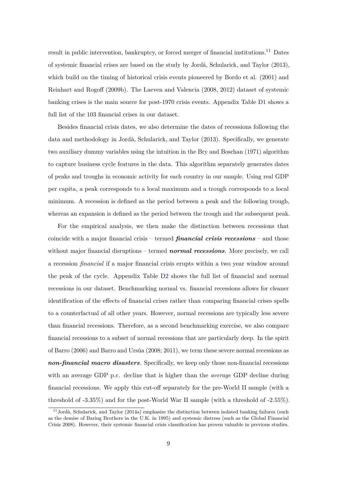result in public intervention, bankruptcy, or forced merger of financial institutions.<sup>[11](#page-10-0)</sup> Dates of systemic financial crises are based on the study by Jordà, Schularick, and Taylor (2013), which build on the timing of historical crisis events pioneered by Bordo et al. (2001) and Reinhart and Rogoff (2009b). The Laeven and Valencia (2008, 2012) dataset of systemic banking crises is the main source for post-1970 crisis events. Appendix Table [D1](#page-54-0) shows a full list of the 103 financial crises in our dataset.

Besides financial crisis dates, we also determine the dates of recessions following the data and methodology in Jordà, Schularick, and Taylor (2013). Specifically, we generate two auxiliary dummy variables using the intuition in the Bry and Boschan (1971) algorithm to capture business cycle features in the data. This algorithm separately generates dates of peaks and troughs in economic activity for each country in our sample. Using real GDP per capita, a peak corresponds to a local maximum and a trough corresponds to a local minimum. A recession is defined as the period between a peak and the following trough, whereas an expansion is defined as the period between the trough and the subsequent peak.

For the empirical analysis, we then make the distinction between recessions that coincide with a major financial crisis – termed *financial crisis recessions* – and those without major financial disruptions – termed *normal recessions*. More precisely, we call a recession *financial* if a major financial crisis erupts within a two year window around the peak of the cycle. Appendix Table [D2](#page-55-0) shows the full list of financial and normal recessions in our dataset. Benchmarking normal vs. financial recessions allows for cleaner identification of the effects of financial crises rather than comparing financial crises spells to a counterfactual of all other years. However, normal recessions are typically less severe than financial recessions. Therefore, as a second benchmarking exercise, we also compare financial recessions to a subset of normal recessions that are particularly deep. In the spirit of Barro  $(2006)$  and Barro and Ursúa  $(2008; 2011)$ , we term these severe normal recessions as *non-financial macro disasters*. Specifically, we keep only those non-financial recessions with an average GDP p.c. decline that is higher than the *average* GDP decline during financial recessions. We apply this cut-off separately for the pre-World II sample (with a threshold of -3.35%) and for the post-World War II sample (with a threshold of -2.55%).

<span id="page-10-0"></span> $11$ Jordà, Schularick, and Taylor (2014a) emphasize the distinction between isolated banking failures (such as the demise of Baring Brothers in the U.K. in 1995) and systemic distress (such as the Global Financial Crisis 2008). However, their systemic financial crisis classification has proven valuable in previous studies.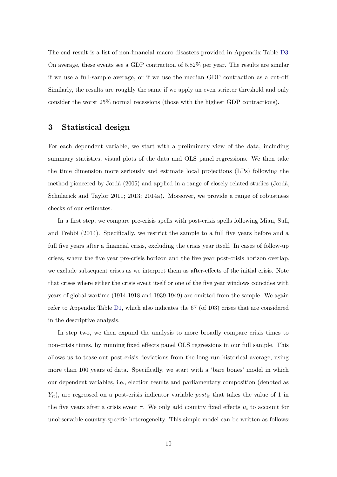The end result is a list of non-financial macro disasters provided in Appendix Table [D3.](#page-56-0) On average, these events see a GDP contraction of 5.82% per year. The results are similar if we use a full-sample average, or if we use the median GDP contraction as a cut-off. Similarly, the results are roughly the same if we apply an even stricter threshold and only consider the worst 25% normal recessions (those with the highest GDP contractions).

#### **3 Statistical design**

For each dependent variable, we start with a preliminary view of the data, including summary statistics, visual plots of the data and OLS panel regressions. We then take the time dimension more seriously and estimate local projections (LPs) following the method pioneered by Jordà (2005) and applied in a range of closely related studies (Jordà, Schularick and Taylor 2011; 2013; 2014a). Moreover, we provide a range of robustness checks of our estimates.

In a first step, we compare pre-crisis spells with post-crisis spells following Mian, Sufi, and Trebbi (2014). Specifically, we restrict the sample to a full five years before and a full five years after a financial crisis, excluding the crisis year itself. In cases of follow-up crises, where the five year pre-crisis horizon and the five year post-crisis horizon overlap, we exclude subsequent crises as we interpret them as after-effects of the initial crisis. Note that crises where either the crisis event itself or one of the five year windows coincides with years of global wartime (1914-1918 and 1939-1949) are omitted from the sample. We again refer to Appendix Table [D1,](#page-54-0) which also indicates the 67 (of 103) crises that are considered in the descriptive analysis.

In step two, we then expand the analysis to more broadly compare crisis times to non-crisis times, by running fixed effects panel OLS regressions in our full sample. This allows us to tease out post-crisis deviations from the long-run historical average, using more than 100 years of data. Specifically, we start with a 'bare bones' model in which our dependent variables, i.e., election results and parliamentary composition (denoted as *Yit*), are regressed on a post-crisis indicator variable *postit* that takes the value of 1 in the five years after a crisis event  $\tau$ . We only add country fixed effects  $\mu_i$  to account for unobservable country-specific heterogeneity. This simple model can be written as follows: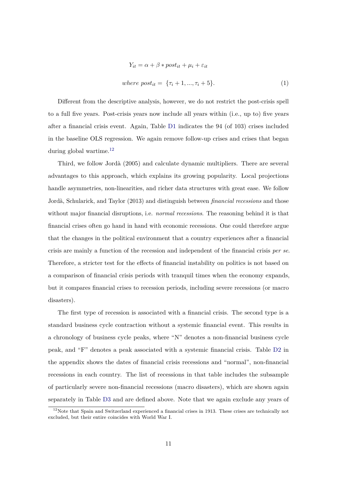$$
Y_{it} = \alpha + \beta * post_{it} + \mu_i + \varepsilon_{it}
$$
  
where  $post_{it} = \{\tau_i + 1, ..., \tau_i + 5\}.$  (1)

Different from the descriptive analysis, however, we do not restrict the post-crisis spell to a full five years. Post-crisis years now include all years within (i.e., up to) five years after a financial crisis event. Again, Table [D1](#page-54-0) indicates the 94 (of 103) crises included in the baseline OLS regression. We again remove follow-up crises and crises that began during global wartime.[12](#page-12-0)

Third, we follow Jordà (2005) and calculate dynamic multipliers. There are several advantages to this approach, which explains its growing popularity. Local projections handle asymmetries, non-linearities, and richer data structures with great ease. We follow Jord`a, Schularick, and Taylor (2013) and distinguish between *financial recessions* and those without major financial disruptions, i.e. *normal recessions*. The reasoning behind it is that financial crises often go hand in hand with economic recessions. One could therefore argue that the changes in the political environment that a country experiences after a financial crisis are mainly a function of the recession and independent of the financial crisis *per se*. Therefore, a stricter test for the effects of financial instability on politics is not based on a comparison of financial crisis periods with tranquil times when the economy expands, but it compares financial crises to recession periods, including severe recessions (or macro disasters).

The first type of recession is associated with a financial crisis. The second type is a standard business cycle contraction without a systemic financial event. This results in a chronology of business cycle peaks, where "N" denotes a non-financial business cycle peak, and "F" denotes a peak associated with a systemic financial crisis. Table [D2](#page-55-0) in the appendix shows the dates of financial crisis recessions and "normal", non-financial recessions in each country. The list of recessions in that table includes the subsample of particularly severe non-financial recessions (macro disasters), which are shown again separately in Table [D3](#page-56-0) and are defined above. Note that we again exclude any years of

<span id="page-12-0"></span> $12$ Note that Spain and Switzerland experienced a financial crises in 1913. These crises are technically not excluded, but their entire coincides with World War I.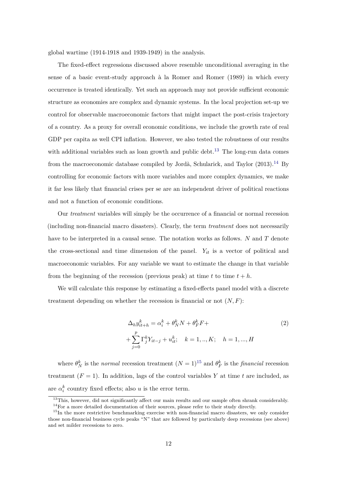global wartime (1914-1918 and 1939-1949) in the analysis.

The fixed-effect regressions discussed above resemble unconditional averaging in the sense of a basic event-study approach à la Romer and Romer (1989) in which every occurrence is treated identically. Yet such an approach may not provide sufficient economic structure as economies are complex and dynamic systems. In the local projection set-up we control for observable macroeconomic factors that might impact the post-crisis trajectory of a country. As a proxy for overall economic conditions, we include the growth rate of real GDP per capita as well CPI inflation. However, we also tested the robustness of our results with additional variables such as loan growth and public debt.<sup>[13](#page-13-0)</sup> The long-run data comes from the macroeconomic database compiled by Jordà, Schularick, and Taylor  $(2013).<sup>14</sup>$  $(2013).<sup>14</sup>$  $(2013).<sup>14</sup>$  By controlling for economic factors with more variables and more complex dynamics, we make it far less likely that financial crises per se are an independent driver of political reactions and not a function of economic conditions.

Our *treatment* variables will simply be the occurrence of a financial or normal recession (including non-financial macro disasters). Clearly, the term *treatment* does not necessarily have to be interpreted in a causal sense. The notation works as follows. *N* and *T* denote the cross-sectional and time dimension of the panel.  $Y_{it}$  is a vector of political and macroeconomic variables. For any variable we want to estimate the change in that variable from the beginning of the recession (previous peak) at time  $t$  to time  $t + h$ .

We will calculate this response by estimating a fixed-effects panel model with a discrete treatment depending on whether the recession is financial or not  $(N, F)$ :

$$
\Delta_h y_{it+h}^k = \alpha_i^k + \theta_N^k N + \theta_F^k F +
$$
  
+ 
$$
\sum_{j=0}^p \Gamma_j^k Y_{it-j} + u_{it}^k; \quad k = 1, ..., K; \quad h = 1, ..., H
$$
 (2)

where  $\theta_N^k$  is the *normal* recession treatment  $(N = 1)^{15}$  $(N = 1)^{15}$  $(N = 1)^{15}$  and  $\theta_F^k$  is the *financial* recession treatment  $(F = 1)$ . In addition, lags of the control variables Y at time t are included, as are  $\alpha_i^k$  country fixed effects; also *u* is the error term.

<span id="page-13-1"></span><span id="page-13-0"></span> $13$ This, however, did not significantly affect our main results and our sample often shrank considerably. <sup>14</sup>For a more detailed documentation of their sources, please refer to their study directly.

<span id="page-13-2"></span><sup>&</sup>lt;sup>15</sup>In the more restrictive benchmarking exercise with non-financial macro disasters, we only consider those non-financial business cycle peaks "N" that are followed by particularly deep recessions (see above) and set milder recessions to zero.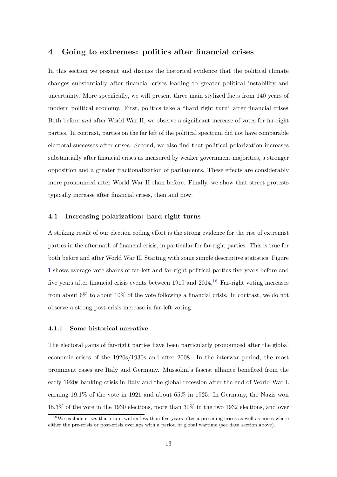#### <span id="page-14-1"></span>**4 Going to extremes: politics after financial crises**

In this section we present and discuss the historical evidence that the political climate changes substantially after financial crises leading to greater political instability and uncertainty. More specifically, we will present three main stylized facts from 140 years of modern political economy. First, politics take a "hard right turn" after financial crises. Both before *and* after World War II, we observe a significant increase of votes for far-right parties. In contrast, parties on the far left of the political spectrum did not have comparable electoral successes after crises. Second, we also find that political polarization increases substantially after financial crises as measured by weaker government majorities, a stronger opposition and a greater fractionalization of parliaments. These effects are considerably more pronounced after World War II than before. Finally, we show that street protests typically increase after financial crises, then and now.

#### **4.1 Increasing polarization: hard right turns**

A striking result of our election coding effort is the strong evidence for the rise of extremist parties in the aftermath of financial crisis, in particular for far-right parties. This is true for both before and after World War II. Starting with some simple descriptive statistics, Figure [1](#page-15-0) shows average vote shares of far-left and far-right political parties five years before and five years after financial crisis events between 1919 and  $2014$ .<sup>[16](#page-14-0)</sup> Far-right voting increases from about 6% to about 10% of the vote following a financial crisis. In contrast, we do not observe a strong post-crisis increase in far-left voting.

#### **4.1.1 Some historical narrative**

The electoral gains of far-right parties have been particularly pronounced after the global economic crises of the 1920s/1930s and after 2008. In the interwar period, the most prominent cases are Italy and Germany. Mussolini's fascist alliance benefited from the early 1920s banking crisis in Italy and the global recession after the end of World War I, earning 19.1% of the vote in 1921 and about 65% in 1925. In Germany, the Nazis won 18.3% of the vote in the 1930 elections, more than 30% in the two 1932 elections, and over

<span id="page-14-0"></span> $16\,\text{We exclude crises that erupt within less than five years after a preceding crises as well as crises where}$ either the pre-crisis or post-crisis overlaps with a period of global wartime (see data section above).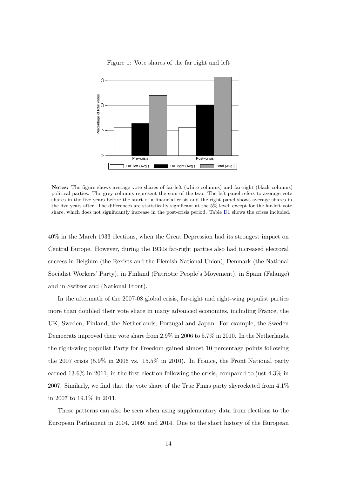<span id="page-15-0"></span>

Figure 1: Vote shares of the far right and left

**Notes:** The figure shows average vote shares of far-left (white columns) and far-right (black columns) political parties. The grey columns represent the sum of the two. The left panel refers to average vote shares in the five years before the start of a financial crisis and the right panel shows average shares in the five years after. The differences are statistically significant at the 5% level, except for the far-left vote share, which does not significantly increase in the post-crisis period. Table [D1](#page-54-0) shows the crises included.

40% in the March 1933 elections, when the Great Depression had its strongest impact on Central Europe. However, during the 1930s far-right parties also had increased electoral success in Belgium (the Rexists and the Flemish National Union), Denmark (the National Socialist Workers' Party), in Finland (Patriotic People's Movement), in Spain (Falange) and in Switzerland (National Front).

In the aftermath of the 2007-08 global crisis, far-right and right-wing populist parties more than doubled their vote share in many advanced economies, including France, the UK, Sweden, Finland, the Netherlands, Portugal and Japan. For example, the Sweden Democrats improved their vote share from 2.9% in 2006 to 5.7% in 2010. In the Netherlands, the right-wing populist Party for Freedom gained almost 10 percentage points following the 2007 crisis (5.9% in 2006 vs. 15.5% in 2010). In France, the Front National party earned 13.6% in 2011, in the first election following the crisis, compared to just 4.3% in 2007. Similarly, we find that the vote share of the True Finns party skyrocketed from 4.1% in 2007 to 19.1% in 2011.

These patterns can also be seen when using supplementary data from elections to the European Parliament in 2004, 2009, and 2014. Due to the short history of the European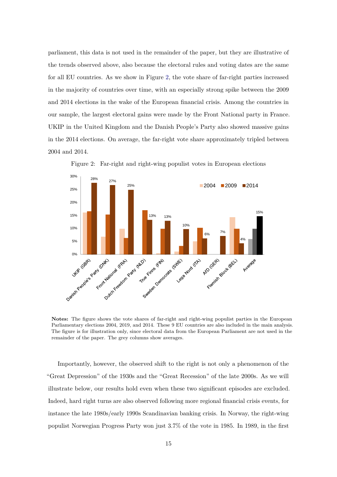parliament, this data is not used in the remainder of the paper, but they are illustrative of the trends observed above, also because the electoral rules and voting dates are the same for all EU countries. As we show in Figure [2,](#page-16-0) the vote share of far-right parties increased in the majority of countries over time, with an especially strong spike between the 2009 and 2014 elections in the wake of the European financial crisis. Among the countries in our sample, the largest electoral gains were made by the Front National party in France. UKIP in the United Kingdom and the Danish People's Party also showed massive gains in the 2014 elections. On average, the far-right vote share approximately tripled between 2004 and 2014.

<span id="page-16-0"></span>

Figure 2: Far-right and right-wing populist votes in European elections

**Notes:** The figure shows the vote shares of far-right and right-wing populist parties in the European Parliamentary elections 2004, 2019, and 2014. These 9 EU countries are also included in the main analysis. The figure is for illustration only, since electoral data from the European Parliament are not used in the remainder of the paper. The grey columns show averages.

Importantly, however, the observed shift to the right is not only a phenomenon of the "Great Depression" of the 1930s and the "Great Recession" of the late 2000s. As we will illustrate below, our results hold even when these two significant episodes are excluded. Indeed, hard right turns are also observed following more regional financial crisis events, for instance the late 1980s/early 1990s Scandinavian banking crisis. In Norway, the right-wing populist Norwegian Progress Party won just 3.7% of the vote in 1985. In 1989, in the first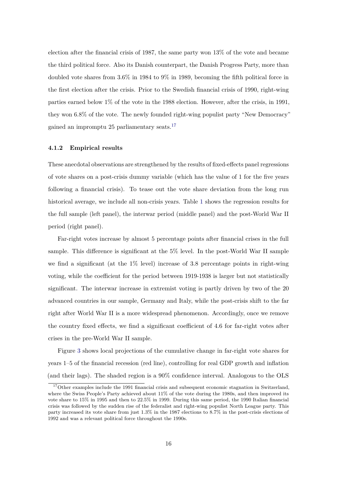election after the financial crisis of 1987, the same party won 13% of the vote and became the third political force. Also its Danish counterpart, the Danish Progress Party, more than doubled vote shares from 3.6% in 1984 to 9% in 1989, becoming the fifth political force in the first election after the crisis. Prior to the Swedish financial crisis of 1990, right-wing parties earned below 1% of the vote in the 1988 election. However, after the crisis, in 1991, they won 6.8% of the vote. The newly founded right-wing populist party "New Democracy" gained an impromptu $25$  parliamentary seats.  $^{17}$  $^{17}$  $^{17}$ 

#### **4.1.2 Empirical results**

These anecdotal observations are strengthened by the results of fixed-effects panel regressions of vote shares on a post-crisis dummy variable (which has the value of 1 for the five years following a financial crisis). To tease out the vote share deviation from the long run historical average, we include all non-crisis years. Table [1](#page-18-0) shows the regression results for the full sample (left panel), the interwar period (middle panel) and the post-World War II period (right panel).

Far-right votes increase by almost 5 percentage points after financial crises in the full sample. This difference is significant at the 5% level. In the post-World War II sample we find a significant (at the  $1\%$  level) increase of 3.8 percentage points in right-wing voting, while the coefficient for the period between 1919-1938 is larger but not statistically significant. The interwar increase in extremist voting is partly driven by two of the 20 advanced countries in our sample, Germany and Italy, while the post-crisis shift to the far right after World War II is a more widespread phenomenon. Accordingly, once we remove the country fixed effects, we find a significant coefficient of 4.6 for far-right votes after crises in the pre-World War II sample.

Figure [3](#page-19-0) shows local projections of the cumulative change in far-right vote shares for years 1–5 of the financial recession (red line), controlling for real GDP growth and inflation (and their lags). The shaded region is a 90% confidence interval. Analogous to the OLS

<span id="page-17-0"></span><sup>&</sup>lt;sup>17</sup>Other examples include the 1991 financial crisis and subsequent economic stagnation in Switzerland, where the Swiss People's Party achieved about 11% of the vote during the 1980s, and then improved its vote share to 15% in 1995 and then to 22.5% in 1999. During this same period, the 1990 Italian financial crisis was followed by the sudden rise of the federalist and right-wing populist North League party. This party increased its vote share from just 1.3% in the 1987 elections to 8.7% in the post-crisis elections of 1992 and was a relevant political force throughout the 1990s.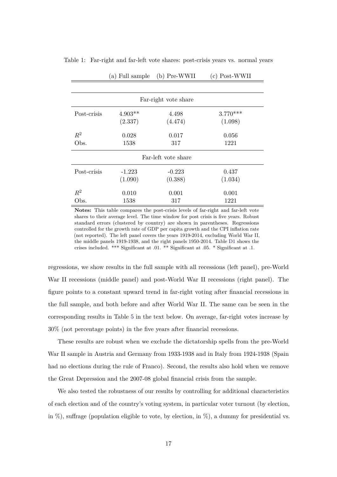| Far-right vote share |           |                     |            |  |  |  |  |  |  |  |
|----------------------|-----------|---------------------|------------|--|--|--|--|--|--|--|
| Post-crisis          | $4.903**$ | 4.498               | $3.770***$ |  |  |  |  |  |  |  |
|                      | (2.337)   | (4.474)             | (1.098)    |  |  |  |  |  |  |  |
| $R^2$                | 0.028     | 0.017               | 0.056      |  |  |  |  |  |  |  |
| Obs.                 | 1538      | 317                 | 1221       |  |  |  |  |  |  |  |
|                      |           | Far-left vote share |            |  |  |  |  |  |  |  |
| Post-crisis          | $-1.223$  | $-0.223$            | 0.437      |  |  |  |  |  |  |  |
|                      | (1.090)   | (0.388)             | (1.034)    |  |  |  |  |  |  |  |
| $R^2$                | 0.010     | 0.001               | 0.001      |  |  |  |  |  |  |  |
| Obs.                 | 1538      | 317                 | 1221       |  |  |  |  |  |  |  |

<span id="page-18-0"></span>Table 1: Far-right and far-left vote shares: post-crisis years vs. normal years

(a) Full sample (b) Pre-WWII (c) Post-WWII

**Notes:** This table compares the post-crisis levels of far-right and far-left vote shares to their average level. The time window for post crisis is five years. Robust standard errors (clustered by country) are shown in parentheses. Regressions controlled for the growth rate of GDP per capita growth and the CPI inflation rate (not reported). The left panel covers the years 1919-2014, excluding World War II, the middle panels 1919-1938, and the right panels 1950-2014. Table [D1](#page-54-0) shows the crises included. \*\*\* Significant at .01. \*\* Significant at .05. \* Significant at .1.

regressions, we show results in the full sample with all recessions (left panel), pre-World War II recessions (middle panel) and post-World War II recessions (right panel). The figure points to a constant upward trend in far-right voting after financial recessions in the full sample, and both before and after World War II. The same can be seen in the corresponding results in Table [5](#page-33-0) in the text below. On average, far-right votes increase by 30% (not percentage points) in the five years after financial recessions.

These results are robust when we exclude the dictatorship spells from the pre-World War II sample in Austria and Germany from 1933-1938 and in Italy from 1924-1938 (Spain had no elections during the rule of Franco). Second, the results also hold when we remove the Great Depression and the 2007-08 global financial crisis from the sample.

We also tested the robustness of our results by controlling for additional characteristics of each election and of the country's voting system, in particular voter turnout (by election, in  $\%$ ), suffrage (population eligible to vote, by election, in  $\%$ ), a dummy for presidential vs.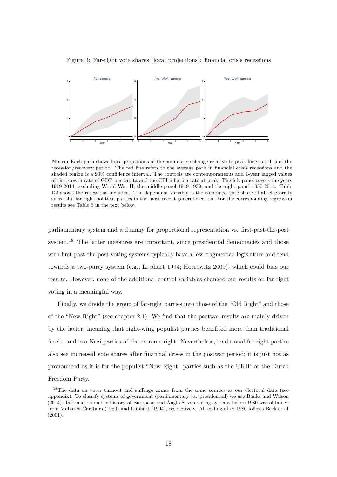

<span id="page-19-0"></span>Figure 3: Far-right vote shares (local projections): financial crisis recessions

**Notes:** Each path shows local projections of the cumulative change relative to peak for years 1–5 of the recession/recovery period. The red line refers to the average path in financial crisis recessions and the shaded region is a 90% confidence interval. The controls are contemporaneous and 1-year lagged values of the growth rate of GDP per capita and the CPI inflation rate at peak. The left panel covers the years 1919-2014, excluding World War II, the middle panel 1919-1938, and the right panel 1950-2014. Table [D2](#page-55-0) shows the recessions included. The dependent variable is the combined vote share of all electorally successful far-right political parties in the most recent general election. For the corresponding regression results see Table [5](#page-33-0) in the text below.

parliamentary system and a dummy for proportional representation vs. first-past-the-post system.<sup>[18](#page-19-1)</sup> The latter measures are important, since presidential democracies and those with first-past-the-post voting systems typically have a less fragmented legislature and tend towards a two-party system (e.g., Lijphart 1994; Horrowitz 2009), which could bias our results. However, none of the additional control variables changed our results on far-right voting in a meaningful way.

Finally, we divide the group of far-right parties into those of the "Old Right" and those of the "New Right" (see chapter 2.1). We find that the postwar results are mainly driven by the latter, meaning that right-wing populist parties benefited more than traditional fascist and neo-Nazi parties of the extreme right. Nevertheless, traditional far-right parties also see increased vote shares after financial crises in the postwar period; it is just not as pronounced as it is for the populist "New Right" parties such as the UKIP or the Dutch Freedom Party.

<span id="page-19-1"></span><sup>&</sup>lt;sup>18</sup>The data on voter turnout and suffrage comes from the same sources as our electoral data (see appendix). To classify systems of government (parliamentary vs. presidential) we use Banks and Wilson (2014). Information on the history of European and Anglo-Saxon voting systems before 1980 was obtained from McLaren Carstairs (1980) and Ljiphart (1994), respectively. All coding after 1980 follows Beck et al. (2001).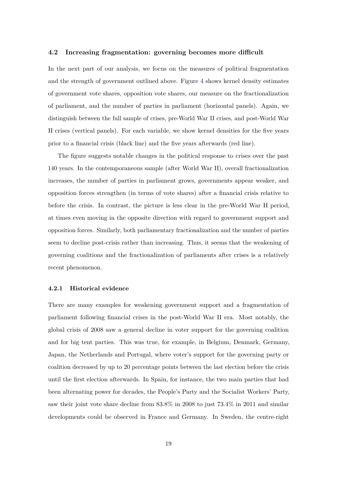#### **4.2 Increasing fragmentation: governing becomes more difficult**

In the next part of our analysis, we focus on the measures of political fragmentation and the strength of government outlined above. Figure [4](#page-21-0) shows kernel density estimates of government vote shares, opposition vote shares, our measure on the fractionalization of parliament, and the number of parties in parliament (horizontal panels). Again, we distinguish between the full sample of crises, pre-World War II crises, and post-World War II crises (vertical panels). For each variable, we show kernel densities for the five years prior to a financial crisis (black line) and the five years afterwards (red line).

The figure suggests notable changes in the political response to crises over the past 140 years. In the contemporaneous sample (after World War II), overall fractionalization increases, the number of parties in parliament grows, governments appear weaker, and opposition forces strengthen (in terms of vote shares) after a financial crisis relative to before the crisis. In contrast, the picture is less clear in the pre-World War II period, at times even moving in the opposite direction with regard to government support and opposition forces. Similarly, both parliamentary fractionalization and the number of parties seem to decline post-crisis rather than increasing. Thus, it seems that the weakening of governing coalitions and the fractionalization of parliaments after crises is a relatively recent phenomenon.

#### **4.2.1 Historical evidence**

There are many examples for weakening government support and a fragmentation of parliament following financial crises in the post-World War II era. Most notably, the global crisis of 2008 saw a general decline in voter support for the governing coalition and for big tent parties. This was true, for example, in Belgium, Denmark, Germany, Japan, the Netherlands and Portugal, where voter's support for the governing party or coalition decreased by up to 20 percentage points between the last election before the crisis until the first election afterwards. In Spain, for instance, the two main parties that had been alternating power for decades, the People's Party and the Socialist Workers' Party, saw their joint vote share decline from 83.8% in 2008 to just 73.4% in 2011 and similar developments could be observed in France and Germany. In Sweden, the centre-right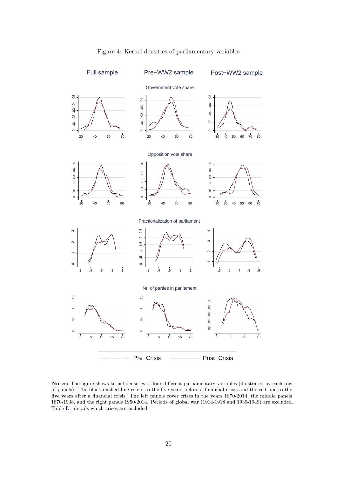<span id="page-21-0"></span>

#### Figure 4: Kernel densities of parliamentary variables

**Notes:** The figure shows kernel densities of four different parliamentary variables (illustrated by each row of panels). The black dashed line refers to the five years before a financial crisis and the red line to the five years after a financial crisis. The left panels cover crises in the years 1870-2014, the middle panels 1870-1938, and the right panels 1950-2014. Periods of global war (1914-1918 and 1939-1949) are excluded. Table [D1](#page-54-0) details which crises are included.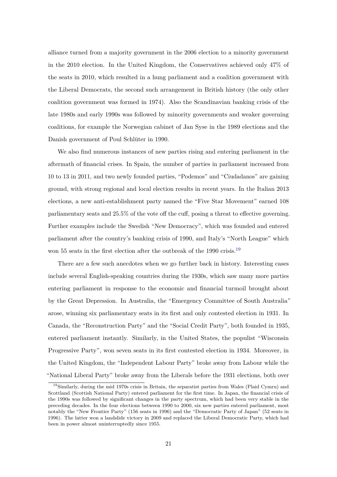alliance turned from a majority government in the 2006 election to a minority government in the 2010 election. In the United Kingdom, the Conservatives achieved only 47% of the seats in 2010, which resulted in a hung parliament and a coalition government with the Liberal Democrats, the second such arrangement in British history (the only other coalition government was formed in 1974). Also the Scandinavian banking crisis of the late 1980s and early 1990s was followed by minority governments and weaker governing coalitions, for example the Norwegian cabinet of Jan Syse in the 1989 elections and the Danish government of Poul Schlüter in 1990.

We also find numerous instances of new parties rising and entering parliament in the aftermath of financial crises. In Spain, the number of parties in parliament increased from 10 to 13 in 2011, and two newly founded parties, "Podemos" and "Ciudadanos" are gaining ground, with strong regional and local election results in recent years. In the Italian 2013 elections, a new anti-establishment party named the "Five Star Movement" earned 108 parliamentary seats and 25.5% of the vote off the cuff, posing a threat to effective governing. Further examples include the Swedish "New Democracy", which was founded and entered parliament after the country's banking crisis of 1990, and Italy's "North League" which won 55 seats in the first election after the outbreak of the [19](#page-22-0)90 crisis.<sup>19</sup>

There are a few such anecdotes when we go further back in history. Interesting cases include several English-speaking countries during the 1930s, which saw many more parties entering parliament in response to the economic and financial turmoil brought about by the Great Depression. In Australia, the "Emergency Committee of South Australia" arose, winning six parliamentary seats in its first and only contested election in 1931. In Canada, the "Reconstruction Party" and the "Social Credit Party", both founded in 1935, entered parliament instantly. Similarly, in the United States, the populist "Wisconsin Progressive Party", won seven seats in its first contested election in 1934. Moreover, in the United Kingdom, the "Independent Labour Party" broke away from Labour while the "National Liberal Party" broke away from the Liberals before the 1931 elections, both over

<span id="page-22-0"></span><sup>19</sup>Similarly, during the mid 1970s crisis in Britain, the separatist parties from Wales (Plaid Cymru) and Scottland (Scottish National Party) entered parliament for the first time. In Japan, the financial crisis of the 1990s was followed by significant changes in the party spectrum, which had been very stable in the preceding decades. In the four elections between 1990 to 2000, six new parties entered parliament, most notably the "New Frontier Party" (156 seats in 1996) and the "Democratic Party of Japan" (52 seats in 1996). The latter won a landslide victory in 2009 and replaced the Liberal Democratic Party, which had been in power almost uninterruptedly since 1955.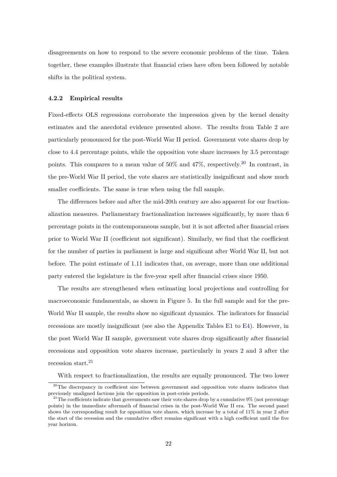disagreements on how to respond to the severe economic problems of the time. Taken together, these examples illustrate that financial crises have often been followed by notable shifts in the political system.

#### **4.2.2 Empirical results**

Fixed-effects OLS regressions corroborate the impression given by the kernel density estimates and the anecdotal evidence presented above. The results from Table [2](#page-24-0) are particularly pronounced for the post-World War II period. Government vote shares drop by close to 4.4 percentage points, while the opposition vote share increases by 3.5 percentage points. This compares to a mean value of  $50\%$  and  $47\%$ , respectively.<sup>[20](#page-23-0)</sup> In contrast, in the pre-World War II period, the vote shares are statistically insignificant and show much smaller coefficients. The same is true when using the full sample.

The differences before and after the mid-20th century are also apparent for our fractionalization measures. Parliamentary fractionalization increases significantly, by more than 6 percentage points in the contemporaneous sample, but it is not affected after financial crises prior to World War II (coefficient not significant). Similarly, we find that the coefficient for the number of parties in parliament is large and significant after World War II, but not before. The point estimate of 1.11 indicates that, on average, more than one additional party entered the legislature in the five-year spell after financial crises since 1950.

The results are strengthened when estimating local projections and controlling for macroeconomic fundamentals, as shown in Figure [5.](#page-25-0) In the full sample and for the pre-World War II sample, the results show no significant dynamics. The indicators for financial recessions are mostly insignificant (see also the Appendix Tables [E1](#page-57-0) to [E4\)](#page-60-0). However, in the post World War II sample, government vote shares drop significantly after financial recessions and opposition vote shares increase, particularly in years 2 and 3 after the recession start. $^{21}$  $^{21}$  $^{21}$ 

<span id="page-23-0"></span>With respect to fractionalization, the results are equally pronounced. The two lower

<sup>&</sup>lt;sup>20</sup>The discrepancy in coefficient size between government and opposition vote shares indicates that previously unaligned factions join the opposition in post-crisis periods.

<span id="page-23-1"></span> $^{21}$ The coefficients indicate that governments saw their vote shares drop by a cumulative  $9\%$  (not percentage points) in the immediate aftermath of financial crises in the post-World War II era. The second panel shows the corresponding result for opposition vote shares, which increase by a total of 11% in year 2 after the start of the recession and the cumulative effect remains significant with a high coefficient until the five year horizon.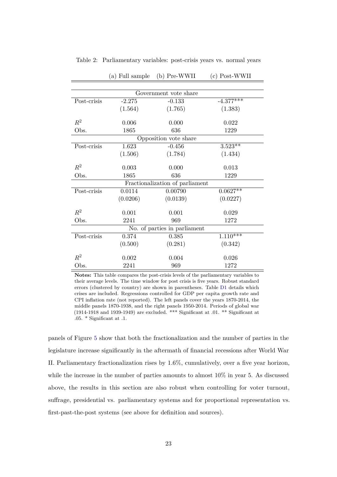|             | Government vote share |                                 |             |  |  |  |  |  |  |  |  |  |
|-------------|-----------------------|---------------------------------|-------------|--|--|--|--|--|--|--|--|--|
| Post-crisis | $-2.275$              | $-0.133$                        | $-4.377***$ |  |  |  |  |  |  |  |  |  |
|             | (1.564)               | (1.765)                         | (1.383)     |  |  |  |  |  |  |  |  |  |
| $R^2$       | 0.006                 | 0.000                           | 0.022       |  |  |  |  |  |  |  |  |  |
| Obs.        | 1865                  | 636                             | 1229        |  |  |  |  |  |  |  |  |  |
|             | Opposition vote share |                                 |             |  |  |  |  |  |  |  |  |  |
| Post-crisis | 1.623                 | $-0.456$                        | $3.523**$   |  |  |  |  |  |  |  |  |  |
|             | (1.506)               | (1.784)                         | (1.434)     |  |  |  |  |  |  |  |  |  |
|             |                       |                                 |             |  |  |  |  |  |  |  |  |  |
| $R^2$       | 0.003                 | 0.000                           | 0.013       |  |  |  |  |  |  |  |  |  |
| Obs.        | 1865                  | 636                             | 1229        |  |  |  |  |  |  |  |  |  |
|             |                       | Fractionalization of parliament |             |  |  |  |  |  |  |  |  |  |
| Post-crisis | 0.0114                | 0.00790                         | $0.0627**$  |  |  |  |  |  |  |  |  |  |
|             | (0.0206)              | (0.0139)                        | (0.0227)    |  |  |  |  |  |  |  |  |  |
|             |                       |                                 |             |  |  |  |  |  |  |  |  |  |
| $R^2$       | 0.001                 | 0.001                           | 0.029       |  |  |  |  |  |  |  |  |  |
| Obs.        | 2241                  | 969                             | 1272        |  |  |  |  |  |  |  |  |  |
|             |                       | No. of parties in parliament    |             |  |  |  |  |  |  |  |  |  |
| Post-crisis | 0.374                 | 0.385                           | $1.110***$  |  |  |  |  |  |  |  |  |  |
|             | (0.500)               | (0.281)                         | (0.342)     |  |  |  |  |  |  |  |  |  |
|             |                       |                                 |             |  |  |  |  |  |  |  |  |  |
| $R^2$       | 0.002                 | 0.004                           | 0.026       |  |  |  |  |  |  |  |  |  |
| Obs.        | 2241                  | 969                             | 1272        |  |  |  |  |  |  |  |  |  |

<span id="page-24-0"></span>Table 2: Parliamentary variables: post-crisis years vs. normal years

(a) Full sample (b) Pre-WWII (c) Post-WWII

**Notes:** This table compares the post-crisis levels of the parliamentary variables to their average levels. The time window for post crisis is five years. Robust standard errors (clustered by country) are shown in parentheses. Table [D1](#page-54-0) details which crises are included. Regressions controlled for GDP per capita growth rate and CPI inflation rate (not reported). The left panels cover the years 1870-2014, the middle panels 1870-1938, and the right panels 1950-2014. Periods of global war (1914-1918 and 1939-1949) are excluded. \*\*\* Significant at .01. \*\* Significant at .05. \* Significant at .1.

panels of Figure [5](#page-25-0) show that both the fractionalization and the number of parties in the legislature increase significantly in the aftermath of financial recessions after World War II. Parliamentary fractionalization rises by 1.6%, cumulatively, over a five year horizon, while the increase in the number of parties amounts to almost 10% in year 5. As discussed above, the results in this section are also robust when controlling for voter turnout, suffrage, presidential vs. parliamentary systems and for proportional representation vs. first-past-the-post systems (see above for definition and sources).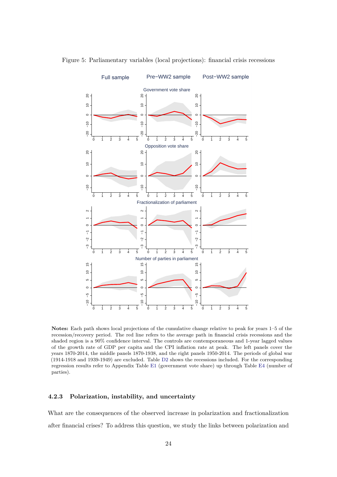

<span id="page-25-0"></span>Figure 5: Parliamentary variables (local projections): financial crisis recessions

**Notes:** Each path shows local projections of the cumulative change relative to peak for years 1–5 of the recession/recovery period. The red line refers to the average path in financial crisis recessions and the shaded region is a 90% confidence interval. The controls are contemporaneous and 1-year lagged values of the growth rate of GDP per capita and the CPI inflation rate at peak. The left panels cover the years 1870-2014, the middle panels 1870-1938, and the right panels 1950-2014. The periods of global war (1914-1918 and 1939-1949) are excluded. Table [D2](#page-55-0) shows the recessions included. For the corresponding regression results refer to Appendix Table [E1](#page-57-0) (government vote share) up through Table [E4](#page-60-0) (number of parties).

#### **4.2.3 Polarization, instability, and uncertainty**

What are the consequences of the observed increase in polarization and fractionalization after financial crises? To address this question, we study the links between polarization and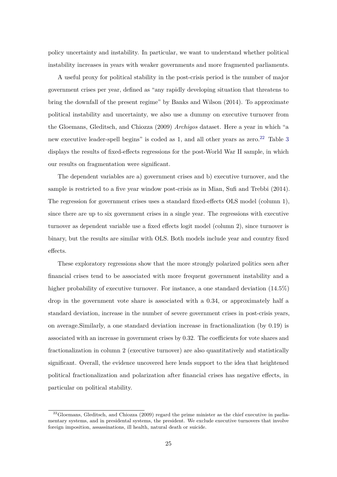policy uncertainty and instability. In particular, we want to understand whether political instability increases in years with weaker governments and more fragmented parliaments.

A useful proxy for political stability in the post-crisis period is the number of major government crises per year, defined as "any rapidly developing situation that threatens to bring the downfall of the present regime" by Banks and Wilson (2014). To approximate political instability and uncertainty, we also use a dummy on executive turnover from the Gloemans, Gleditsch, and Chiozza (2009) *Archigos* dataset. Here a year in which "a new executive leader-spell begins" is coded as 1, and all other years as zero.<sup>[22](#page-26-0)</sup> Table [3](#page-27-0) displays the results of fixed-effects regressions for the post-World War II sample, in which our results on fragmentation were significant.

The dependent variables are a) government crises and b) executive turnover, and the sample is restricted to a five year window post-crisis as in Mian, Sufi and Trebbi (2014). The regression for government crises uses a standard fixed-effects OLS model (column 1), since there are up to six government crises in a single year. The regressions with executive turnover as dependent variable use a fixed effects logit model (column 2), since turnover is binary, but the results are similar with OLS. Both models include year and country fixed effects.

These exploratory regressions show that the more strongly polarized politics seen after financial crises tend to be associated with more frequent government instability and a higher probability of executive turnover. For instance, a one standard deviation  $(14.5\%)$ drop in the government vote share is associated with a 0.34, or approximately half a standard deviation, increase in the number of severe government crises in post-crisis years, on average.Similarly, a one standard deviation increase in fractionalization (by 0.19) is associated with an increase in government crises by 0.32. The coefficients for vote shares and fractionalization in column 2 (executive turnover) are also quantitatively and statistically significant. Overall, the evidence uncovered here lends support to the idea that heightened political fractionalization and polarization after financial crises has negative effects, in particular on political stability.

<span id="page-26-0"></span> $^{22}$ Gloemans, Gleditsch, and Chiozza (2009) regard the prime minister as the chief executive in parliamentary systems, and in presidental systems, the president. We exclude executive turnovers that involve foreign imposition, assassinations, ill health, natural death or suicide.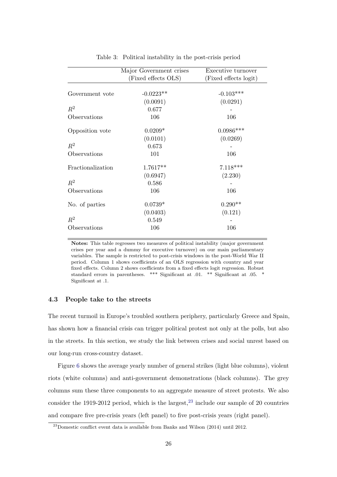<span id="page-27-0"></span>

|                   | Major Government crises | Executive turnover    |
|-------------------|-------------------------|-----------------------|
|                   | (Fixed effects OLS)     | (Fixed effects logit) |
|                   |                         |                       |
| Government vote   | $-0.0223**$             | $-0.103***$           |
|                   | (0.0091)                | (0.0291)              |
| $R^2$             | 0.677                   |                       |
| Observations      | 106                     | 106                   |
| Opposition vote   | $0.0209*$               | $0.0986***$           |
|                   | (0.0101)                | (0.0269)              |
| $R^2$             | 0.673                   |                       |
| Observations      | 101                     | 106                   |
| Fractionalization | $1.7617**$              | $7.118***$            |
|                   | (0.6947)                | (2.230)               |
| $R^2$             | 0.586                   |                       |
| Observations      | 106                     | 106                   |
| No. of parties    | $0.0739*$               | $0.290**$             |
|                   | (0.0403)                | (0.121)               |
| $R^2$             | 0.549                   |                       |
| Observations      | 106                     | 106                   |

Table 3: Political instability in the post-crisis period

**Notes:** This table regresses two measures of political instability (major government crises per year and a dummy for executive turnover) on our main parliamentary variables. The sample is restricted to post-crisis windows in the post-World War II period. Column 1 shows coefficients of an OLS regression with country and year fixed effects. Column 2 shows coefficients from a fixed effects logit regression. Robust standard errors in parentheses. \*\*\* Significant at .01. \*\* Significant at .05. \* Significant at .1.

#### **4.3 People take to the streets**

The recent turmoil in Europe's troubled southern periphery, particularly Greece and Spain, has shown how a financial crisis can trigger political protest not only at the polls, but also in the streets. In this section, we study the link between crises and social unrest based on our long-run cross-country dataset.

Figure [6](#page-28-0) shows the average yearly number of general strikes (light blue columns), violent riots (white columns) and anti-government demonstrations (black columns). The grey columns sum these three components to an aggregate measure of street protests. We also consider the 1919-2012 period, which is the largest,  $2<sup>3</sup>$  include our sample of 20 countries and compare five pre-crisis years (left panel) to five post-crisis years (right panel).

<span id="page-27-1"></span><sup>&</sup>lt;sup>23</sup>Domestic conflict event data is available from Banks and Wilson (2014) until 2012.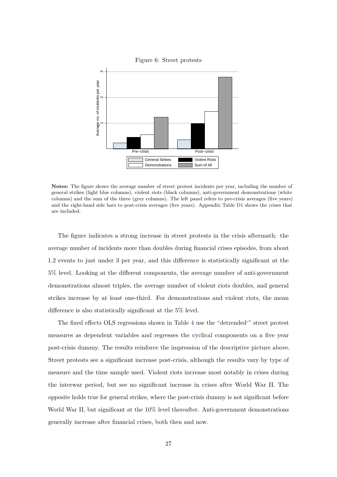<span id="page-28-0"></span>

Figure 6: Street protests

**Notes:** The figure shows the average number of street protest incidents per year, including the number of general strikes (light blue columns), violent riots (black columns), anti-government demonstrations (white columns) and the sum of the three (grey columns). The left panel refers to pre-crisis averages (five years) and the right-hand side bars to post-crisis averages (five years). Appendix Table [D1](#page-54-0) shows the crises that are included.

The figure indicates a strong increase in street protests in the crisis aftermath: the average number of incidents more than doubles during financial crises episodes, from about 1.2 events to just under 3 per year, and this difference is statistically significant at the 5% level. Looking at the different components, the average number of anti-government demonstrations almost triples, the average number of violent riots doubles, and general strikes increase by at least one-third. For demonstrations and violent riots, the mean difference is also statistically significant at the 5% level.

The fixed effects OLS regressions shown in Table [4](#page-29-0) use the "detrended'" street protest measures as dependent variables and regresses the cyclical components on a five year post-crisis dummy. The results reinforce the impression of the descriptive picture above. Street protests see a significant increase post-crisis, although the results vary by type of measure and the time sample used. Violent riots increase most notably in crises during the interwar period, but see no significant increase in crises after World War II. The opposite holds true for general strikes, where the post-crisis dummy is not significant before World War II, but significant at the 10% level thereafter. Anti-government demonstrations generally increase after financial crises, both then and now.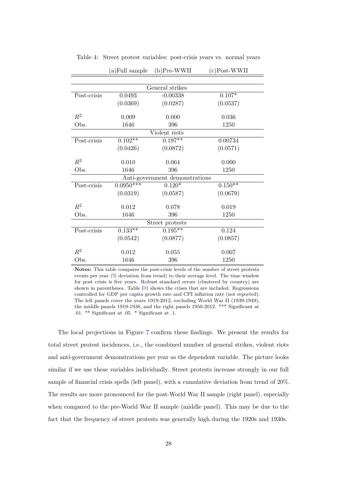|             | (a) Full sample | $(b)$ Pre-WWII                 | $(c)$ Post-WWII |  |  |  |  |  |  |  |  |
|-------------|-----------------|--------------------------------|-----------------|--|--|--|--|--|--|--|--|
|             |                 |                                |                 |  |  |  |  |  |  |  |  |
|             | General strikes |                                |                 |  |  |  |  |  |  |  |  |
| Post-crisis | 0.0493          | $-0.00338$                     | $0.107*$        |  |  |  |  |  |  |  |  |
|             | (0.0369)        | (0.0287)                       | (0.0537)        |  |  |  |  |  |  |  |  |
| $R^2$       | 0.009           | 0.000                          | 0.036           |  |  |  |  |  |  |  |  |
| Obs.        | 1646            | 396                            | 1250            |  |  |  |  |  |  |  |  |
|             |                 | Violent riots                  |                 |  |  |  |  |  |  |  |  |
| Post-crisis | $0.102**$       | $0.197**$                      | 0.00734         |  |  |  |  |  |  |  |  |
|             | (0.0426)        | (0.0872)                       | (0.0571)        |  |  |  |  |  |  |  |  |
| $R^2$       | 0.010           | 0.064                          | 0.000           |  |  |  |  |  |  |  |  |
| Obs.        | 1646            | 396                            | 1250            |  |  |  |  |  |  |  |  |
|             |                 | Anti-government demonstrations |                 |  |  |  |  |  |  |  |  |
| Post-crisis | $0.0950***$     | $0.120*$                       | $0.150**$       |  |  |  |  |  |  |  |  |
|             | (0.0319)        | (0.0587)                       | (0.0679)        |  |  |  |  |  |  |  |  |
| $R^2$       | 0.012           | 0.078                          | 0.019           |  |  |  |  |  |  |  |  |
| Obs.        | 1646            | 396                            | 1250            |  |  |  |  |  |  |  |  |
|             |                 | Street protests                |                 |  |  |  |  |  |  |  |  |
| Post-crisis | $0.133**$       | $0.195***$                     | 0.124           |  |  |  |  |  |  |  |  |
|             | (0.0542)        | (0.0877)                       | (0.0857)        |  |  |  |  |  |  |  |  |
| $R^2$       | 0.012           | 0.055                          | 0.007           |  |  |  |  |  |  |  |  |
| Obs.        | 1646            | 396                            | 1250            |  |  |  |  |  |  |  |  |

<span id="page-29-0"></span>Table 4: Street protest variables: post-crisis years vs. normal years

**Notes:** This table compares the post-crisis levels of the number of street protests events per year (% deviation from trend) to their average level. The time window for post crisis is five years. Robust standard errors (clustered by country) are shown in parentheses. Table [D1](#page-54-0) shows the crises that are included. Regressions controlled for GDP per capita growth rate and CPI inflation rate (not reported). The left panels cover the years 1919-2012, excluding World War II (1939-1949), the middle panels 1919-1938, and the right panels 1950-2012. \*\*\* Significant at .01. \*\* Significant at .05. \* Significant at .1.

The local projections in Figure [7](#page-30-0) confirm these findings. We present the results for total street protest incidences, i.e., the combined number of general strikes, violent riots and anti-government demonstrations per year as the dependent variable. The picture looks similar if we use these variables individually. Street protests increase strongly in our full sample of financial crisis spells (left panel), with a cumulative deviation from trend of 20%. The results are more pronounced for the post-World War II sample (right panel), especially when compared to the pre-World War II sample (middle panel). This may be due to the fact that the frequency of street protests was generally high during the 1920s and 1930s.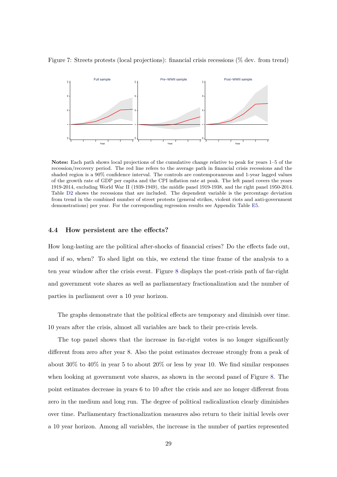

<span id="page-30-0"></span>Figure 7: Streets protests (local projections): financial crisis recessions (% dev. from trend)

**Notes:** Each path shows local projections of the cumulative change relative to peak for years 1–5 of the recession/recovery period. The red line refers to the average path in financial crisis recessions and the shaded region is a 90% confidence interval. The controls are contemporaneous and 1-year lagged values of the growth rate of GDP per capita and the CPI inflation rate at peak. The left panel covers the years 1919-2014, excluding World War II (1939-1949), the middle panel 1919-1938, and the right panel 1950-2014. Table [D2](#page-55-0) shows the recessions that are included. The dependent variable is the percentage deviation from trend in the combined number of street protests (general strikes, violent riots and anti-government demonstrations) per year. For the corresponding regression results see Appendix Table [E5.](#page-61-0)

#### **4.4 How persistent are the effects?**

How long-lasting are the political after-shocks of financial crises? Do the effects fade out, and if so, when? To shed light on this, we extend the time frame of the analysis to a ten year window after the crisis event. Figure [8](#page-31-0) displays the post-crisis path of far-right and government vote shares as well as parliamentary fractionalization and the number of parties in parliament over a 10 year horizon.

The graphs demonstrate that the political effects are temporary and diminish over time. 10 years after the crisis, almost all variables are back to their pre-crisis levels.

The top panel shows that the increase in far-right votes is no longer significantly different from zero after year 8. Also the point estimates decrease strongly from a peak of about 30% to 40% in year 5 to about 20% or less by year 10. We find similar responses when looking at government vote shares, as shown in the second panel of Figure [8.](#page-31-0) The point estimates decrease in years 6 to 10 after the crisis and are no longer different from zero in the medium and long run. The degree of political radicalization clearly diminishes over time. Parliamentary fractionalization measures also return to their initial levels over a 10 year horizon. Among all variables, the increase in the number of parties represented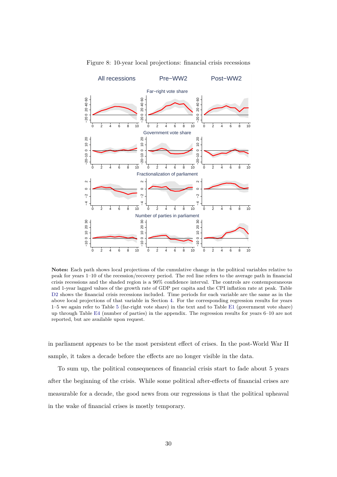<span id="page-31-0"></span>

Figure 8: 10-year local projections: financial crisis recessions

**Notes:** Each path shows local projections of the cumulative change in the political variables relative to peak for years 1–10 of the recession/recovery period. The red line refers to the average path in financial crisis recessions and the shaded region is a 90% confidence interval. The controls are contemporaneous and 1-year lagged values of the growth rate of GDP per capita and the CPI inflation rate at peak. Table [D2](#page-55-0) shows the financial crisis recessions included. Time periods for each variable are the same as in the above local projections of that variable in Section [4.](#page-14-1) For the corresponding regression results for years 1–5 we again refer to Table [5](#page-33-0) (far-right vote share) in the text and to Table [E1](#page-57-0) (government vote share) up through Table [E4](#page-60-0) (number of parties) in the appendix. The regression results for years 6–10 are not reported, but are available upon request.

in parliament appears to be the most persistent effect of crises. In the post-World War II sample, it takes a decade before the effects are no longer visible in the data.

To sum up, the political consequences of financial crisis start to fade about 5 years after the beginning of the crisis. While some political after-effects of financial crises are measurable for a decade, the good news from our regressions is that the political upheaval in the wake of financial crises is mostly temporary.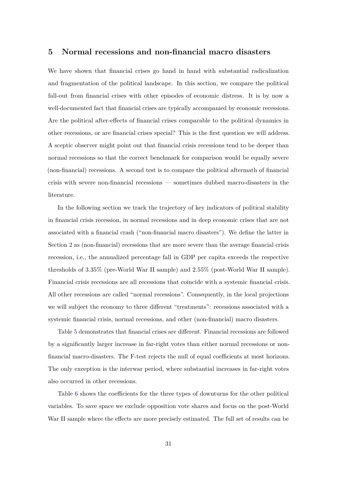#### **5 Normal recessions and non-financial macro disasters**

We have shown that financial crises go hand in hand with substantial radicalization and fragmentation of the political landscape. In this section, we compare the political fall-out from financial crises with other episodes of economic distress. It is by now a well-documented fact that financial crises are typically accompanied by economic recessions. Are the political after-effects of financial crises comparable to the political dynamics in other recessions, or are financial crises special? This is the first question we will address. A sceptic observer might point out that financial crisis recessions tend to be deeper than normal recessions so that the correct benchmark for comparison would be equally severe (non-financial) recessions. A second test is to compare the political aftermath of financial crisis with severe non-financial recessions — sometimes dubbed macro-disasters in the literature.

In the following section we track the trajectory of key indicators of political stability in financial crisis recession, in normal recessions and in deep economic crises that are not associated with a financial crash ("non-financial macro disasters"). We define the latter in Section 2 as (non-financial) recessions that are more severe than the average financial crisis recession, i.e., the annualized percentage fall in GDP per capita exceeds the respective thresholds of 3.35% (pre-World War II sample) and 2.55% (post-World War II sample). Financial crisis recessions are all recessions that coincide with a systemic financial crisis. All other recessions are called "normal recessions". Consequently, in the local projections we will subject the economy to three different "treatments": recessions associated with a systemic financial crisis, normal recessions, and other (non-financial) macro disasters.

Table [5](#page-33-0) demonstrates that financial crises are different. Financial recessions are followed by a significantly larger increase in far-right votes than either normal recessions or nonfinancial macro-disasters. The F-test rejects the null of equal coefficients at most horizons. The only exception is the interwar period, where substantial increases in far-right votes also occurred in other recessions.

Table [6](#page-35-0) shows the coefficients for the three types of downturns for the other political variables. To save space we exclude opposition vote shares and focus on the post-World War II sample where the effects are more precisely estimated. The full set of results can be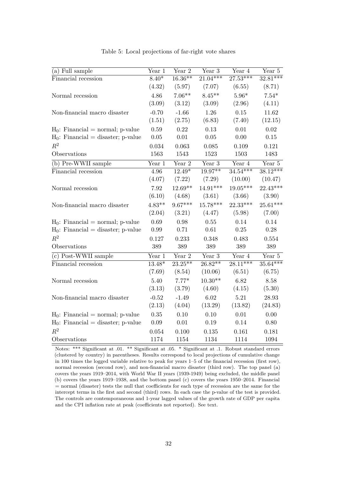<span id="page-33-0"></span>

| (a) Full sample                                   | Year 1   | Year 2     | Year 3                      | Year 4     | Year 5     |
|---------------------------------------------------|----------|------------|-----------------------------|------------|------------|
| Financial recession                               | $8.40*$  | $16.36***$ | $21.04***$                  | $27.53***$ | $32.81***$ |
|                                                   | (4.32)   | (5.97)     | (7.07)                      | (6.55)     | (8.71)     |
| Normal recession                                  | 4.86     | $7.06**$   | $8.45**$                    | $5.96*$    | $7.54*$    |
|                                                   | (3.09)   | (3.12)     | (3.09)                      | (2.96)     | (4.11)     |
| Non-financial macro disaster                      | $-0.70$  | $-1.66$    | 1.26                        | $0.15\,$   | 11.62      |
|                                                   | (1.51)   | (2.75)     | (6.83)                      | (7.40)     | (12.15)    |
| $H_0$ : Financial = normal; p-value               | 0.59     | 0.22       | 0.13                        | 0.01       | 0.02       |
| $H_0$ : Financial = disaster; p-value             | $0.05\,$ | $0.01\,$   | $0.05\,$                    | 0.00       | 0.15       |
| $R^2$                                             | 0.034    | 0.063      | 0.085                       | 0.109      | 0.121      |
| Observations                                      | 1563     | 1543       | 1523                        | 1503       | 1483       |
| $\overline{(\mathbf{b}) \text{ Pre-WWII}}$ sample | Year 1   | Year 2     | $\overline{\text{Year}}\;3$ | Year 4     | Year 5     |
| Financial recession                               | 4.96     | $12.49*$   | $19.97**$                   | $34.54***$ | $38.12***$ |
|                                                   | (4.07)   | (7.22)     | (7.29)                      | (10.00)    | (10.47)    |
| Normal recession                                  | 7.92     | $12.69**$  | 14.91***                    | $19.05***$ | $22.43***$ |
|                                                   | (6.10)   | (4.68)     | (3.61)                      | (3.66)     | (3.90)     |
| Non-financial macro disaster                      | $4.83**$ | $9.67***$  | $15.78***$                  | $22.33***$ | $25.61***$ |
|                                                   | (2.04)   | (3.21)     | (4.47)                      | (5.98)     | (7.00)     |
| $H_0$ : Financial = normal; p-value               | 0.69     | 0.98       | $0.55\,$                    | 0.14       | 0.14       |
| $H_0$ : Financial = disaster; p-value             | 0.99     | 0.71       | 0.61                        | 0.25       | 0.28       |
| $R^2$                                             | 0.127    | 0.233      | 0.348                       | 0.483      | 0.554      |
| Observations                                      | 389      | 389        | 389                         | 389        | 389        |
| $(c)$ Post-WWII sample                            | Year 1   | Year 2     | Year 3                      | Year 4     | Year 5     |
| Financial recession                               | $13.48*$ | $23.25***$ | $26.82**$                   | $28.11***$ | $35.64***$ |
|                                                   | (7.69)   | (8.54)     | (10.06)                     | (6.51)     | (6.75)     |
| Normal recession                                  | 5.40     | $7.77*$    | $10.30**$                   | 6.82       | 8.58       |
|                                                   | (3.13)   | (3.79)     | (4.60)                      | (4.15)     | (5.30)     |
| Non-financial macro disaster                      | $-0.52$  | $-1.49$    | 6.02                        | 5.21       | 28.93      |
|                                                   | (2.13)   | (4.04)     | (13.29)                     | (13.82)    | (24.83)    |
| $H_0$ : Financial = normal; p-value               | 0.35     | 0.10       | 0.10                        | 0.01       | 0.00       |
| $H_0$ : Financial = disaster; p-value             | $0.09\,$ | $0.01\,$   | 0.19                        | 0.14       | 0.80       |
| $R^2$                                             | 0.054    | 0.100      | 0.135                       | 0.161      | 0.181      |
| Observations                                      | 1174     | 1154       | 1134                        | 1114       | 1094       |

Table 5: Local projections of far-right vote shares

Notes: \*\*\* Significant at .01. \*\* Significant at .05. \* Significant at .1. Robust standard errors (clustered by country) in parentheses. Results correspond to local projections of cumulative change in 100 times the logged variable relative to peak for years 1–5 of the financial recession (first row), normal recession (second row), and non-financial macro disaster (third row). The top panel (a) covers the years 1919–2014, with World War II years (1939-1949) being excluded, the middle panel (b) covers the years 1919–1938, and the bottom panel (c) covers the years 1950–2014. Financial = normal (disaster) tests the null that coefficients for each type of recession are the same for the intercept terms in the first and second (third) rows. In each case the p-value of the test is provided. The controls are contemporaneous and 1-year lagged values of the growth rate of GDP per capita and the CPI inflation rate at peak (coefficients not reported). See text.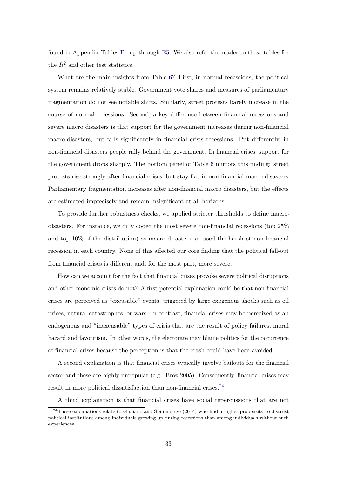found in Appendix Tables [E1](#page-57-0) up through [E5.](#page-61-0) We also refer the reader to these tables for the  $R^2$  and other test statistics.

What are the main insights from Table [6?](#page-35-0) First, in normal recessions, the political system remains relatively stable. Government vote shares and measures of parliamentary fragmentation do not see notable shifts. Similarly, street protests barely increase in the course of normal recessions. Second, a key difference between financial recessions and severe macro disasters is that support for the government increases during non-financial macro-disasters, but falls significantly in financial crisis recessions. Put differently, in non-financial disasters people rally behind the government. In financial crises, support for the government drops sharply. The bottom panel of Table [6](#page-35-0) mirrors this finding: street protests rise strongly after financial crises, but stay flat in non-financial macro disasters. Parliamentary fragmentation increases after non-financial macro disasters, but the effects are estimated imprecisely and remain insignificant at all horizons.

To provide further robustness checks, we applied stricter thresholds to define macrodisasters. For instance, we only coded the most severe non-financial recessions (top 25% and top 10% of the distribution) as macro disasters, or used the harshest non-financial recession in each country. None of this affected our core finding that the political fall-out from financial crises is different and, for the most part, more severe.

How can we account for the fact that financial crises provoke severe political disruptions and other economic crises do not? A first potential explanation could be that non-financial crises are perceived as "excusable" events, triggered by large exogenous shocks such as oil prices, natural catastrophes, or wars. In contrast, financial crises may be perceived as an endogenous and "inexcusable" types of crisis that are the result of policy failures, moral hazard and favoritism. In other words, the electorate may blame politics for the occurrence of financial crises because the perception is that the crash could have been avoided.

A second explanation is that financial crises typically involve bailouts for the financial sector and these are highly unpopular (e.g., Broz 2005). Consequently, financial crises may result in more political dissatisfaction than non-financial crises. $^{24}$  $^{24}$  $^{24}$ 

<span id="page-34-0"></span>A third explanation is that financial crises have social repercussions that are not

 $24$ These explanations relate to Giuliano and Spilimbergo (2014) who find a higher propensity to distrust political institutions among individuals growing up during recessions than among individuals without such experiences.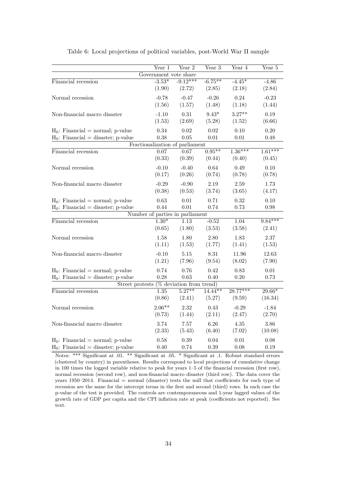<span id="page-35-0"></span>

|                                       | Year 1                          | Year 2                      | Year 3        | Year 4     | Year 5    |
|---------------------------------------|---------------------------------|-----------------------------|---------------|------------|-----------|
|                                       | Government vote share           |                             |               |            |           |
| Financial recession                   | $-3.53*$                        | $-9.12***$                  | $-6.75***$    | $-4.45*$   | $-4.86$   |
|                                       | (1.90)                          | (2.72)                      | (2.85)        | (2.18)     | (2.84)    |
| Normal recession                      | $-0.78$                         | $-0.47$                     | $-0.26$       | 0.24       | $-0.23$   |
|                                       | (1.56)                          | (1.57)                      | (1.48)        | (1.18)     | (1.44)    |
| Non-financial macro disaster          | $-1.10$                         | 0.31                        | $9.43^{\ast}$ | $3.27**$   | 0.19      |
|                                       | (1.53)                          | (2.69)                      | (5.28)        | (1.52)     | (6.66)    |
| $H_0$ : Financial = normal; p-value   | 0.34                            | 0.02                        | 0.02          | 0.10       | $0.20\,$  |
| $H_0$ : Financial = disaster; p-value | 0.38                            | 0.05                        | 0.01          | 0.01       | 0.48      |
|                                       | Fractionalization of parliament |                             |               |            |           |
| Financial recession                   | 0.07                            | 0.67                        | $0.95***$     | $1.36***$  | $1.61***$ |
|                                       | (0.33)                          | (0.39)                      | (0.44)        | (0.40)     | (0.45)    |
| Normal recession                      | $-0.10$                         | $-0.40$                     | 0.64          | 0.49       | 0.10      |
|                                       | (0.17)                          | (0.26)                      | (0.74)        | (0.78)     | (0.78)    |
| Non-financial macro disaster          | $-0.29$                         | $-0.90$                     | 2.19          | 2.59       | 1.73      |
|                                       | (0.38)                          | (0.53)                      | (3.74)        | (3.65)     | (4.17)    |
| $H_0$ : Financial = normal; p-value   | 0.63                            | 0.01                        | 0.71          | 0.32       | 0.10      |
| $H_0$ : Financial = disaster; p-value | 0.44                            | 0.01                        | 0.74          | 0.73       | 0.98      |
|                                       | Number of parties in parliament |                             |               |            |           |
| Financial recession                   | $1.30*$                         | 1.13                        | $-0.52$       | 1.04       | $9.84***$ |
|                                       | (0.65)                          | (1.80)                      | (3.53)        | (3.58)     | (2.41)    |
| Normal recession                      | 1.58                            | 1.80                        | 2.80          | 1.83       | 2.37      |
|                                       | (1.11)                          | (1.53)                      | (1.77)        | (1.41)     | (1.53)    |
| Non-financial macro disaster          | $-0.10$                         | 5.15                        | 8.31          | 11.96      | 12.63     |
|                                       | (1.21)                          | (7.96)                      | (9.54)        | (8.02)     | (7.90)    |
| $H_0$ : Financial = normal; p-value   | 0.74                            | 0.76                        | 0.42          | 0.83       | 0.01      |
| $H_0$ : Financial = disaster; p-value | 0.28                            | 0.63                        | 0.40          | 0.20       | 0.73      |
| Street protests                       |                                 | $(\%$ deviation from trend) |               |            |           |
| Financial recession                   | 1.35                            | $5.27**$                    | $14.44***$    | $28.77***$ | $29.66*$  |
|                                       | (0.86)                          | (2.41)                      | (5.27)        | (9.59)     | (16.34)   |
| Normal recession                      | $2.06**$                        | 2.32                        | 0.43          | $-0.29$    | $-1.84$   |
|                                       | (0.73)                          | (1.44)                      | (2.11)        | (2.47)     | (2.70)    |
| Non-financial macro disaster          | 3.74                            | 7.57                        | 6.26          | 4.35       | 3.86      |
|                                       | (2.33)                          | (5.43)                      | (6.40)        | (7.02)     | (10.08)   |
| $H_0$ : Financial = normal; p-value   | 0.58                            | 0.39                        | 0.04          | 0.01       | 0.08      |
| $H_0$ : Financial = disaster; p-value | 0.40                            | 0.74                        | 0.39          | 0.08       | 0.19      |

Table 6: Local projections of political variables, post-World War II sample

Notes: \*\*\* Significant at .01. \*\* Significant at .05. \* Significant at .1. Robust standard errors (clustered by country) in parentheses. Results correspond to local projections of cumulative change in 100 times the logged variable relative to peak for years 1–5 of the financial recession (first row), normal recession (second row), and non-financial macro disaster (third row). The data cover the years 1950–2014. Financial = normal (disaster) tests the null that coefficients for each type of recession are the same for the intercept terms in the first and second (third) rows. In each case the p-value of the test is provided. The controls are contemporaneous and 1-year lagged values of the growth rate of GDP per capita and the CPI inflation rate at peak (coefficients not reported). See text.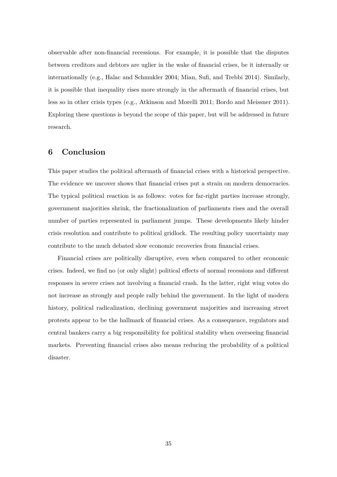observable after non-financial recessions. For example, it is possible that the disputes between creditors and debtors are uglier in the wake of financial crises, be it internally or internationally (e.g., Halac and Schmukler 2004; Mian, Sufi, and Trebbi 2014). Similarly, it is possible that inequality rises more strongly in the aftermath of financial crises, but less so in other crisis types (e.g., Atkinson and Morelli 2011; Bordo and Meissner 2011). Exploring these questions is beyond the scope of this paper, but will be addressed in future research.

#### **6 Conclusion**

This paper studies the political aftermath of financial crises with a historical perspective. The evidence we uncover shows that financial crises put a strain on modern democracies. The typical political reaction is as follows: votes for far-right parties increase strongly, government majorities shrink, the fractionalization of parliaments rises and the overall number of parties represented in parliament jumps. These developments likely hinder crisis resolution and contribute to political gridlock. The resulting policy uncertainty may contribute to the much debated slow economic recoveries from financial crises.

Financial crises are politically disruptive, even when compared to other economic crises. Indeed, we find no (or only slight) political effects of normal recessions and different responses in severe crises not involving a financial crash. In the latter, right wing votes do not increase as strongly and people rally behind the government. In the light of modern history, political radicalization, declining government majorities and increasing street protests appear to be the hallmark of financial crises. As a consequence, regulators and central bankers carry a big responsibility for political stability when overseeing financial markets. Preventing financial crises also means reducing the probability of a political disaster.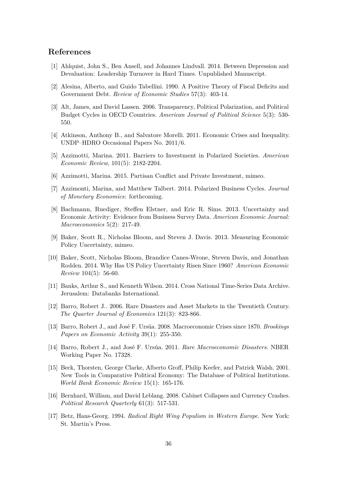#### **References**

- [1] Ahlquist, John S., Ben Ansell, and Johannes Lindvall. 2014. Between Depression and Devaluation: Leadership Turnover in Hard Times. Unpublished Manuscript.
- [2] Alesina, Alberto, and Guido Tabellini. 1990. A Positive Theory of Fiscal Deficits and Government Debt. *Review of Economic Studies* 57(3): 403-14.
- [3] Alt, James, and David Lassen. 2006. Transparency, Political Polarization, and Political Budget Cycles in OECD Countries. *American Journal of Political Science* 5(3): 530- 550.
- [4] Atkinson, Anthony B., and Salvatore Morelli. 2011. Economic Crises and Inequality. UNDP–HDRO Occasional Papers No. 2011/6.
- [5] Azzimotti, Marina. 2011. Barriers to Investment in Polarized Societies. *American Economic Review*, 101(5): 2182-2204.
- [6] Azzimotti, Marina. 2015. Partisan Conflict and Private Investment, mimeo.
- [7] Azzimonti, Marina, and Matthew Talbert. 2014. Polarized Business Cycles. *Journal of Monetary Economics*: forthcoming.
- [8] Bachmann, Ruediger, Steffen Elstner, and Eric R. Sims. 2013. Uncertainty and Economic Activity: Evidence from Business Survey Data. *American Economic Journal: Macroeconomics* 5(2): 217-49.
- [9] Baker, Scott R., Nicholas Bloom, and Steven J. Davis. 2013. Measuring Economic Policy Uncertainty, mimeo.
- [10] Baker, Scott, Nicholas Bloom, Brandice Canes-Wrone, Steven Davis, and Jonathan Rodden. 2014. Why Has US Policy Uncertainty Risen Since 1960? *American Economic Review* 104(5): 56-60.
- [11] Banks, Arthur S., and Kenneth Wilson. 2014. Cross National Time-Series Data Archive. Jerusalem: Databanks International.
- [12] Barro, Robert J.. 2006. Rare Disasters and Asset Markets in the Twentieth Century. *The Quarter Journal of Economics* 121(3): 823-866.
- [13] Barro, Robert J., and Jos´e F. Urs´ua. 2008. Macroeconomic Crises since 1870. *Brookings Papers on Economic Activity* 39(1): 255-350.
- [14] Barro, Robert J., and José F. Ursúa. 2011. *Rare Macroeconomic Disasters.* NBER Working Paper No. 17328.
- [15] Beck, Thorsten, George Clarke, Alberto Groff, Philip Keefer, and Patrick Walsh. 2001. New Tools in Comparative Political Economy: The Database of Political Institutions. *World Bank Economic Review* 15(1): 165-176.
- [16] Bernhard, William, and David Leblang. 2008. Cabinet Collapses and Currency Crashes. *Political Research Quarterly* 61(3): 517-531.
- [17] Betz, Hans-Georg. 1994. *Radical Right Wing Populism in Western Europe.* New York: St. Martin's Press.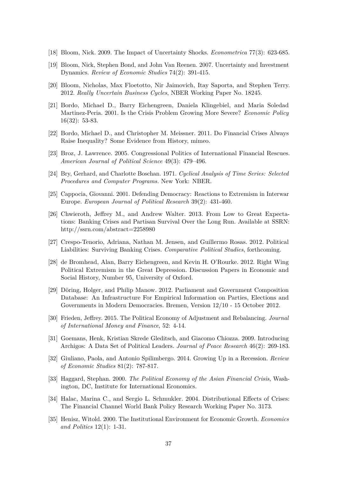- [18] Bloom, Nick. 2009. The Impact of Uncertainty Shocks. *Econometrica* 77(3): 623-685.
- [19] Bloom, Nick, Stephen Bond, and John Van Reenen. 2007. Uncertainty and Investment Dynamics. *Review of Economic Studies* 74(2): 391-415.
- [20] Bloom, Nicholas, Max Floetotto, Nir Jaimovich, Itay Saporta, and Stephen Terry. 2012. *Really Uncertain Business Cycles*, NBER Working Paper No. 18245.
- [21] Bordo, Michael D., Barry Eichengreen, Daniela Klingebiel, and Maria Soledad Martinez-Peria. 2001. Is the Crisis Problem Growing More Severe? *Economic Policy* 16(32): 53-83.
- [22] Bordo, Michael D., and Christopher M. Meissner. 2011. Do Financial Crises Always Raise Inequality? Some Evidence from History, mimeo.
- [23] Broz, J. Lawrence. 2005. Congressional Politics of International Financial Rescues. *American Journal of Political Science* 49(3): 479–496.
- [24] Bry, Gerhard, and Charlotte Boschan. 1971. *Cyclical Analysis of Time Series: Selected Procedures and Computer Programs.* New York: NBER.
- [25] Cappocia, Giovanni. 2001. Defending Democracy: Reactions to Extremism in Interwar Europe. *European Journal of Political Research* 39(2): 431-460.
- [26] Chwieroth, Jeffrey M., and Andrew Walter. 2013. From Low to Great Expectations: Banking Crises and Partisan Survival Over the Long Run. Available at SSRN: http://ssrn.com/abstract=2258980
- [27] Crespo-Tenorio, Adriana, Nathan M. Jensen, and Guillermo Rosas. 2012. Political Liabilities: Surviving Banking Crises. *Comparative Political Studies*, forthcoming.
- [28] de Bromhead, Alan, Barry Eichengreen, and Kevin H. O'Rourke. 2012. Right Wing Political Extremism in the Great Depression. Discussion Papers in Economic and Social History, Number 95, University of Oxford.
- [29] Döring, Holger, and Philip Manow. 2012. Parliament and Government Composition Database: An Infrastructure For Empirical Information on Parties, Elections and Governments in Modern Democracies. Bremen, Version 12/10 - 15 October 2012.
- [30] Frieden, Jeffrey. 2015. The Political Economy of Adjustment and Rebalancing. *Journal of International Money and Finance*, 52: 4-14.
- [31] Goemans, Henk, Kristian Skrede Gleditsch, and Giacomo Chiozza. 2009. Introducing Archigos: A Data Set of Political Leaders. *Journal of Peace Research* 46(2): 269-183.
- [32] Giuliano, Paola, and Antonio Spilimbergo. 2014. Growing Up in a Recession. *Review of Economic Studies* 81(2): 787-817.
- [33] Haggard, Stephan. 2000. *The Political Economy of the Asian Financial Crisis*, Washington, DC, Institute for International Economics.
- [34] Halac, Marina C., and Sergio L. Schmukler. 2004. Distributional Effects of Crises: The Financial Channel World Bank Policy Research Working Paper No. 3173.
- [35] Henisz, Witold. 2000. The Institutional Environment for Economic Growth. *Economics and Politics* 12(1): 1-31.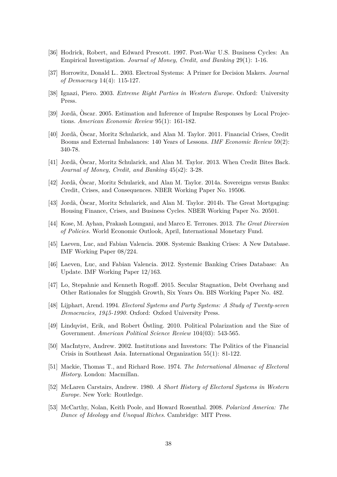- [36] Hodrick, Robert, and Edward Prescott. 1997. Post-War U.S. Business Cycles: An Empirical Investigation. *Journal of Money, Credit, and Banking* 29(1): 1-16.
- [37] Horrowitz, Donald L.. 2003. Electroal Systems: A Primer for Decision Makers. *Journal of Democracy* 14(4): 115-127.
- [38] Ignazi, Piero. 2003. *Extreme Right Parties in Western Europe.* Oxford: University Press.
- [39] Jordà, Oscar. 2005. Estimation and Inference of Impulse Responses by Local Projections. *American Economic Review* 95(1): 161-182.
- [40] Jordà, Òscar, Moritz Schularick, and Alan M. Taylor. 2011. Financial Crises, Credit Booms and External Imbalances: 140 Years of Lessons. *IMF Economic Review* 59(2): 340-78.
- [41] Jordà, Oscar, Moritz Schularick, and Alan M. Taylor. 2013. When Credit Bites Back. *Journal of Money, Credit, and Banking* 45(s2): 3-28.
- [42] Jordà, Òscar, Moritz Schularick, and Alan M. Taylor. 2014a. Sovereigns versus Banks: Credit, Crises, and Consequences. NBER Working Paper No. 19506.
- [43] Jordà, Oscar, Moritz Schularick, and Alan M. Taylor. 2014b. The Great Mortgaging: Housing Finance, Crises, and Business Cycles. NBER Working Paper No. 20501.
- [44] Kose, M. Ayhan, Prakash Loungani, and Marco E. Terrones. 2013. *The Great Diversion of Policies.* World Economic Outlook, April, International Monetary Fund.
- [45] Laeven, Luc, and Fabian Valencia. 2008. Systemic Banking Crises: A New Database. IMF Working Paper 08/224.
- [46] Laeven, Luc, and Fabian Valencia. 2012. Systemic Banking Crises Database: An Update. IMF Working Paper 12/163.
- [47] Lo, Stepahnie and Kenneth Rogoff. 2015. Secular Stagnation, Debt Overhang and Other Rationales for Sluggish Growth, Six Years On. BIS Working Paper No. 482.
- [48] Lijphart, Arend. 1994. *Electoral Systems and Party Systems: A Study of Twenty-seven Democracies, 1945-1990.* Oxford: Oxford University Press.
- [49] Lindqvist, Erik, and Robert Östling. 2010. Political Polarization and the Size of Government. *American Political Science Review* 104(03): 543-565.
- [50] MacIntyre, Andrew. 2002. Institutions and Investors: The Politics of the Financial Crisis in Southeast Asia. International Organization 55(1): 81-122.
- [51] Mackie, Thomas T., and Richard Rose. 1974. *The International Almanac of Electoral History.* London: Macmillan.
- [52] McLaren Carstairs, Andrew. 1980. *A Short History of Electoral Systems in Western Europe.* New York: Routledge.
- [53] McCarthy, Nolan, Keith Poole, and Howard Rosenthal. 2008. *Polarized America: The Dance of Ideology and Unequal Riches*. Cambridge: MIT Press.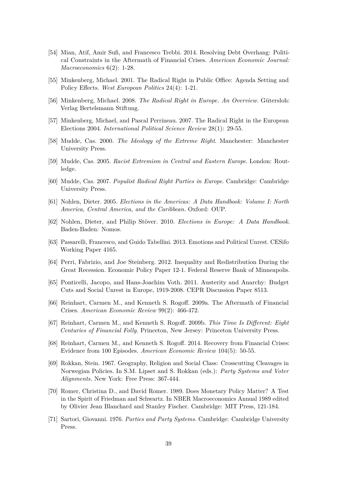- [54] Mian, Atif, Amir Sufi, and Francesco Trebbi. 2014. Resolving Debt Overhang: Political Constraints in the Aftermath of Financial Crises. *American Economic Journal: Macroeconomics* 6(2): 1-28.
- [55] Minkenberg, Michael. 2001. The Radical Right in Public Office: Agenda Setting and Policy Effects. *West European Politics* 24(4): 1-21.
- [56] Minkenberg, Michael. 2008. *The Radical Right in Europe. An Overview*. Gütersloh: Verlag Bertelsmann Stiftung.
- [57] Minkenberg, Michael, and Pascal Perrineau. 2007. The Radical Right in the European Elections 2004. *International Political Science Review* 28(1): 29-55.
- [58] Mudde, Cas. 2000. *The Ideology of the Extreme Right*. Manchester: Manchester University Press.
- [59] Mudde, Cas. 2005. *Racist Extremism in Central and Eastern Europe*. London: Routledge.
- [60] Mudde, Cas. 2007. *Populist Radical Right Parties in Europe*. Cambridge: Cambridge University Press.
- [61] Nohlen, Dieter. 2005. *Elections in the Americas: A Data Handbook: Volume I: North America, Central America, and the Caribbean.* Oxford: OUP.
- [62] Nohlen, Dieter, and Philip Stöver. 2010. *Elections in Europe: A Data Handbook.* Baden-Baden: Nomos.
- [63] Passarelli, Francesco, and Guido Tabellini. 2013. Emotions and Political Unrest. CESifo Working Paper 4165.
- [64] Perri, Fabrizio, and Joe Steinberg. 2012. Inequality and Redistribution During the Great Recession. Economic Policy Paper 12-1. Federal Reserve Bank of Minneapolis.
- [65] Ponticelli, Jacopo, and Hans-Joachim Voth. 2011. Austerity and Anarchy: Budget Cuts and Social Unrest in Europe, 1919-2008. CEPR Discussion Paper 8513.
- [66] Reinhart, Carmen M., and Kenneth S. Rogoff. 2009a. The Aftermath of Financial Crises. *American Economic Review* 99(2): 466-472.
- [67] Reinhart, Carmen M., and Kenneth S. Rogoff. 2009b. *This Time Is Different: Eight Centuries of Financial Folly.* Princeton, New Jersey: Princeton University Press.
- [68] Reinhart, Carmen M., and Kenneth S. Rogoff. 2014. Recovery from Financial Crises: Evidence from 100 Episodes. *American Economic Review* 104(5): 50-55.
- [69] Rokkan, Stein. 1967. Geography, Religion and Social Class: Crosscutting Cleavages in Norwegian Policies. In S.M. Lipset and S. Rokkan (eds.): *Party Systems and Voter Alignments.* New York: Free Press: 367-444.
- [70] Romer, Christina D., and David Romer. 1989. Does Monetary Policy Matter? A Test in the Spirit of Friedman and Schwartz. In NBER Macroeconomics Annual 1989 edited by Olivier Jean Blanchard and Stanley Fischer. Cambridge: MIT Press, 121-184.
- [71] Sartori, Giovanni. 1976. *Parties and Party Systems.* Cambridge: Cambridge University Press.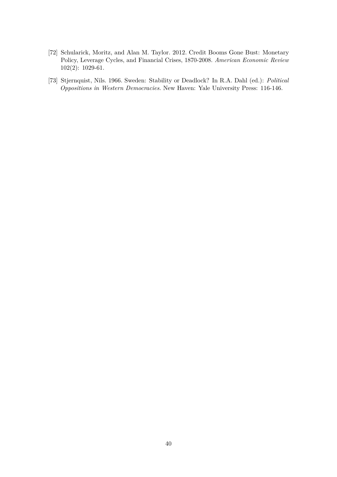- [72] Schularick, Moritz, and Alan M. Taylor. 2012. Credit Booms Gone Bust: Monetary Policy, Leverage Cycles, and Financial Crises, 1870-2008. *American Economic Review* 102(2): 1029-61.
- [73] Stjernquist, Nils. 1966. Sweden: Stability or Deadlock? In R.A. Dahl (ed.): *Political Oppositions in Western Democracies.* New Haven: Yale University Press: 116-146.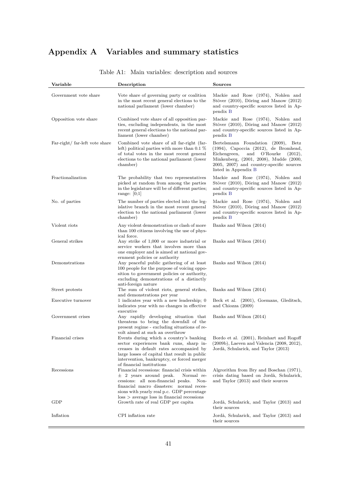## **Appendix A Variables and summary statistics**

<span id="page-42-0"></span>

| Variable                      | Description                                                                                                                                                                                                                                                                                                     | Sources                                                                                                                                                                                                                                                 |
|-------------------------------|-----------------------------------------------------------------------------------------------------------------------------------------------------------------------------------------------------------------------------------------------------------------------------------------------------------------|---------------------------------------------------------------------------------------------------------------------------------------------------------------------------------------------------------------------------------------------------------|
| Government vote share         | Vote share of governing party or coalition<br>in the most recent general elections to the<br>national parliament (lower chamber)                                                                                                                                                                                | Mackie and Rose (1974), Nohlen and<br>Stöver $(2010)$ , Döring and Manow $(2012)$<br>and country-specific sources listed in Ap-<br>pendix B                                                                                                             |
| Opposition vote share         | Combined vote share of all opposition par-<br>ties, excluding independents, in the most<br>recent general elections to the national par-<br>liament (lower chamber)                                                                                                                                             | Mackie and Rose (1974), Nohlen and<br>Stöver $(2010)$ , Döring and Manow $(2012)$<br>and country-specific sources listed in Ap-<br>pendix B                                                                                                             |
| Far-right/far-left vote share | Combined vote share of all far-right (far-<br>left) political parties with more than 0.1 $%$<br>of total votes in the most recent general<br>elections to the national parliament (lower<br>chamber)                                                                                                            | Bertelsmann Foundation (2009),<br>$_{\rm Betz}$<br>$(1994)$ , Capoccia $(2012)$ , de Bromhead,<br>and O'Rourke<br>Eichengreen,<br>(2012),<br>Minkenberg, (2001, 2008), Mudde (2000,<br>2005, 2007) and country-specific sources<br>listed in Appendix B |
| Fractionalization             | The probability that two representatives<br>picked at random from among the parties<br>in the legislature will be of different parties;<br>range: $ 0;1 $                                                                                                                                                       | Mackie and Rose (1974), Nohlen and<br>Stöver $(2010)$ , Döring and Manow $(2012)$<br>and country-specific sources listed in Ap-<br>pendix B                                                                                                             |
| No. of parties                | The number of parties elected into the leg-<br>islative branch in the most recent general<br>election to the national parliament (lower<br>chamber)                                                                                                                                                             | Mackie and Rose (1974), Nohlen and<br>Stöver $(2010)$ , Döring and Manow $(2012)$<br>and country-specific sources listed in Ap-<br>pendix B                                                                                                             |
| Violent riots                 | Any violent demonstration or clash of more<br>than 100 citizens involving the use of phys-<br>ical force.                                                                                                                                                                                                       | Banks and Wilson (2014)                                                                                                                                                                                                                                 |
| General strikes               | Any strike of 1,000 or more industrial or<br>service workers that involves more than<br>one employer and is aimed at national gov-<br>ernment policies or authority                                                                                                                                             | Banks and Wilson (2014)                                                                                                                                                                                                                                 |
| Demonstrations                | Any peaceful public gathering of at least<br>100 people for the purpose of voicing oppo-<br>sition to government policies or authority,<br>excluding demonstrations of a distinctly<br>anti-foreign nature                                                                                                      | Banks and Wilson (2014)                                                                                                                                                                                                                                 |
| Street protests               | The sum of violent riots, general strikes,<br>and demonstrations per year                                                                                                                                                                                                                                       | Banks and Wilson (2014)                                                                                                                                                                                                                                 |
| Executive turnover            | 1 indicates year with a new leadership; 0<br>indicates year with no changes in effective<br>executive                                                                                                                                                                                                           | Beck et al. (2001), Goemans, Gleditsch,<br>and Chiozza (2009)                                                                                                                                                                                           |
| Government crises             | Any rapidly developing situation that<br>threatens to bring the downfall of the<br>present regime - excluding situations of re-                                                                                                                                                                                 | Banks and Wilson (2014)                                                                                                                                                                                                                                 |
| Financial crises              | volt aimed at such an overthrow<br>Events during which a country's banking<br>sector experiences bank runs, sharp in-<br>creases in default rates accompanied by<br>large losses of capital that result in public<br>intervention, bankruptcy, or forced merger                                                 | Bordo et al. (2001), Reinhart and Rogoff<br>$(2009b)$ , Laeven and Valencia $(2008, 2012)$ ,<br>Jordà, Schularick, and Taylor (2013)                                                                                                                    |
| Recessions                    | of financial institutions<br>Financial recessions: financial crisis within<br>$\pm$ 2 years around peak.<br>Normal re-<br>cessions: all non-financial peaks.<br>Non-<br>financial macro disasters: normal reces-<br>sions with yearly real p.c. GDP percentage<br>$loss$ > average loss in financial recessions | Algrorithm from Bry and Boschan (1971),<br>crisis dating based on Jordà, Schularick,<br>and Taylor (2013) and their sources                                                                                                                             |
| GDP                           | Growth rate of real GDP per capita                                                                                                                                                                                                                                                                              | Jordà, Schularick, and Taylor (2013) and<br>their sources                                                                                                                                                                                               |
| Inflation                     | CPI inflation rate                                                                                                                                                                                                                                                                                              | Jordà, Schularick, and Taylor (2013) and<br>their sources                                                                                                                                                                                               |

### Table A1: Main variables: description and sources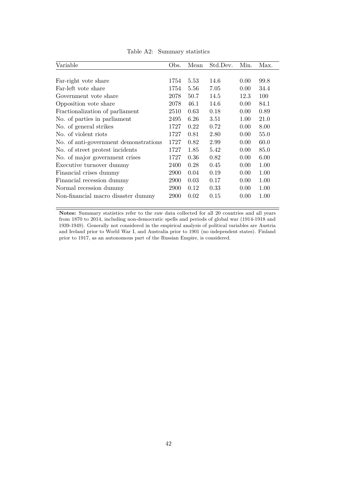<span id="page-43-0"></span>

| Variable                              | Obs. | Mean | Std.Dev. | Min. | Max. |
|---------------------------------------|------|------|----------|------|------|
|                                       |      |      |          |      |      |
| Far-right vote share                  | 1754 | 5.53 | 14.6     | 0.00 | 99.8 |
| Far-left vote share                   | 1754 | 5.56 | 7.05     | 0.00 | 34.4 |
| Government vote share                 | 2078 | 50.7 | 14.5     | 12.3 | 100  |
| Opposition vote share                 | 2078 | 46.1 | 14.6     | 0.00 | 84.1 |
| Fractionalization of parliament       | 2510 | 0.63 | 0.18     | 0.00 | 0.89 |
| No. of parties in parliament          | 2495 | 6.26 | 3.51     | 1.00 | 21.0 |
| No. of general strikes                | 1727 | 0.22 | 0.72     | 0.00 | 8.00 |
| No. of violent riots                  | 1727 | 0.81 | 2.80     | 0.00 | 55.0 |
| No. of anti-government demonstrations | 1727 | 0.82 | 2.99     | 0.00 | 60.0 |
| No. of street protest incidents       | 1727 | 1.85 | 5.42     | 0.00 | 85.0 |
| No. of major government crises        | 1727 | 0.36 | 0.82     | 0.00 | 6.00 |
| Executive turnover dummy              | 2400 | 0.28 | 0.45     | 0.00 | 1.00 |
| Financial crises dummy                | 2900 | 0.04 | 0.19     | 0.00 | 1.00 |
| Financial recession dummy             | 2900 | 0.03 | 0.17     | 0.00 | 1.00 |
| Normal recession dummy                | 2900 | 0.12 | 0.33     | 0.00 | 1.00 |
| Non-financial macro disaster dummy    | 2900 | 0.02 | 0.15     | 0.00 | 1.00 |

Table A2: Summary statistics

**Notes:** Summary statistics refer to the raw data collected for all 20 countries and all years from 1870 to 2014, including non-democratic spells and periods of global war (1914-1918 and 1939-1949). Generally not considered in the empirical analysis of political variables are Austria and Ireland prior to World War I, and Australia prior to 1901 (no independent states). Finland prior to 1917, as an autonomous part of the Russian Empire, is considered.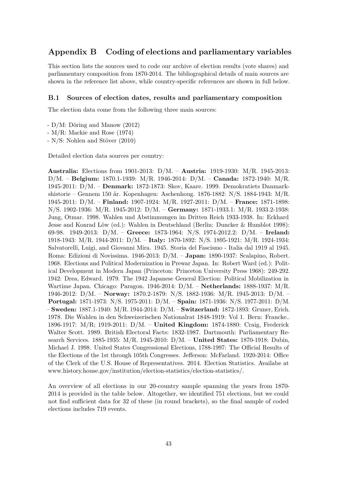### <span id="page-44-0"></span>**Appendix B Coding of elections and parliamentary variables**

This section lists the sources used to code our archive of election results (vote shares) and parliamentary composition from 1870-2014. The bibliographical details of main sources are shown in the reference list above, while country-specific references are shown in full below.

#### **B.1 Sources of election dates, results and parliamentary composition**

The election data come from the following three main sources:

- $D/M:$  Döring and Manow (2012)
- M/R: Mackie and Rose (1974)
- $-$  N/S: Nohlen and Stöver (2010)

Detailed election data sources per country:

**Australia:** Elections from 1901-2013: D/M. – **Austria:** 1919-1930: M/R. 1945-2013: D/M. – **Belgium:** 1870.1-1939: M/R. 1946-2014: D/M. – **Canada:** 1872-1940: M/R. 1945-2011: D/M. – **Denmark:** 1872-1873: Skov, Kaare. 1999. Demokratiets Danmarkshistorie – Gennem 150 år. Kopenhagen: Aschenhoug. 1876-1882: N/S. 1884-1943: M/R. 1945-2011: D/M. – **Finland:** 1907-1924: M/R. 1927-2011: D/M. – **France:** 1871-1898: N/S. 1902-1936: M/R. 1945-2012: D/M. – **Germany:** 1871-1933.1: M/R. 1933.2-1938: Jung, Otmar. 1998. Wahlen und Abstimmungen im Dritten Reich 1933-1938. In: Eckhard Jesse and Konrad Löw (ed.): Wahlen in Deutschland (Berlin: Duncker & Humblot 1998): 69-98. 1949-2013: D/M. – **Greece:** 1873-1964: N/S. 1974-2012.2: D/M. – **Ireland:** 1918-1943: M/R. 1944-2011: D/M. – **Italy:** 1870-1892: N/S. 1895-1921: M/R. 1924-1934: Salvatorelli, Luigi, and Giovanni Mira. 1945. Storia del Fascismo - Italia dal 1919 al 1945. Roma: Edizioni di Novissima. 1946-2013: D/M. – **Japan:** 1890-1937: Scalapino, Robert. 1968. Elections and Political Modernization in Prewar Japan. In: Robert Ward (ed.): Political Development in Modern Japan (Princeton: Princeton University Press 1968): 249-292. 1942: Drea, Edward. 1979. The 1942 Japanese General Election: Political Mobilization in Wartime Japan. Chicago: Paragon. 1946-2014: D/M. – **Netherlands:** 1888-1937: M/R. 1946-2012: D/M. – **Norway:** 1870.2-1879: N/S. 1882-1936: M/R. 1945-2013: D/M. – **Portugal:** 1871-1973: N/S. 1975-2011: D/M. – **Spain:** 1871-1936: N/S. 1977-2011: D/M. – **Sweden:** 1887.1-1940: M/R. 1944-2014: D/M. – **Switzerland:** 1872-1893: Gruner, Erich. 1978. Die Wahlen in den Schweizerischen Nationalrat 1848-1919: Vol 1. Bern: Francke.. 1896-1917: M/R; 1919-2011: D/M. – **United Kingdom:** 1874-1880: Craig, Frederick Walter Scott. 1989. British Electoral Facts: 1832-1987. Dartmouth: Parliamentary Research Services. 1885-1935: M/R. 1945-2010: D/M. – **United States:** 1870-1918: Dubin, Michael J. 1998. United States Congressional Elections, 1788-1997: The Official Results of the Elections of the 1st through 105th Congresses. Jefferson: McFarland. 1920-2014: Office of the Clerk of the U.S. House of Representatives. 2014. Election Statistics. Availabe at www.history.house.gov/institution/election-statistics/election-statistics/.

An overview of all elections in our 20-country sample spanning the years from 1870- 2014 is provided in the table below. Altogether, we identified 751 elections, but we could not find sufficient data for 32 of these (in round brackets), so the final sample of coded elections includes 719 events.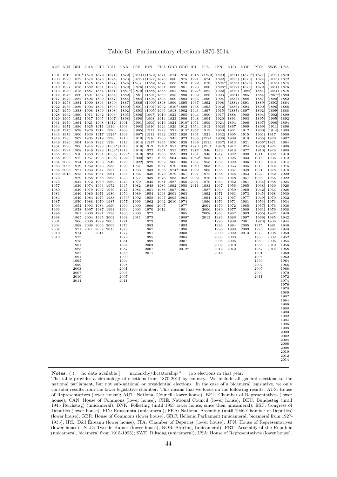|  | Table B1: Parliamentary elections 1870-2014 |  |  |  |
|--|---------------------------------------------|--|--|--|
|--|---------------------------------------------|--|--|--|

<span id="page-45-0"></span>

|              |                                  |                          |                             |                                  |                                     | AUS AUT BEL CAN CHE DEU DNK ESP                                                                                  |                            | FIN                                                                   |      |                                  | FRA GBR GRC IRL     |              | ITA          | JPN                            | NLD                                                                              | NOR                                                                                                      | $\rm{PRT}$                     | SWE                            | USA          |
|--------------|----------------------------------|--------------------------|-----------------------------|----------------------------------|-------------------------------------|------------------------------------------------------------------------------------------------------------------|----------------------------|-----------------------------------------------------------------------|------|----------------------------------|---------------------|--------------|--------------|--------------------------------|----------------------------------------------------------------------------------|----------------------------------------------------------------------------------------------------------|--------------------------------|--------------------------------|--------------|
|              |                                  |                          |                             |                                  |                                     |                                                                                                                  |                            |                                                                       |      |                                  |                     |              |              |                                |                                                                                  | 1901 1919 1870* 1872 1872 [1871] [1872] (1871)(1872)1871 1874 1873 1918 (1870)[1890] (1871)(1870*)[1871] |                                | $(1872)$ 1870                  |              |
|              | 1903 1920 1872                   |                          | 1874 1875                   |                                  | [1874]                              | $[1873]$ $(1872)$ $(1877)$ 1876 1880 1875                                                                        |                            |                                                                       |      |                                  |                     | 1921         | 1874         |                                |                                                                                  | $\begin{bmatrix} 1892 \end{bmatrix}$ (1873) (1873) $\begin{bmatrix} 1874 \end{bmatrix}$                  |                                | $(1875)$ 1872                  |              |
|              | 1906 1923 1874<br>1910 1927 1876 |                          | 1878 1878<br>1882 1881      |                                  | [1877]<br>[1878]                    | $[1876]$ 1873<br>$\begin{bmatrix} 1879 \end{bmatrix}$ $\begin{bmatrix} 1876 \end{bmatrix}$ (1885) 1881 1886 1881 |                            | (1882) 1877 1885 1879                                                 |      |                                  |                     | 1922<br>1923 | 1876<br>1880 |                                | $[1894*](1875)$ (1876)<br>$[1898*](1877)$ (1879)                                 |                                                                                                          | [1878]<br>[1879]               | $(1878)$ 1874<br>$(1881)$ 1876 |              |
|              | 1913 1930 1878                   |                          | 1887 1884                   |                                  | [1881]                              | $[1881*][1879]$ (1888) 1885 1892 1885                                                                            |                            |                                                                       |      |                                  |                     | 1927* 1882   |              |                                | $\begin{bmatrix} 1902 \end{bmatrix}$ (1879) $\begin{bmatrix} 1882 \end{bmatrix}$ |                                                                                                          | [1881]                         | (1884) 1878                    |              |
|              | 1914 1945 1880                   |                          |                             |                                  | 1891 1887 [1884]                    | $[1882]$ $[1881]$ $(1891)$ 1889 1895 1890 1932                                                                   |                            |                                                                       |      |                                  |                     |              | 1886         |                                | $[1903]$ $(1881)$ 1885                                                           |                                                                                                          | [1884]                         | $[1887*]1880$                  |              |
|              | 1917 1949 1882<br>1919 1953 1884 |                          | 1896 1890<br>1900 1893      |                                  | [1887]<br>$[1890]$                  | [1884]<br>[1887]                                                                                                 |                            | $[1884]$ $(1894)$ 1893 1900 1892<br>$[1886]$ (1900) 1898 1906 1895    |      |                                  |                     | 1933<br>1937 | 1890<br>1892 |                                | $[1904]$ $(1883)$ 1888<br>$[1908]$ $(1884)$ 1891                                 |                                                                                                          | [1887]<br>[1889]               | $[1890]$ 1882<br>[1893] 1884   |              |
|              | 1922 1956 1886                   |                          | 1904 1896                   |                                  | $[1893]$                            | $[1890]$                                                                                                         |                            | $[1891]$ $(1901)$ 1902 $1910*1899$                                    |      |                                  |                     | 1938         | 1895         |                                | $[1912]$ $(1886)$ 1894                                                           |                                                                                                          | $[1890]$                       | $[1896]$ 1886                  |              |
|              | 1925 1959 1888                   |                          | 1908 1899                   |                                  | [1898]                              | $[1892]$                                                                                                         |                            | $[1893]$ $(1905)$ 1906 1918 1902                                      |      |                                  |                     | 1943         | 1897         | [1915]                         | $(1887)$ 1897                                                                    |                                                                                                          | [1892]                         | $[1899]$ 1888                  |              |
|              | 1928 1962 1890                   |                          | 1911 1902                   |                                  | $[1903]$<br>1917 1905 [1907] [1898] | [1895]                                                                                                           |                            | $[1896]$ $[1907]$ 1910 1922 1905<br>[1898] [1908] 1914 1923 1906 1948 |      |                                  |                     | 1944         | 1900<br>1904 | $[1917]$ 1888<br>$[1920]$ 1891 |                                                                                  | 1900<br>1903                                                                                             | [1894]                         | $[1902]$ 1890<br>$[1905]$ 1892 |              |
|              | 1929 1966 1892<br>1931 1970 1894 |                          |                             |                                  | 1921 1908 [1912] 1901               |                                                                                                                  |                            | $[1901]$ $[1909]$ 1919 1924 1910* 1951                                |      |                                  |                     |              | 1909         | [1924]                         | 1894                                                                             | 1906                                                                                                     | $[1895]$<br>[1897]             | $[1908]$ 1894                  |              |
|              | 1934 1971 1896                   |                          |                             | 1925 1911 1919                   |                                     | 1903                                                                                                             |                            | [1903] [1910] 1924 1929 1912 1954                                     |      |                                  |                     |              | 1913         | [1928]                         | 1897                                                                             | 1909                                                                                                     | [1899]                         | [1911]                         | 1896         |
|              | 1937 1975 1898                   |                          |                             | 1926 1914 1920                   |                                     | 1906                                                                                                             |                            | $[1905]$ $[1911]$ 1928 1931 1915* 1957                                |      |                                  |                     |              | 1919         | [1930]                         | 1901                                                                             | 1912                                                                                                     | $[1900]$                       | [1914]                         | 1898         |
|              | 1943 1979 1900<br>1946 1983 1902 |                          | 1935 1919 1928              |                                  | 1930 1917 1924*                     | 1909<br>1910                                                                                                     |                            | $[1907]$ $[1913]$<br>$[1910]$ $[1916]$ 1936 1945 1923                 |      |                                  | 1932 1935 1920 1961 | 1965         | 1921         | [1932]<br>$[1924]$ $[1936]$    | 1905<br>1909                                                                     | 1915<br>1918                                                                                             | $[1901]$ 1917<br>$[1905]$ 1920 |                                | 1900<br>1902 |
|              | 1949 1986 1904                   |                          |                             | 1940 1922 1930                   |                                     | 1913                                                                                                             |                            | [1914] [1917] 1945 1950 1926                                          |      |                                  |                     | 1969         |              | $[1929]$ $[1937]$              | 1913                                                                             | 1921                                                                                                     | $[1906*]1921$                  |                                | 1904         |
|              | 1951 1990 1906                   |                          | 1945 1925                   |                                  | $[1932*]1915$                       |                                                                                                                  | [1916] 1919                |                                                                       |      | 1946*1951 1928                   |                     | 1973         |              | $[1934]$ $[1942]$              | 1917                                                                             | 1924                                                                                                     | $[1908]$ 1924                  |                                | 1906         |
|              | 1954 1994 1908<br>1955 1995 1910 |                          | 1949 1928                   | 1953 1931                        | $[1933*]1918$<br>$[1936]$ 1920*     |                                                                                                                  | [1918] 1922<br>[1919] 1924 |                                                                       |      | 1951 1955 1932<br>1956 1959 1933 |                     | 1977<br>1981 | 1946<br>1948 | 1946<br>1947                   | 1918<br>1922                                                                     | 1927<br>1930                                                                                             | $[1910]$ 1928<br>1911          | 1932                           | 1908<br>1910 |
|              |                                  | 1958 1999 1912 1957 1935 |                             |                                  | $[1938]$                            | 1924                                                                                                             | $[1920]$ 1927              |                                                                       |      | 1958 1964 1935                   |                     | $1982*1953$  |              | 1949                           | 1925                                                                             | 1933                                                                                                     | 1915                           | 1936                           | 1912         |
|              | 1961 2002 1914                   |                          | 1958 1939 1949              |                                  |                                     | 1926                                                                                                             | $[1922]$ 1929              |                                                                       |      | 1962 1966 1936                   |                     | 1987         | 1958         | 1952                           | 1929                                                                             | 1936                                                                                                     | 1918                           | 1940                           | 1914         |
|              | 1963 2006 1919<br>1966 2008 1921 |                          |                             | 1962 1943 1953<br>1963 1947 1957 |                                     | 1929<br>1932                                                                                                     | 1931<br>1933               | 1930<br>1933                                                          |      | 1967 1970 1946<br>1968 1974*1950 |                     | 1989<br>1992 | 1963<br>1968 | 1953<br>1955                   | 1933<br>1937                                                                     | 1945<br>1949                                                                                             | 1919<br>1921                   | 1944<br>1948                   | 1916<br>1918 |
|              | 1969 2013 1925                   |                          |                             | 1965 1951 1961                   |                                     | 1935                                                                                                             | 1936                       | 1936                                                                  |      | 1973 1979 1951                   |                     | 1997         | 1972         | 1958                           | 1946                                                                             | 1953                                                                                                     | 1922                           | 1952                           | 1920         |
| 1972         |                                  | 1929                     |                             | 1968 1955 1965                   |                                     | 1939                                                                                                             | 1977                       | 1939                                                                  |      | 1978 1983 1952                   |                     | 2002         | 1976         | 1960                           | 1948                                                                             | 1957                                                                                                     | 1925                           | 1956                           | 1922         |
| 1975<br>1977 |                                  | 1932<br>1936             | 1972 1959<br>1974 1963 1972 |                                  | 1969                                | 1943<br>1945                                                                                                     | 1979<br>1982               | 1945<br>1948                                                          |      | 1981 1987 1956<br>1986 1992 1958 |                     | 2007<br>2011 | 1979<br>1983 | 1963<br>1967                   | 1952<br>1956                                                                     | 1961<br>1965                                                                                             | [1934]<br>[1938]               | 1958<br>1960                   | 1924<br>1926 |
| 1980         |                                  | 1939                     |                             | 1979 1967 1976                   |                                     | 1947                                                                                                             | 1986                       | 1951                                                                  |      | 1988 1997 1961                   |                     |              | 1987         | 1969                           | 1959                                                                             | 1969                                                                                                     | [1942]                         | 1964                           | 1928         |
| 1983         |                                  | 1946                     |                             | 1980 1971 1980                   |                                     | 1950                                                                                                             | 1989                       | 1954                                                                  |      | 1993 2001 1963                   |                     |              | 1992         | 1971                           | 1963                                                                             | 1973                                                                                                     | [1945]                         | 1968                           | 1930         |
| 1984         |                                  | 1949                     |                             | 1984 1975 1983<br>1988 1979 1987 |                                     | 1953*<br>1957                                                                                                    | 1992<br>1996               | 1958<br>1962                                                          |      | 1997 2005 1964<br>2002 2010      |                     |              | 1994<br>1996 | 1972<br>1976                   | 1967<br>1971                                                                     | 1977<br>1981                                                                                             | [1949]                         | 1970                           | 1932<br>1934 |
| 1987<br>1990 |                                  | 1950<br>1954             |                             | 1993 1983 1990                   |                                     | 1960                                                                                                             | 2000                       | 1966                                                                  | 2007 |                                  | 1974<br>1977        |              | 2001         | 1979                           | 1972                                                                             | 1985                                                                                                     | [1953]<br>[1957]               | 1973<br>1976                   | 1936         |
| 1993         |                                  | 1958                     |                             | 1997 1987 1994                   |                                     | 1964                                                                                                             | 2003                       | 1970                                                                  | 2012 |                                  | 1981                |              | 2006         | 1980                           | 1977                                                                             | 1989                                                                                                     | $[1961]$                       | 1979                           | 1938         |
| 1996         |                                  | 1961                     |                             | 2000 1991 1998<br>2004 1995 2002 |                                     | 1966                                                                                                             | 2008                       | 1972                                                                  |      |                                  | 1985                |              | 2008         | 1983                           | 1982                                                                             | 1993                                                                                                     | $[1965]$                       | 1982                           | 1940         |
| 1998<br>2001 |                                  | 1965<br>1966             |                             | 2006 1999 2005                   |                                     | 1968<br>1971                                                                                                     | 2011                       | 1975<br>1979                                                          |      |                                  | 1989*<br>1990       |              | 2013         | 1986<br>1990                   | 1986<br>1989                                                                     | 1997<br>2001                                                                                             | $[1969]$<br>[1973]             | 1985<br>1988                   | 1942<br>1944 |
| 2004         |                                  | 1968                     |                             | 2008 2003 2009                   |                                     | 1973                                                                                                             |                            | 1983                                                                  |      |                                  | 1993                |              |              | 1993                           | 1994                                                                             | 2005                                                                                                     | 1975                           | 1991                           | 1946         |
| 2007         |                                  | 1971                     | 2011                        | 2007 2013                        |                                     | 1975                                                                                                             |                            | 1987                                                                  |      |                                  | 1996                |              |              | 1996                           | 1998                                                                             | 2009                                                                                                     | 1976                           | 1994                           | 1948         |
| 2010<br>2013 |                                  | 1974<br>1977             |                             | 2011                             |                                     | 1977<br>1979                                                                                                     |                            | 1991<br>1995                                                          |      |                                  | 2000<br>2004        |              |              | 2000<br>2003                   | 2002<br>2003                                                                     | 2013                                                                                                     | 1979<br>1980                   | 1998<br>2002                   | 1950<br>1952 |
|              |                                  | 1978                     |                             |                                  |                                     | 1981                                                                                                             |                            | 1999                                                                  |      |                                  | 2007                |              |              | 2005                           | 2006                                                                             |                                                                                                          | 1983                           | 2006                           | 1954         |
|              |                                  | 1981                     |                             |                                  |                                     | 1984                                                                                                             |                            | 2003                                                                  |      |                                  | 2009                |              |              | 2009                           | 2010                                                                             |                                                                                                          | 1985                           | 2010                           | 1956         |
|              |                                  | 1985<br>1987             |                             |                                  |                                     | 1987<br>1988                                                                                                     |                            | 2007<br>2011                                                          |      |                                  | $2012*$             |              |              | 2012<br>2014                   | 2012                                                                             |                                                                                                          | 1987<br>1991                   | 2014                           | 1958<br>1960 |
|              |                                  | 1991                     |                             |                                  |                                     | 1990                                                                                                             |                            |                                                                       |      |                                  |                     |              |              |                                |                                                                                  |                                                                                                          | 1995                           |                                | 1962         |
|              |                                  | 1995                     |                             |                                  |                                     | 1994                                                                                                             |                            |                                                                       |      |                                  |                     |              |              |                                |                                                                                  |                                                                                                          | 1999                           |                                | 1964         |
|              |                                  | 1999<br>2003             |                             |                                  |                                     | 1998<br>2001                                                                                                     |                            |                                                                       |      |                                  |                     |              |              |                                |                                                                                  |                                                                                                          | 2002<br>2005                   |                                | 1966<br>1968 |
|              |                                  | 2007                     |                             |                                  |                                     | 2005                                                                                                             |                            |                                                                       |      |                                  |                     |              |              |                                |                                                                                  |                                                                                                          | 2009                           |                                | 1970         |
|              |                                  | 2010                     |                             |                                  |                                     | 2007                                                                                                             |                            |                                                                       |      |                                  |                     |              |              |                                |                                                                                  |                                                                                                          | 2011                           |                                | 1972         |
|              |                                  | 2014                     |                             |                                  |                                     | 2011                                                                                                             |                            |                                                                       |      |                                  |                     |              |              |                                |                                                                                  |                                                                                                          |                                |                                | 1974<br>1976 |
|              |                                  |                          |                             |                                  |                                     |                                                                                                                  |                            |                                                                       |      |                                  |                     |              |              |                                |                                                                                  |                                                                                                          |                                |                                | 1978         |
|              |                                  |                          |                             |                                  |                                     |                                                                                                                  |                            |                                                                       |      |                                  |                     |              |              |                                |                                                                                  |                                                                                                          |                                |                                | 1980         |
|              |                                  |                          |                             |                                  |                                     |                                                                                                                  |                            |                                                                       |      |                                  |                     |              |              |                                |                                                                                  |                                                                                                          |                                |                                | 1982         |
|              |                                  |                          |                             |                                  |                                     |                                                                                                                  |                            |                                                                       |      |                                  |                     |              |              |                                |                                                                                  |                                                                                                          |                                |                                | 1984<br>1986 |
|              |                                  |                          |                             |                                  |                                     |                                                                                                                  |                            |                                                                       |      |                                  |                     |              |              |                                |                                                                                  |                                                                                                          |                                |                                | 1988         |
|              |                                  |                          |                             |                                  |                                     |                                                                                                                  |                            |                                                                       |      |                                  |                     |              |              |                                |                                                                                  |                                                                                                          |                                |                                | 1990         |
|              |                                  |                          |                             |                                  |                                     |                                                                                                                  |                            |                                                                       |      |                                  |                     |              |              |                                |                                                                                  |                                                                                                          |                                |                                | 1992<br>1994 |
|              |                                  |                          |                             |                                  |                                     |                                                                                                                  |                            |                                                                       |      |                                  |                     |              |              |                                |                                                                                  |                                                                                                          |                                |                                | 1996         |
|              |                                  |                          |                             |                                  |                                     |                                                                                                                  |                            |                                                                       |      |                                  |                     |              |              |                                |                                                                                  |                                                                                                          |                                |                                | 1998         |
|              |                                  |                          |                             |                                  |                                     |                                                                                                                  |                            |                                                                       |      |                                  |                     |              |              |                                |                                                                                  |                                                                                                          |                                |                                | 2000<br>2002 |
|              |                                  |                          |                             |                                  |                                     |                                                                                                                  |                            |                                                                       |      |                                  |                     |              |              |                                |                                                                                  |                                                                                                          |                                |                                | 2004         |
|              |                                  |                          |                             |                                  |                                     |                                                                                                                  |                            |                                                                       |      |                                  |                     |              |              |                                |                                                                                  |                                                                                                          |                                |                                | 2006         |
|              |                                  |                          |                             |                                  |                                     |                                                                                                                  |                            |                                                                       |      |                                  |                     |              |              |                                |                                                                                  |                                                                                                          |                                |                                | 2008<br>2010 |
|              |                                  |                          |                             |                                  |                                     |                                                                                                                  |                            |                                                                       |      |                                  |                     |              |              |                                |                                                                                  |                                                                                                          |                                |                                | 2012         |
|              |                                  |                          |                             |                                  |                                     |                                                                                                                  |                            |                                                                       |      |                                  |                     |              |              |                                |                                                                                  |                                                                                                          |                                |                                | 2014         |
|              |                                  |                          |                             |                                  |                                     |                                                                                                                  |                            |                                                                       |      |                                  |                     |              |              |                                |                                                                                  |                                                                                                          |                                |                                |              |

**Notes:** ( ) = no data available  $[$  ] = monarchy/dictatorship  $*$  = two elections in that year.

The table provides a chronology of elections from 1870-2014 by country. We include all general elections to the national parliament, but not sub-national or presidential elections. In the case of a bicameral legislative, we only consider results from the lower legislative chamber. This means that we focus on the following results: AUS: House of Representatives (lower house); AUT: National Council (lower house); BEL: Chamber of Representatives (lower house); CAN: House of Commons (lower house); CHE: National Council (lower house); DEU: Bundestag (until 1945 Reichstag) (unicameral); DNK: Folketing (until 1953 lower house, since then unicameral); ESP: Congress of Deputies (lower house); FIN: Eduskunta (unicameral); FRA: National Assembly (until 1946 Chamber of Deputies) (lower house); GBR: House of Commons (lower house); GRC: Hellenic Parliament (unicameral, bicameral from 1927- 1935); IRL: Dáil Éireann (lower house); ITA: Chamber of Deputies (lower house); JPN: House of Representatives (lower house). NLD: Tweede Kamer (lower house); NOR: Storting (unicameral); PRT: Assembly of the Republic (unicameral, bicameral from 1915-1925); SWE: Riksdag (unicameral); USA: House of Representatives (lower house).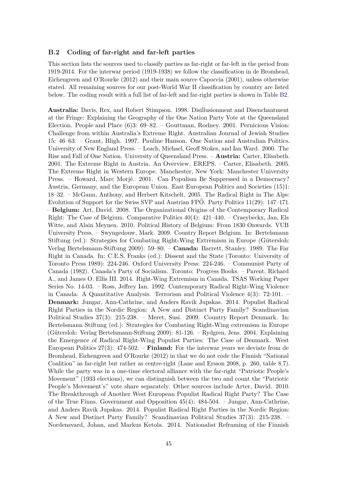#### **B.2 Coding of far-right and far-left parties**

This section lists the sources used to classify parties as far-right or far-left in the period from 1919-2014. For the interwar period (1919-1938) we follow the classification in de Bromhead, Eichengreen and O'Rourke (2012) and their main source Capoccia (2001), unless otherwise stated. All remaining sources for our post-World War II classification by country are listed below. The coding result with a full list of far-left and far-right parties is shown in Table [B2.](#page-50-0)

**Australia:** Davis, Rex, and Robert Stimpson. 1998. Disillusionment and Disenchantment at the Fringe: Explaining the Geography of the One Nation Party Vote at the Queensland Election. People and Place (6)3: 69–82. – Gouttman, Rodney. 2001. Pernicious Vision: Challenge from within Australia's Extreme Right. Australian Journal of Jewish Studies 15: 46–63. – Grant, Bligh. 1997. Pauline Hanson. One Nation and Australian Politics. University of New England Press. – Leach, Michael, Geoff Stokes, and Ian Ward. 2000. The Rise and Fall of One Nation. University of Queensland Press. – **Austria:** Carter, Elisabeth. 2001. The Extreme Right in Austria. An Overview. EREPS. – Carter, Elisabeth. 2005. The Extreme Right in Western Europe. Manchester, New York: Manchester University Press. – Howard, Marc Morjé. 2001. Can Populism Be Suppressed in a Democracy? Austria, Germany, and the European Union. East European Politics and Societies (15)1: 18–32. – McGann, Anthony, and Herbert Kitschelt. 2005. The Radical Right in The Alps: Evolution of Support for the Swiss SVP and Austrian FPO. Party Politics  $11(29)$ :  $147-171$ . – **Belgium:** Art, David. 2008. The Organizational Origins of the Contemporary Radical Right: The Case of Belgium. Comparative Politics 40(4): 421–440. – Craeybeckx, Jan, Els Witte, and Alain Meynen. 2010. Political History of Belgium: From 1830 Onwards. VUB University Press. – Swyngedouw, Mark. 2009. Country Report Belgium. In: Bertelsmann Stiftung (ed.): Strategies for Combating Right-Wing Extremism in Europe (Gütersloh: Verlag Bertelsmann-Stiftung 2009): 59–80. – **Canada:** Barrett, Stanley. 1989. The Far Right in Canada. In: C.E.S. Franks (ed.): Dissent and the State (Toronto: University of Toronto Press 1989): 224-246. Oxford University Press: 224-246. – Communist Party of Canada (1982). Canada's Party of Socialism. Toronto: Progress Books. – Parent, Richard A., and James O. Ellis III. 2014. Right-Wing Extremism in Canada. TSAS Working Paper Series No. 14-03. – Ross, Jeffrey Ian. 1992. Contemporary Radical Right-Wing Violence in Canada: A Quantitative Analysis. Terrorism and Political Violence 4(3): 72-101. – **Denmark:** Jungar, Ann-Cathrine, and Anders Ravik Jupskas. 2014. Populist Radical Right Parties in the Nordic Region: A New and Distinct Party Family? Scandinavian Political Studies 37(3): 215-238. – Meret, Susi. 2009. Country Report Denmark. In: Bertelsmann Stiftung (ed.): Strategies for Combating Right-Wing extremism in Europe (Gütersloh: Verlag Bertelsmann-Stiftung 2009): 81-126. – Rydgren, Jens. 2004. Explaining the Emergence of Radical Right-Wing Populist Parties: The Case of Denmark. West European Politics 27(3): 474-502. – **Finland:** For the interwar years we deviate from de Bromhead, Eichengreen and O'Rourke (2012) in that we do not code the Finnish "National Coalition" as far-right but rather as centre-right (Lane and Ersson 2008, p. 260, table 8.7). While the party was in a one-time electoral alliance with the far-right "Patriotic People's Movement" (1933 elections), we can distinguish between the two and count the "Patriotic People's Movement's" vote share separately. Other sources include Arter, David. 2010. The Breakthrough of Another West European Populist Radical Right Party? The Case of the True Finns. Government and Opposition 45(4): 484-504. – Jungar, Ann-Cathrine, and Anders Ravik Jupskas. 2014. Populist Radical Right Parties in the Nordic Region: A New and Distinct Party Family? Scandinavian Political Studies 37(3): 215-238. – Nordensvard, Johan, and Markus Ketola. 2014. Nationalist Reframing of the Finnish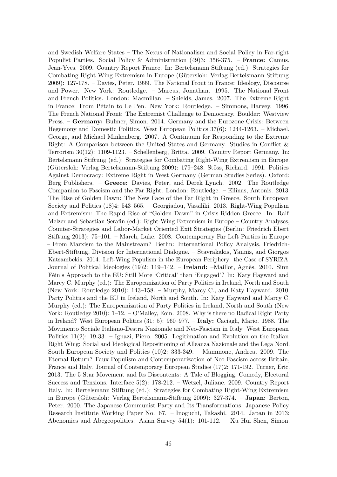and Swedish Welfare States – The Nexus of Nationalism and Social Policy in Far-right Populist Parties. Social Policy & Administration (49)3: 356-375. – **France:** Camus, Jean-Yves. 2009. Country Report France. In: Bertelsmann Stiftung (ed.): Strategies for Combating Right-Wing Extremism in Europe (Gütersloh: Verlag Bertelsmann-Stiftung 2009): 127-178. – Davies, Peter. 1999. The National Front in France: Ideology, Discourse and Power. New York: Routledge. – Marcus, Jonathan. 1995. The National Front and French Politics. London: Macmillan. – Shields, James. 2007. The Extreme Right in France: From Pétain to Le Pen. New York: Routledge. – Simmons, Harvey. 1996. The French National Front: The Extremist Challenge to Democracy. Boulder: Westview Press. – **Germany:** Bulmer, Simon. 2014. Germany and the Eurozone Crisis: Between Hegemony and Domestic Politics. West European Politics 37(6): 1244-1263. – Michael, George, and Michael Minkenberg. 2007. A Continuum for Responding to the Extreme Right: A Comparison between the United States and Germany. Studies in Conflict & Terrorism 30(12): 1109-1123. – Schellenberg, Britta. 2009. Country Report Germany. In: Bertelsmann Stiftung (ed.): Strategies for Combating Right-Wing Extremism in Europe. (Gütersloh: Verlag Bertelsmann-Stiftung 2009): 179–248. Stöss, Richard. 1991. Politics Against Democracy: Extreme Right in West Germany (German Studies Series). Oxford: Berg Publishers. – **Greece:** Davies, Peter, and Derek Lynch. 2002. The Routledge Companion to Fascism and the Far Right. London: Routledge. – Ellinas, Antonis. 2013. The Rise of Golden Dawn: The New Face of the Far Right in Greece. South European Society and Politics (18)4: 543–565. – Georgiadou, Vassiliki. 2013. Right-Wing Populism and Extremism: The Rapid Rise of "Golden Dawn" in Crisis-Ridden Greece. In: Ralf Melzer and Sebastian Serafin (ed.): Right-Wing Extremism in Europe – Country Analyses, Counter-Strategies and Labor-Market Oriented Exit Strategies (Berlin: Friedrich Ebert Stiftung 2013): 75–101. – March, Luke. 2008. Contemporary Far Left Parties in Europe – From Marxism to the Mainstream? Berlin: International Policy Analysis, Friedrich-Ebert-Stiftung, Division for International Dialogue. – Stavrakakis, Yannis, and Giorgos Katsambekis. 2014. Left-Wing Populism in the European Periphery: the Case of SYRIZA. Journal of Political Ideologies (19)2: 119–142. – **Ireland:** –Maillot, Agnès. 2010. Sinn Féin's Approach to the EU: Still More 'Critical' than 'Engaged'? In: Katy Hayward and Marcy C. Murphy (ed.): The Europeanization of Party Politics in Ireland, North and South (New York: Routledge 2010): 143–158. – Murphy, Marcy C., and Katy Hayward. 2010. Party Politics and the EU in Ireland, North and South. In: Katy Hayward and Marcy C. Murphy (ed.): The Europeanization of Party Politics in Ireland, North and South (New York: Routledge 2010):  $1-12. - O'Mallev$ , Eoin. 2008. Why is there no Radical Right Party in Ireland? West European Politics (31: 5): 960–977. – **Italy:** Caciagli, Mario. 1988. The Movimento Sociale Italiano-Destra Nazionale and Neo-Fascism in Italy. West European Politics 11(2): 19-33. – Ignazi, Piero. 2005. Legitimation and Evolution on the Italian Right Wing: Social and Ideological Repositioning of Alleanza Nazionale and the Lega Nord. South European Society and Politics (10)2: 333-349. – Mammone, Andrea. 2009. The Eternal Return? Faux Populism and Contemporarization of Neo-Fascism across Britain, France and Italy. Journal of Contemporary European Studies (17)2: 171-192. Turner, Eric. 2013. The 5 Star Movement and Its Discontents: A Tale of Blogging, Comedy, Electoral Success and Tensions. Interface 5(2): 178-212. – Wetzel, Juliane. 2009. Country Report Italy. In: Bertelsmann Stiftung (ed.): Strategies for Combating Right-Wing Extremism in Europe (G¨utersloh: Verlag Bertelsmann-Stiftung 2009): 327-374. – **Japan:** Berton, Peter. 2000. The Japanese Communist Party and Its Transformations. Japanese Policy Research Institute Working Paper No. 67. – Inoguchi, Takashi. 2014. Japan in 2013: Abenomics and Abegeopolitics. Asian Survey 54(1): 101-112. – Xu Hui Shen, Simon.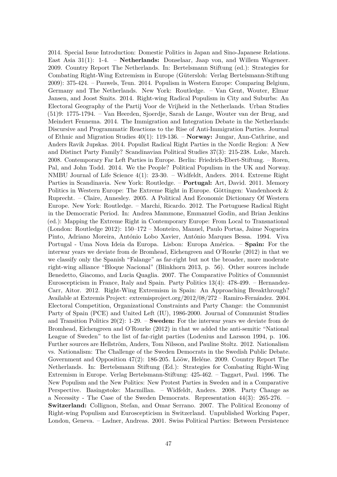2014. Special Issue Introduction: Domestic Politics in Japan and Sino-Japanese Relations. East Asia 31(1): 1-4. – **Netherlands:** Donselaar, Jaap von, and Willem Wageneer. 2009. Country Report The Netherlands. In: Bertelsmann Stiftung (ed.): Strategies for Combating Right-Wing Extremism in Europe (Gütersloh: Verlag Bertelsmann-Stiftung 2009): 375-424. – Pauwels, Teun. 2014. Populism in Western Europe: Comparing Belgium, Germany and The Netherlands. New York: Routledge. – Van Gent, Wouter, Elmar Jansen, and Joost Smits. 2014. Right-wing Radical Populism in City and Suburbs: An Electoral Geography of the Partij Voor de Vrijheid in the Netherlands. Urban Studies (51)9: 1775-1794. – Van Heerden, Sjoerdje, Sarah de Lange, Wouter van der Brug, and Meindert Fennema. 2014. The Immigration and Integration Debate in the Netherlands: Discursive and Programmatic Reactions to the Rise of Anti-Immigration Parties. Journal of Ethnic and Migration Studies 40(1): 119-136. – **Norway:** Jungar, Ann-Cathrine, and Anders Ravik Jupskas. 2014. Populist Radical Right Parties in the Nordic Region: A New and Distinct Party Family? Scandinavian Political Studies 37(3): 215-238. Luke, March. 2008. Contemporary Far Left Parties in Europe. Berlin: Friedrich-Ebert-Stiftung. – Roren, Pal, and John Todd. 2014. We the People? Political Populism in the UK and Norway. NMBU Journal of Life Science 4(1): 23-30. – Widfeldt, Anders. 2014. Extreme Right Parties in Scandinavia. New York: Routledge. – **Portugal:** Art, David. 2011. Memory Politics in Western Europe: The Extreme Right in Europe. Göttingen: Vandenhoeck  $\&$ Ruprecht. – Claire, Annesley. 2005. A Political And Economic Dictionary Of Western Europe. New York: Routledge. – Marchi, Ricardo. 2012. The Portuguese Radical Right in the Democratic Period. In: Andrea Mammone, Emmanuel Godin, and Brian Jenkins (ed.): Mapping the Extreme Right in Contemporary Europe: From Local to Transnational (London: Routledge 2012): 150–172 – Monteiro, Manuel, Paulo Portas, Jaime Nogueira Pinto, Adriano Moreira, António Lobo Xavier, António Marques Bessa. 1994. Viva Portugal - Uma Nova Ideia da Europa. Lisbon: Europa América. – **Spain:** For the interwar years we deviate from de Bromhead, Eichengreen and O'Rourke (2012) in that we we classify only the Spanish "Falange" as far-right but not the broader, more moderate right-wing alliance "Bloque Nacional" (Blinkhorn 2013, p. 56). Other sources include Benedetto, Giacomo, and Lucia Quaglia. 2007. The Comparative Politics of Communist Euroscepticism in France, Italy and Spain. Party Politics 13(4): 478-499. – Hernandez-Carr, Aitor. 2012. Right-Wing Extremism in Spain: An Approaching Breakthrough? Available at Extremis Project: extremisproject.org/2012/08/272 – Ramiro-Fernández. 2004. Electoral Competition, Organizational Constraints and Party Change: the Communist Party of Spain (PCE) and United Left (IU), 1986-2000. Journal of Communist Studies and Transition Politics 20(2): 1-29. – **Sweden:** For the interwar years we deviate from de Bromhead, Eichengreen and O'Rourke (2012) in that we added the anti-semitic "National League of Sweden" to the list of far-right parties (Lodenius and Larsson 1994, p. 106. Further sources are Hellström, Anders, Tom Nilsson, and Pauline Stoltz. 2012. Nationalism vs. Nationalism: The Challenge of the Sweden Democrats in the Swedish Public Debate. Government and Opposition 47(2): 186-205. Lööw, Heléne. 2009. Country Report The Netherlands. In: Bertelsmann Stiftung (Ed.): Strategies for Combating Right-Wing Extremism in Europe. Verlag Bertelsmann-Stiftung: 425-462. – Taggart, Paul. 1996. The New Populism and the New Politics: New Protest Parties in Sweden and in a Comparative Perspective. Basingstoke: Macmillan. – Widfeldt, Anders. 2008. Party Change as a Necessity - The Case of the Sweden Democrats. Representation 44(3): 265-276. – **Switzerland:** Collignon, Stefan, and Omar Serrano. 2007. The Political Economy of Right-wing Populism and Euroscepticism in Switzerland. Unpublished Working Paper, London, Geneva. – Ladner, Andreas. 2001. Swiss Political Parties: Between Persistence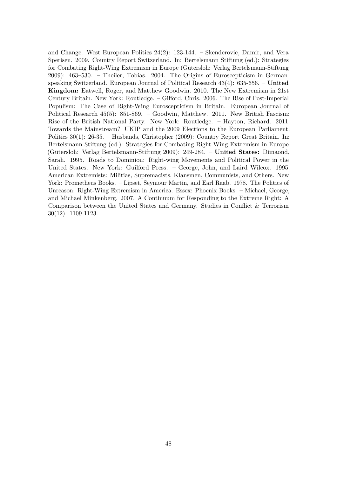and Change. West European Politics 24(2): 123-144. – Skenderovic, Damir, and Vera Sperisen. 2009. Country Report Switzerland. In: Bertelsmann Stiftung (ed.): Strategies for Combating Right-Wing Extremism in Europe (Gütersloh: Verlag Bertelsmann-Stiftung 2009): 463–530. – Theiler, Tobias. 2004. The Origins of Euroscepticism in Germanspeaking Switzerland. European Journal of Political Research 43(4): 635-656. – **United Kingdom:** Eatwell, Roger, and Matthew Goodwin. 2010. The New Extremism in 21st Century Britain. New York: Routledge. – Gifford, Chris. 2006. The Rise of Post-Imperial Populism: The Case of Right-Wing Euroscepticism in Britain. European Journal of Political Research 45(5): 851-869. – Goodwin, Matthew. 2011. New British Fascism: Rise of the British National Party. New York: Routledge. – Hayton, Richard. 2011. Towards the Mainstream? UKIP and the 2009 Elections to the European Parliament. Politics 30(1): 26-35. – Husbands, Christopher (2009): Country Report Great Britain. In: Bertelsmann Stiftung (ed.): Strategies for Combating Right-Wing Extremism in Europe (G¨utersloh: Verlag Bertelsmann-Stiftung 2009): 249-284. – **United States:** Dimaond, Sarah. 1995. Roads to Dominion: Right-wing Movements and Political Power in the United States. New York: Guilford Press. – George, John, and Laird Wilcox. 1995. American Extremists: Militias, Supremacists, Klansmen, Communists, and Others. New York: Prometheus Books. – Lipset, Seymour Martin, and Earl Raab. 1978. The Politics of Unreason: Right-Wing Extremism in America. Essex: Phoenix Books. – Michael, George, and Michael Minkenberg. 2007. A Continuum for Responding to the Extreme Right: A Comparison between the United States and Germany. Studies in Conflict & Terrorism 30(12): 1109-1123.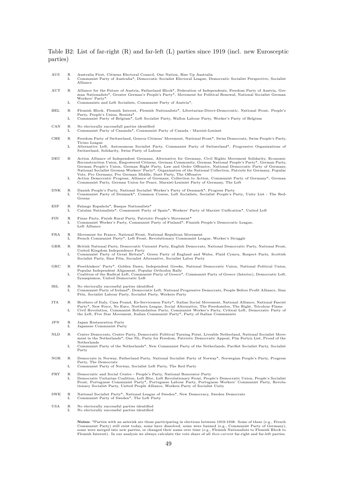#### <span id="page-50-0"></span>Table B2: List of far-right (R) and far-left (L) parties since 1919 (incl. new Eurosceptic parties)

| AUS                       | R<br>L          | Australia First, Citizens Electoral Council, One Nation, Rise Up Australia<br>Communist Party of Australia*, Democratic Socialist Electoral League, Democratic Socialist Perspective, Socialist<br>Alliance                                                                                                                                                                                                                                                                                                                                                                                                                                                                                                                           |
|---------------------------|-----------------|---------------------------------------------------------------------------------------------------------------------------------------------------------------------------------------------------------------------------------------------------------------------------------------------------------------------------------------------------------------------------------------------------------------------------------------------------------------------------------------------------------------------------------------------------------------------------------------------------------------------------------------------------------------------------------------------------------------------------------------|
| $_{\rm AUT}$              | R<br>L          | Alliance for the Future of Austria, Fatherland Block*, Federation of Independents, Freedom Party of Austria, Ger-<br>man Nationalists*, Greater German's People's Party*, Movement for Political Renewal, National Socialist German<br>Workers' Party*<br>Communists and Left Socialists, Communist Party of Austria*,                                                                                                                                                                                                                                                                                                                                                                                                                |
| BEL                       | R               | Flemish Block, Flemish Interest, Flemish Nationalists*, Libertarian-Direct-Democratic, National Front, People's                                                                                                                                                                                                                                                                                                                                                                                                                                                                                                                                                                                                                       |
|                           | L               | Party, People's Union, Rexists*<br>Communist Party of Belgium*, Left Socialist Party, Wallon Labour Party, Worker's Party of Belgium                                                                                                                                                                                                                                                                                                                                                                                                                                                                                                                                                                                                  |
| CAN                       | R<br>L          | No electorally successfull parties identified<br>Communist Party of Cananda*, Communist Party of Canada - Marxist-Leninst                                                                                                                                                                                                                                                                                                                                                                                                                                                                                                                                                                                                             |
| CHE                       | R               | Freedom Party of Switzerland, Geneva Citizens' Movement, National Front*, Swiss Democrats, Swiss People's Party,<br>Ticino League                                                                                                                                                                                                                                                                                                                                                                                                                                                                                                                                                                                                     |
|                           | L               | Alternative Left, Autonomous Socialist Party, Communist Party of Switzerland*, Progressive Organizations of<br>Switzerland, Solidarity, Swiss Party of Labour                                                                                                                                                                                                                                                                                                                                                                                                                                                                                                                                                                         |
| DEU                       | R<br>L          | Action Alliance of Independent Germans, Alternative for Germany, Civil Rights Movement Solidarity, Economic<br>Reconstruction Union, Empowered Citizens, German Community, German National People's Party*, German Party,<br>German People's Union, German Right Party, Law and Order Offensive, National Democratic Party of Germany,<br>National Socialist German Workers' Party*, Organization of the National Collection, Patriots for Germany, Popular<br>Vote, Pro Germany, Pro German Middle, Statt Party, The Offensive<br>Action Democratic Progress, Alliance of Germans, Collection to Action, Communist Party of Germany*, German<br>Communist Party, German Union for Peace, Marxist-Leninist Party of Germany, The Left |
| DNK                       | $_{\rm R}$<br>L | Danish People's Party, National Socialist Worker's Party of Denmark*, Progress Party<br>Communist Party of Denmark*, Common Course, Left Socialists, Socialist People's Party, Unity List - The Red-<br>Greens                                                                                                                                                                                                                                                                                                                                                                                                                                                                                                                        |
| ESP                       | R<br>L          | Falange Española*, Basque Nationalists*<br>Catalan Nationalists*, Communist Party of Spain*, Workers' Party of Marxist Unification*, United Left                                                                                                                                                                                                                                                                                                                                                                                                                                                                                                                                                                                      |
| FIN                       | R<br>L          | Finns Party, Finish Rural Party, Patriotic People's Movement*<br>Communist Worker's Party, Communist Party of Finland*, Finnish People's Democratic League,<br>Left Alliance                                                                                                                                                                                                                                                                                                                                                                                                                                                                                                                                                          |
| FRA                       | R<br>L          | Movement for France, National Front, National Repulican Movement<br>French Communist Party*, Left Front, Revolutionary Communist League, Worker's Struggle                                                                                                                                                                                                                                                                                                                                                                                                                                                                                                                                                                            |
| GBR                       | R               | British National Party, Democratic Unionist Party, English Democrats, National Democratic Party, National Front,                                                                                                                                                                                                                                                                                                                                                                                                                                                                                                                                                                                                                      |
|                           | L               | United Kingdom Independence Party<br>Communist Party of Great Britain*, Green Party of England and Wales, Plaid Cymru, Respect Party, Scottish<br>Socialist Party, Sinn Féin, Socialist Alternative, Socialist Labor Party                                                                                                                                                                                                                                                                                                                                                                                                                                                                                                            |
| $_{\rm GRC}$              | R<br>L          | Freethinkers' Party*, Golden Dawn, Independent Greeks, National Democratic Union, National Political Union,<br>Popular Independent Alignment, Popular Orthodox Rally<br>Coalition of the Radical Left, Communist Party of Greece*, Communist Party of Greece (Interior), Democratic Left,<br>Synaspismos, United Democratic Left                                                                                                                                                                                                                                                                                                                                                                                                      |
| IRL                       | $_{\rm R}$<br>L | No electorally successful parties identified<br>Communist Party of Ireland*, Democratic Left, National Progressive Democrats, People Before Profit Alliance, Sinn<br>Féin, Socialist Labour Party, Socialist Party, Workers Party                                                                                                                                                                                                                                                                                                                                                                                                                                                                                                     |
| ITA                       | R<br>L          | Brothers of Italy, Casa Pound, Ex-Servicemen Party*, Italian Social Movement, National Alliance, National Fascist<br>Party*, New Force, No Euro, Northern League, Social Alternative, The Freedomites, The Right, Tricolour Flame<br>Civil Revolution, Communist Refoundation Party, Communist Worker's Party, Critical Left, Democratic Party of<br>the Left, Five Star Movement, Italian Communist Party*, Party of Italian Communists                                                                                                                                                                                                                                                                                              |
| JPN                       | R<br>L          | Japan Restauration Party<br>Japanese Communist Party                                                                                                                                                                                                                                                                                                                                                                                                                                                                                                                                                                                                                                                                                  |
| NLD                       | R               | Centre Democrats, Centre Party, Democratic Political Turning Point, Liveable Netherland, National Socialist Move-<br>ment in the Netherlands*, One NL, Party for Freedom, Patriotic Democratic Appeal, Pim Fortyn List, Proud of the                                                                                                                                                                                                                                                                                                                                                                                                                                                                                                  |
|                           | L               | Netherlands<br>Communist Party of the Netherlands*, New Communist Party of the Netherlands, Pacifist Socialist Party, Socialist<br>Party                                                                                                                                                                                                                                                                                                                                                                                                                                                                                                                                                                                              |
| NOR                       | $_{\rm R}$<br>L | Democrats in Norway, Fatherland Party, National Socialist Party of Norway*, Norwegian People's Party, Progress<br>Party, The Democrats<br>Communist Party of Norway, Socialist Left Party, The Red Party                                                                                                                                                                                                                                                                                                                                                                                                                                                                                                                              |
| $\overline{\mathrm{PRT}}$ |                 |                                                                                                                                                                                                                                                                                                                                                                                                                                                                                                                                                                                                                                                                                                                                       |
|                           | R<br>L          | Democratic and Social Centre - People's Party, National Renovator Party<br>Democratic Unitarian Coalition, Left Bloc, Left Revolutionary Front, People's Democratic Union, People's Socialist<br>Front, Portuguese Communist Party*, Portuguese Labour Party, Portuguese Workers' Communist Party, Revolu-<br>tionary Socialist Party, United People Alliance, Workers Party of Socialist Unity                                                                                                                                                                                                                                                                                                                                       |
| $_{\rm SWE}$              | R<br>L          | National Socialist Party*, National League of Sweden*, New Democracy, Sweden Democrats<br>Communist Party of Sweden*, The Left Party                                                                                                                                                                                                                                                                                                                                                                                                                                                                                                                                                                                                  |
| USA                       | $_{\rm R}$<br>L | No electorally successful parties identified<br>No electorally successful parties identified                                                                                                                                                                                                                                                                                                                                                                                                                                                                                                                                                                                                                                          |
|                           |                 | <b>Notes:</b> *Parties with an asterisk are those participating in elections between 1919-1938. Some of these (e.g., French<br>Communist Party) still exist today, some have dissolved, some were banned (e.g., Communist Party of Germany),<br>some were merged into new parties, or changed their name over time (e.g., Flemish Nationalists to Flemish Block to<br>Flemish Interest). In our analysis we always calculate the vote share of all then-current far-right and far-left parties.                                                                                                                                                                                                                                       |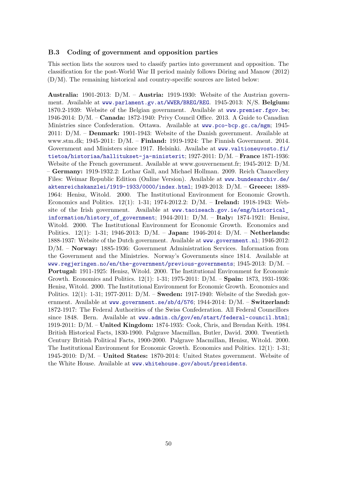#### **B.3 Coding of government and opposition parties**

This section lists the sources used to classify parties into government and opposition. The classification for the post-World War II period mainly follows Döring and Manow  $(2012)$ (D/M). The remaining historical and country-specific sources are listed below:

**Australia:** 1901-2013: D/M. – **Austria:** 1919-1930: Website of the Austrian government. Available at <www.parlament.gv.at/WWER/BREG/REG>. 1945-2013: N/S. **Belgium:** 1870.2-1939: Website of the Belgian government. Available at <www.premier.fgov.be>; 1946-2014: D/M. – **Canada:** 1872-1940: Privy Council Office. 2013. A Guide to Canadian Ministries since Confederation. Ottawa. Available at <www.pco-bcp.gc.ca/mgm>; 1945- 2011: D/M. – **Denmark:** 1901-1943: Website of the Danish government. Available at www.stm.dk; 1945-2011: D/M. – **Finland:** 1919-1924: The Finnish Government. 2014. Government and Ministers since 1917. Helsinki. Availabe at [www.valtioneuvosto.fi/](www.valtioneuvosto.fi/tietoa/historiaa/hallitukset-ja-ministerit) [tietoa/historiaa/hallitukset-ja-ministerit](www.valtioneuvosto.fi/tietoa/historiaa/hallitukset-ja-ministerit); 1927-2011: D/M. – **France** 1871-1936: Website of the French government. Available at www.gouvernement.fr; 1945-2012: D/M. – **Germany:** 1919-1932.2: Lothar Gall, and Michael Hollman. 2009. Reich Chancellery Files: Weimar Republic Edition (Online Version). Available at [www.bundesarchiv.de/](www.bundesarchiv.de/aktenreichskanzlei/1919-1933/0000/index.html) [aktenreichskanzlei/1919-1933/0000/index.html](www.bundesarchiv.de/aktenreichskanzlei/1919-1933/0000/index.html); 1949-2013: D/M. – **Greece:** 1889- 1964: Henisz, Witold. 2000. The Institutional Environment for Economic Growth. Economics and Politics. 12(1): 1-31; 1974-2012.2: D/M. – **Ireland:** 1918-1943: Website of the Irish government. Available at [www.taoiseach.gov.ie/eng/historical\\_](www.taoiseach.gov.ie/eng/historical_information/history_of_government) [information/history\\_of\\_government](www.taoiseach.gov.ie/eng/historical_information/history_of_government); 1944-2011: D/M. – **Italy:** 1874-1921: Henisz, Witold. 2000. The Institutional Environment for Economic Growth. Economics and Politics. 12(1): 1-31; 1946-2013: D/M. – **Japan:** 1946-2014: D/M. – **Netherlands:** 1888-1937: Website of the Dutch government. Available at <www.government.nl>; 1946-2012: D/M. – **Norway:** 1885-1936: Government Administration Services. Information from the Government and the Ministries. Norway's Governments since 1814. Available at <www.regjeringen.no/en/the-government/previous-governments>; 1945-2013: D/M. – **Portugal:** 1911-1925: Henisz, Witold. 2000. The Institutional Environment for Economic Growth. Economics and Politics. 12(1): 1-31; 1975-2011: D/M. – **Spain:** 1873, 1931-1936: Henisz, Witold. 2000. The Institutional Environment for Economic Growth. Economics and Politics. 12(1): 1-31; 1977-2011: D/M. – **Sweden:** 1917-1940: Website of the Swedish government. Available at <www.government.se/sb/d/576>; 1944-2014: D/M. – **Switzerland:** 1872-1917: The Federal Authorities of the Swiss Confederation. All Federal Councillors since 1848. Bern. Available at <www.admin.ch/gov/en/start/federal-council.html>; 1919-2011: D/M. – **United Kingdom:** 1874-1935: Cook, Chris, and Brendan Keith. 1984. British Historical Facts, 1830-1900. Palgrave Macmillan, Butler, David. 2000. Twentieth Century British Political Facts, 1900-2000. Palgrave Macmillan, Henisz, Witold. 2000. The Institutional Environment for Economic Growth. Economics and Politics. 12(1): 1-31; 1945-2010: D/M. – **United States:** 1870-2014: United States government. Website of the White House. Available at <www.whitehouse.gov/about/presidents>.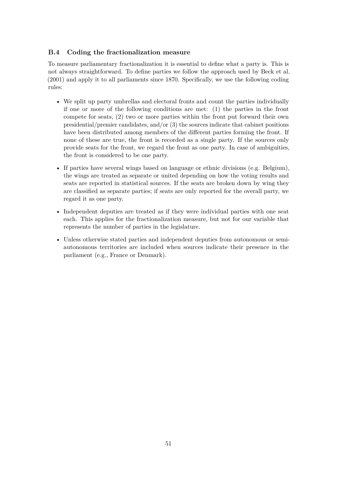#### **B.4 Coding the fractionalization measure**

To measure parliamentary fractionalization it is essential to define what a party is. This is not always straightforward. To define parties we follow the approach used by Beck et al. (2001) and apply it to all parliaments since 1870. Specifically, we use the following coding rules:

- We split up party umbrellas and electoral fronts and count the parties individually if one or more of the following conditions are met: (1) the parties in the front compete for seats, (2) two or more parties within the front put forward their own presidential/premier candidates, and/or (3) the sources indicate that cabinet positions have been distributed among members of the different parties forming the front. If none of these are true, the front is recorded as a single party. If the sources only provide seats for the front, we regard the front as one party. In case of ambiguities, the front is considered to be one party.
- If parties have several wings based on language or ethnic divisions (e.g. Belgium), the wings are treated as separate or united depending on how the voting results and seats are reported in statistical sources. If the seats are broken down by wing they are classified as separate parties; if seats are only reported for the overall party, we regard it as one party.
- Independent deputies are treated as if they were individual parties with one seat each. This applies for the fractionalization measure, but not for our variable that represents the number of parties in the legislature.
- Unless otherwise stated parties and independent deputies from autonomous or semiautonomous territories are included when sources indicate their presence in the parliament (e.g., France or Denmark).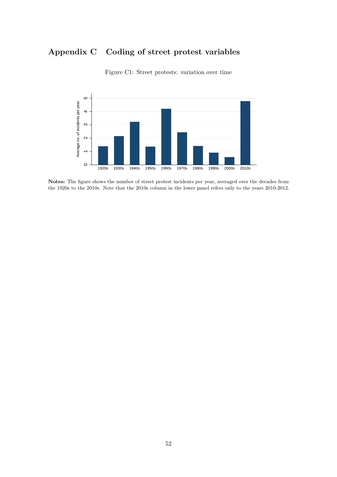# **Appendix C Coding of street protest variables** 4  $\mathbf{d}$

<span id="page-53-0"></span>

Figure C1: Street protests: variation over time

Notes: The figure shows the number of street protest incidents per year, averaged over the decades from the 1920s to the 2010s. Note that the 2010s column in the lower panel refers only to the years 2010-2012.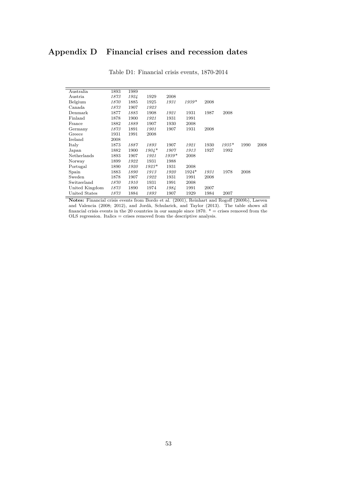## <span id="page-54-0"></span>**Appendix D Financial crises and recession dates**

| Australia      | 1893 | 1989 |         |         |         |      |         |      |      |
|----------------|------|------|---------|---------|---------|------|---------|------|------|
| Austria        | 1873 | 1924 | 1929    | 2008    |         |      |         |      |      |
| Belgium        | 1870 | 1885 | 1925    | 1931    | $1939*$ | 2008 |         |      |      |
| Canada         | 1873 | 1907 | 1923    |         |         |      |         |      |      |
| Denmark        | 1877 | 1885 | 1908    | 1921    | 1931    | 1987 | 2008    |      |      |
| Finland        | 1878 | 1900 | 1921    | 1931    | 1991    |      |         |      |      |
| France         | 1882 | 1889 | 1907    | 1930    | 2008    |      |         |      |      |
| Germany        | 1873 | 1891 | 1901    | 1907    | 1931    | 2008 |         |      |      |
| Greece         | 1931 | 1991 | 2008    |         |         |      |         |      |      |
| Ireland        | 2008 |      |         |         |         |      |         |      |      |
| Italy          | 1873 | 1887 | 1893    | 1907    | 1921    | 1930 | $1935*$ | 1990 | 2008 |
| Japan          | 1882 | 1900 | $1904*$ | 1907    | 1913    | 1927 | 1992    |      |      |
| Netherlands    | 1893 | 1907 | 1921    | $1939*$ | 2008    |      |         |      |      |
| Norway         | 1899 | 1922 | 1931    | 1988    |         |      |         |      |      |
| Portugal       | 1890 | 1920 | $1923*$ | 1931    | 2008    |      |         |      |      |
| Spain          | 1883 | 1890 | 1913    | 1920    | $1924*$ | 1931 | 1978    | 2008 |      |
| Sweden         | 1878 | 1907 | 1922    | 1931    | 1991    | 2008 |         |      |      |
| Switzerland    | 1870 | 1910 | 1931    | 1991    | 2008    |      |         |      |      |
| United Kingdom | 1873 | 1890 | 1974    | 1984    | 1991    | 2007 |         |      |      |
| United States  | 1873 | 1884 | 1893    | 1907    | 1929    | 1984 | 2007    |      |      |

Table D1: Financial crisis events, 1870-2014

**Notes:** Financial crisis events from Bordo et al. (2001), Reinhart and Rogoff (2009b), Laeven and Valencia (2008; 2012), and Jordà, Schularick, and Taylor (2013). The table shows all financial crisis events in the 20 countries in our sample since  $1870. * =$  crises removed from the OLS regression. Italics = crises removed from the descriptive analysis.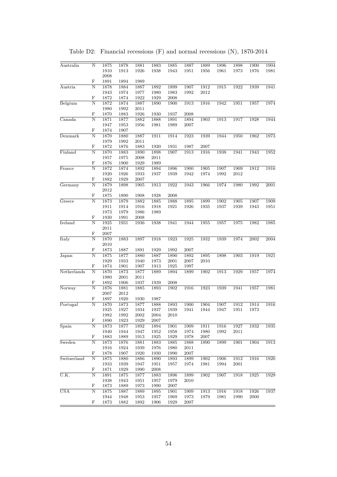| Australia                                                                                                             | N                       | 1875 | 1878                                                                                                                                                                                                                                                                                                                                                                                                                                                                                                                                                                                                                                                                                                                                                                                                                                                                                                                                                                                                                                                                                                                                                                                                                                                                                                                                                                                                                                                                                                                                                                                                                                                                                                                                                                                                                                                                                                                                                                                                                                                                                                                                                                                                                                                                                                                                                                                                                                                                                                                                                                                                                                                                                                                                                                                                     | 1881 | 1883 | 1885 | 1887 | 1889                                                                                                                 | 1896 | 1898 | 1900 | 1904              |
|-----------------------------------------------------------------------------------------------------------------------|-------------------------|------|----------------------------------------------------------------------------------------------------------------------------------------------------------------------------------------------------------------------------------------------------------------------------------------------------------------------------------------------------------------------------------------------------------------------------------------------------------------------------------------------------------------------------------------------------------------------------------------------------------------------------------------------------------------------------------------------------------------------------------------------------------------------------------------------------------------------------------------------------------------------------------------------------------------------------------------------------------------------------------------------------------------------------------------------------------------------------------------------------------------------------------------------------------------------------------------------------------------------------------------------------------------------------------------------------------------------------------------------------------------------------------------------------------------------------------------------------------------------------------------------------------------------------------------------------------------------------------------------------------------------------------------------------------------------------------------------------------------------------------------------------------------------------------------------------------------------------------------------------------------------------------------------------------------------------------------------------------------------------------------------------------------------------------------------------------------------------------------------------------------------------------------------------------------------------------------------------------------------------------------------------------------------------------------------------------------------------------------------------------------------------------------------------------------------------------------------------------------------------------------------------------------------------------------------------------------------------------------------------------------------------------------------------------------------------------------------------------------------------------------------------------------------------------------------------------|------|------|------|------|----------------------------------------------------------------------------------------------------------------------|------|------|------|-------------------|
|                                                                                                                       |                         | 1910 | 1913                                                                                                                                                                                                                                                                                                                                                                                                                                                                                                                                                                                                                                                                                                                                                                                                                                                                                                                                                                                                                                                                                                                                                                                                                                                                                                                                                                                                                                                                                                                                                                                                                                                                                                                                                                                                                                                                                                                                                                                                                                                                                                                                                                                                                                                                                                                                                                                                                                                                                                                                                                                                                                                                                                                                                                                                     | 1926 | 1938 | 1943 | 1951 | 1956                                                                                                                 | 1961 | 1973 | 1976 | 1981              |
|                                                                                                                       |                         |      |                                                                                                                                                                                                                                                                                                                                                                                                                                                                                                                                                                                                                                                                                                                                                                                                                                                                                                                                                                                                                                                                                                                                                                                                                                                                                                                                                                                                                                                                                                                                                                                                                                                                                                                                                                                                                                                                                                                                                                                                                                                                                                                                                                                                                                                                                                                                                                                                                                                                                                                                                                                                                                                                                                                                                                                                          |      |      |      |      |                                                                                                                      |      |      |      |                   |
|                                                                                                                       | F                       |      |                                                                                                                                                                                                                                                                                                                                                                                                                                                                                                                                                                                                                                                                                                                                                                                                                                                                                                                                                                                                                                                                                                                                                                                                                                                                                                                                                                                                                                                                                                                                                                                                                                                                                                                                                                                                                                                                                                                                                                                                                                                                                                                                                                                                                                                                                                                                                                                                                                                                                                                                                                                                                                                                                                                                                                                                          |      |      |      |      |                                                                                                                      |      |      |      |                   |
| Austria                                                                                                               | N                       |      |                                                                                                                                                                                                                                                                                                                                                                                                                                                                                                                                                                                                                                                                                                                                                                                                                                                                                                                                                                                                                                                                                                                                                                                                                                                                                                                                                                                                                                                                                                                                                                                                                                                                                                                                                                                                                                                                                                                                                                                                                                                                                                                                                                                                                                                                                                                                                                                                                                                                                                                                                                                                                                                                                                                                                                                                          |      |      |      |      |                                                                                                                      |      | 1922 | 1939 | 1941              |
|                                                                                                                       |                         |      |                                                                                                                                                                                                                                                                                                                                                                                                                                                                                                                                                                                                                                                                                                                                                                                                                                                                                                                                                                                                                                                                                                                                                                                                                                                                                                                                                                                                                                                                                                                                                                                                                                                                                                                                                                                                                                                                                                                                                                                                                                                                                                                                                                                                                                                                                                                                                                                                                                                                                                                                                                                                                                                                                                                                                                                                          |      |      |      |      |                                                                                                                      |      |      |      |                   |
|                                                                                                                       | F                       |      |                                                                                                                                                                                                                                                                                                                                                                                                                                                                                                                                                                                                                                                                                                                                                                                                                                                                                                                                                                                                                                                                                                                                                                                                                                                                                                                                                                                                                                                                                                                                                                                                                                                                                                                                                                                                                                                                                                                                                                                                                                                                                                                                                                                                                                                                                                                                                                                                                                                                                                                                                                                                                                                                                                                                                                                                          |      |      |      |      |                                                                                                                      |      |      |      |                   |
| Belgium                                                                                                               | $\overline{N}$          |      |                                                                                                                                                                                                                                                                                                                                                                                                                                                                                                                                                                                                                                                                                                                                                                                                                                                                                                                                                                                                                                                                                                                                                                                                                                                                                                                                                                                                                                                                                                                                                                                                                                                                                                                                                                                                                                                                                                                                                                                                                                                                                                                                                                                                                                                                                                                                                                                                                                                                                                                                                                                                                                                                                                                                                                                                          |      |      |      |      |                                                                                                                      |      | 1951 | 1957 | 1974              |
|                                                                                                                       |                         |      |                                                                                                                                                                                                                                                                                                                                                                                                                                                                                                                                                                                                                                                                                                                                                                                                                                                                                                                                                                                                                                                                                                                                                                                                                                                                                                                                                                                                                                                                                                                                                                                                                                                                                                                                                                                                                                                                                                                                                                                                                                                                                                                                                                                                                                                                                                                                                                                                                                                                                                                                                                                                                                                                                                                                                                                                          |      |      |      |      |                                                                                                                      |      |      |      |                   |
|                                                                                                                       | $\mathbf F$             |      |                                                                                                                                                                                                                                                                                                                                                                                                                                                                                                                                                                                                                                                                                                                                                                                                                                                                                                                                                                                                                                                                                                                                                                                                                                                                                                                                                                                                                                                                                                                                                                                                                                                                                                                                                                                                                                                                                                                                                                                                                                                                                                                                                                                                                                                                                                                                                                                                                                                                                                                                                                                                                                                                                                                                                                                                          |      |      |      |      |                                                                                                                      |      |      |      |                   |
| Canada                                                                                                                | $\overline{\mathrm{N}}$ |      |                                                                                                                                                                                                                                                                                                                                                                                                                                                                                                                                                                                                                                                                                                                                                                                                                                                                                                                                                                                                                                                                                                                                                                                                                                                                                                                                                                                                                                                                                                                                                                                                                                                                                                                                                                                                                                                                                                                                                                                                                                                                                                                                                                                                                                                                                                                                                                                                                                                                                                                                                                                                                                                                                                                                                                                                          |      |      |      |      |                                                                                                                      |      | 1917 | 1928 | 1944              |
|                                                                                                                       |                         |      |                                                                                                                                                                                                                                                                                                                                                                                                                                                                                                                                                                                                                                                                                                                                                                                                                                                                                                                                                                                                                                                                                                                                                                                                                                                                                                                                                                                                                                                                                                                                                                                                                                                                                                                                                                                                                                                                                                                                                                                                                                                                                                                                                                                                                                                                                                                                                                                                                                                                                                                                                                                                                                                                                                                                                                                                          |      |      |      |      |                                                                                                                      |      |      |      |                   |
|                                                                                                                       | F                       |      |                                                                                                                                                                                                                                                                                                                                                                                                                                                                                                                                                                                                                                                                                                                                                                                                                                                                                                                                                                                                                                                                                                                                                                                                                                                                                                                                                                                                                                                                                                                                                                                                                                                                                                                                                                                                                                                                                                                                                                                                                                                                                                                                                                                                                                                                                                                                                                                                                                                                                                                                                                                                                                                                                                                                                                                                          |      |      |      |      |                                                                                                                      |      |      |      |                   |
| Denmark                                                                                                               | N                       |      |                                                                                                                                                                                                                                                                                                                                                                                                                                                                                                                                                                                                                                                                                                                                                                                                                                                                                                                                                                                                                                                                                                                                                                                                                                                                                                                                                                                                                                                                                                                                                                                                                                                                                                                                                                                                                                                                                                                                                                                                                                                                                                                                                                                                                                                                                                                                                                                                                                                                                                                                                                                                                                                                                                                                                                                                          |      |      |      |      |                                                                                                                      |      | 1950 | 1962 | 1973              |
|                                                                                                                       |                         |      |                                                                                                                                                                                                                                                                                                                                                                                                                                                                                                                                                                                                                                                                                                                                                                                                                                                                                                                                                                                                                                                                                                                                                                                                                                                                                                                                                                                                                                                                                                                                                                                                                                                                                                                                                                                                                                                                                                                                                                                                                                                                                                                                                                                                                                                                                                                                                                                                                                                                                                                                                                                                                                                                                                                                                                                                          |      |      |      |      |                                                                                                                      |      |      |      |                   |
|                                                                                                                       | F                       |      |                                                                                                                                                                                                                                                                                                                                                                                                                                                                                                                                                                                                                                                                                                                                                                                                                                                                                                                                                                                                                                                                                                                                                                                                                                                                                                                                                                                                                                                                                                                                                                                                                                                                                                                                                                                                                                                                                                                                                                                                                                                                                                                                                                                                                                                                                                                                                                                                                                                                                                                                                                                                                                                                                                                                                                                                          |      |      |      |      |                                                                                                                      |      |      |      |                   |
| Finland                                                                                                               | $\overline{\text{N}}$   |      |                                                                                                                                                                                                                                                                                                                                                                                                                                                                                                                                                                                                                                                                                                                                                                                                                                                                                                                                                                                                                                                                                                                                                                                                                                                                                                                                                                                                                                                                                                                                                                                                                                                                                                                                                                                                                                                                                                                                                                                                                                                                                                                                                                                                                                                                                                                                                                                                                                                                                                                                                                                                                                                                                                                                                                                                          |      |      |      |      |                                                                                                                      |      | 1941 | 1943 | 1952              |
|                                                                                                                       |                         |      |                                                                                                                                                                                                                                                                                                                                                                                                                                                                                                                                                                                                                                                                                                                                                                                                                                                                                                                                                                                                                                                                                                                                                                                                                                                                                                                                                                                                                                                                                                                                                                                                                                                                                                                                                                                                                                                                                                                                                                                                                                                                                                                                                                                                                                                                                                                                                                                                                                                                                                                                                                                                                                                                                                                                                                                                          |      |      |      |      |                                                                                                                      |      |      |      |                   |
|                                                                                                                       | F                       |      |                                                                                                                                                                                                                                                                                                                                                                                                                                                                                                                                                                                                                                                                                                                                                                                                                                                                                                                                                                                                                                                                                                                                                                                                                                                                                                                                                                                                                                                                                                                                                                                                                                                                                                                                                                                                                                                                                                                                                                                                                                                                                                                                                                                                                                                                                                                                                                                                                                                                                                                                                                                                                                                                                                                                                                                                          |      |      |      |      |                                                                                                                      |      |      |      |                   |
| France                                                                                                                | N                       |      |                                                                                                                                                                                                                                                                                                                                                                                                                                                                                                                                                                                                                                                                                                                                                                                                                                                                                                                                                                                                                                                                                                                                                                                                                                                                                                                                                                                                                                                                                                                                                                                                                                                                                                                                                                                                                                                                                                                                                                                                                                                                                                                                                                                                                                                                                                                                                                                                                                                                                                                                                                                                                                                                                                                                                                                                          |      |      |      |      |                                                                                                                      |      | 1909 | 1912 | 1916              |
|                                                                                                                       |                         |      |                                                                                                                                                                                                                                                                                                                                                                                                                                                                                                                                                                                                                                                                                                                                                                                                                                                                                                                                                                                                                                                                                                                                                                                                                                                                                                                                                                                                                                                                                                                                                                                                                                                                                                                                                                                                                                                                                                                                                                                                                                                                                                                                                                                                                                                                                                                                                                                                                                                                                                                                                                                                                                                                                                                                                                                                          |      |      |      |      |                                                                                                                      |      | 2012 |      |                   |
|                                                                                                                       | $\mathbf F$             |      |                                                                                                                                                                                                                                                                                                                                                                                                                                                                                                                                                                                                                                                                                                                                                                                                                                                                                                                                                                                                                                                                                                                                                                                                                                                                                                                                                                                                                                                                                                                                                                                                                                                                                                                                                                                                                                                                                                                                                                                                                                                                                                                                                                                                                                                                                                                                                                                                                                                                                                                                                                                                                                                                                                                                                                                                          |      |      |      |      |                                                                                                                      |      |      |      |                   |
|                                                                                                                       |                         |      |                                                                                                                                                                                                                                                                                                                                                                                                                                                                                                                                                                                                                                                                                                                                                                                                                                                                                                                                                                                                                                                                                                                                                                                                                                                                                                                                                                                                                                                                                                                                                                                                                                                                                                                                                                                                                                                                                                                                                                                                                                                                                                                                                                                                                                                                                                                                                                                                                                                                                                                                                                                                                                                                                                                                                                                                          |      |      |      |      |                                                                                                                      |      | 1980 | 1992 | 2001              |
| $\overline{N}$<br>Germany<br>F<br>N<br>Greece<br>F<br>Ireland<br>N<br>$\mathbf F$<br>$\overline{\rm N}$<br>Italy<br>F |                         |      |                                                                                                                                                                                                                                                                                                                                                                                                                                                                                                                                                                                                                                                                                                                                                                                                                                                                                                                                                                                                                                                                                                                                                                                                                                                                                                                                                                                                                                                                                                                                                                                                                                                                                                                                                                                                                                                                                                                                                                                                                                                                                                                                                                                                                                                                                                                                                                                                                                                                                                                                                                                                                                                                                                                                                                                                          |      |      |      |      |                                                                                                                      |      |      |      |                   |
|                                                                                                                       |                         |      |                                                                                                                                                                                                                                                                                                                                                                                                                                                                                                                                                                                                                                                                                                                                                                                                                                                                                                                                                                                                                                                                                                                                                                                                                                                                                                                                                                                                                                                                                                                                                                                                                                                                                                                                                                                                                                                                                                                                                                                                                                                                                                                                                                                                                                                                                                                                                                                                                                                                                                                                                                                                                                                                                                                                                                                                          |      |      |      |      | 1974<br>1992<br>1974<br>1966<br>1899<br>1902<br>1935<br>1937<br>1955<br>1957<br>1932<br>1939<br>1895<br>1898<br>2010 |      |      |      |                   |
|                                                                                                                       |                         |      |                                                                                                                                                                                                                                                                                                                                                                                                                                                                                                                                                                                                                                                                                                                                                                                                                                                                                                                                                                                                                                                                                                                                                                                                                                                                                                                                                                                                                                                                                                                                                                                                                                                                                                                                                                                                                                                                                                                                                                                                                                                                                                                                                                                                                                                                                                                                                                                                                                                                                                                                                                                                                                                                                                                                                                                                          |      |      |      |      |                                                                                                                      |      | 1905 | 1907 | 1909              |
|                                                                                                                       |                         |      |                                                                                                                                                                                                                                                                                                                                                                                                                                                                                                                                                                                                                                                                                                                                                                                                                                                                                                                                                                                                                                                                                                                                                                                                                                                                                                                                                                                                                                                                                                                                                                                                                                                                                                                                                                                                                                                                                                                                                                                                                                                                                                                                                                                                                                                                                                                                                                                                                                                                                                                                                                                                                                                                                                                                                                                                          |      |      |      |      |                                                                                                                      |      | 1939 | 1943 | 1951              |
|                                                                                                                       |                         |      |                                                                                                                                                                                                                                                                                                                                                                                                                                                                                                                                                                                                                                                                                                                                                                                                                                                                                                                                                                                                                                                                                                                                                                                                                                                                                                                                                                                                                                                                                                                                                                                                                                                                                                                                                                                                                                                                                                                                                                                                                                                                                                                                                                                                                                                                                                                                                                                                                                                                                                                                                                                                                                                                                                                                                                                                          |      |      |      |      |                                                                                                                      |      |      |      |                   |
|                                                                                                                       |                         |      |                                                                                                                                                                                                                                                                                                                                                                                                                                                                                                                                                                                                                                                                                                                                                                                                                                                                                                                                                                                                                                                                                                                                                                                                                                                                                                                                                                                                                                                                                                                                                                                                                                                                                                                                                                                                                                                                                                                                                                                                                                                                                                                                                                                                                                                                                                                                                                                                                                                                                                                                                                                                                                                                                                                                                                                                          |      |      |      |      |                                                                                                                      |      |      |      |                   |
|                                                                                                                       |                         |      |                                                                                                                                                                                                                                                                                                                                                                                                                                                                                                                                                                                                                                                                                                                                                                                                                                                                                                                                                                                                                                                                                                                                                                                                                                                                                                                                                                                                                                                                                                                                                                                                                                                                                                                                                                                                                                                                                                                                                                                                                                                                                                                                                                                                                                                                                                                                                                                                                                                                                                                                                                                                                                                                                                                                                                                                          |      |      |      |      |                                                                                                                      |      | 1975 | 1982 | 1985              |
|                                                                                                                       |                         |      |                                                                                                                                                                                                                                                                                                                                                                                                                                                                                                                                                                                                                                                                                                                                                                                                                                                                                                                                                                                                                                                                                                                                                                                                                                                                                                                                                                                                                                                                                                                                                                                                                                                                                                                                                                                                                                                                                                                                                                                                                                                                                                                                                                                                                                                                                                                                                                                                                                                                                                                                                                                                                                                                                                                                                                                                          |      |      |      |      |                                                                                                                      |      |      |      |                   |
|                                                                                                                       |                         |      |                                                                                                                                                                                                                                                                                                                                                                                                                                                                                                                                                                                                                                                                                                                                                                                                                                                                                                                                                                                                                                                                                                                                                                                                                                                                                                                                                                                                                                                                                                                                                                                                                                                                                                                                                                                                                                                                                                                                                                                                                                                                                                                                                                                                                                                                                                                                                                                                                                                                                                                                                                                                                                                                                                                                                                                                          |      |      |      |      |                                                                                                                      |      |      |      |                   |
|                                                                                                                       |                         |      |                                                                                                                                                                                                                                                                                                                                                                                                                                                                                                                                                                                                                                                                                                                                                                                                                                                                                                                                                                                                                                                                                                                                                                                                                                                                                                                                                                                                                                                                                                                                                                                                                                                                                                                                                                                                                                                                                                                                                                                                                                                                                                                                                                                                                                                                                                                                                                                                                                                                                                                                                                                                                                                                                                                                                                                                          |      |      |      |      |                                                                                                                      |      | 1974 | 2002 | 2004              |
|                                                                                                                       |                         |      |                                                                                                                                                                                                                                                                                                                                                                                                                                                                                                                                                                                                                                                                                                                                                                                                                                                                                                                                                                                                                                                                                                                                                                                                                                                                                                                                                                                                                                                                                                                                                                                                                                                                                                                                                                                                                                                                                                                                                                                                                                                                                                                                                                                                                                                                                                                                                                                                                                                                                                                                                                                                                                                                                                                                                                                                          |      |      |      |      |                                                                                                                      |      |      |      |                   |
|                                                                                                                       |                         |      |                                                                                                                                                                                                                                                                                                                                                                                                                                                                                                                                                                                                                                                                                                                                                                                                                                                                                                                                                                                                                                                                                                                                                                                                                                                                                                                                                                                                                                                                                                                                                                                                                                                                                                                                                                                                                                                                                                                                                                                                                                                                                                                                                                                                                                                                                                                                                                                                                                                                                                                                                                                                                                                                                                                                                                                                          |      |      |      |      |                                                                                                                      |      |      |      |                   |
| Japan                                                                                                                 | $\overline{\text{N}}$   |      |                                                                                                                                                                                                                                                                                                                                                                                                                                                                                                                                                                                                                                                                                                                                                                                                                                                                                                                                                                                                                                                                                                                                                                                                                                                                                                                                                                                                                                                                                                                                                                                                                                                                                                                                                                                                                                                                                                                                                                                                                                                                                                                                                                                                                                                                                                                                                                                                                                                                                                                                                                                                                                                                                                                                                                                                          |      |      |      |      |                                                                                                                      |      | 1903 | 1919 | 1921              |
|                                                                                                                       |                         |      |                                                                                                                                                                                                                                                                                                                                                                                                                                                                                                                                                                                                                                                                                                                                                                                                                                                                                                                                                                                                                                                                                                                                                                                                                                                                                                                                                                                                                                                                                                                                                                                                                                                                                                                                                                                                                                                                                                                                                                                                                                                                                                                                                                                                                                                                                                                                                                                                                                                                                                                                                                                                                                                                                                                                                                                                          |      |      |      |      |                                                                                                                      |      |      |      |                   |
|                                                                                                                       | F                       |      |                                                                                                                                                                                                                                                                                                                                                                                                                                                                                                                                                                                                                                                                                                                                                                                                                                                                                                                                                                                                                                                                                                                                                                                                                                                                                                                                                                                                                                                                                                                                                                                                                                                                                                                                                                                                                                                                                                                                                                                                                                                                                                                                                                                                                                                                                                                                                                                                                                                                                                                                                                                                                                                                                                                                                                                                          |      |      |      |      |                                                                                                                      |      |      |      |                   |
| Netherlands                                                                                                           | N                       |      |                                                                                                                                                                                                                                                                                                                                                                                                                                                                                                                                                                                                                                                                                                                                                                                                                                                                                                                                                                                                                                                                                                                                                                                                                                                                                                                                                                                                                                                                                                                                                                                                                                                                                                                                                                                                                                                                                                                                                                                                                                                                                                                                                                                                                                                                                                                                                                                                                                                                                                                                                                                                                                                                                                                                                                                                          |      |      |      |      |                                                                                                                      |      | 1929 | 1957 | 1974              |
|                                                                                                                       |                         |      |                                                                                                                                                                                                                                                                                                                                                                                                                                                                                                                                                                                                                                                                                                                                                                                                                                                                                                                                                                                                                                                                                                                                                                                                                                                                                                                                                                                                                                                                                                                                                                                                                                                                                                                                                                                                                                                                                                                                                                                                                                                                                                                                                                                                                                                                                                                                                                                                                                                                                                                                                                                                                                                                                                                                                                                                          |      |      |      |      |                                                                                                                      |      |      |      |                   |
|                                                                                                                       | F                       |      |                                                                                                                                                                                                                                                                                                                                                                                                                                                                                                                                                                                                                                                                                                                                                                                                                                                                                                                                                                                                                                                                                                                                                                                                                                                                                                                                                                                                                                                                                                                                                                                                                                                                                                                                                                                                                                                                                                                                                                                                                                                                                                                                                                                                                                                                                                                                                                                                                                                                                                                                                                                                                                                                                                                                                                                                          |      |      |      |      |                                                                                                                      |      |      |      |                   |
| Norway                                                                                                                | N                       |      |                                                                                                                                                                                                                                                                                                                                                                                                                                                                                                                                                                                                                                                                                                                                                                                                                                                                                                                                                                                                                                                                                                                                                                                                                                                                                                                                                                                                                                                                                                                                                                                                                                                                                                                                                                                                                                                                                                                                                                                                                                                                                                                                                                                                                                                                                                                                                                                                                                                                                                                                                                                                                                                                                                                                                                                                          |      |      |      |      |                                                                                                                      |      | 1941 | 1957 | 1981              |
|                                                                                                                       |                         |      | 2008<br>1891<br>1894<br>1989<br>1878<br>1884<br>1887<br>1899<br>1907<br>1912<br>1892<br>1915<br>1943<br>1974<br>1977<br>1980<br>1983<br>1992<br>2012<br>1872<br>1874<br>1922<br>1929<br>2008<br>1872<br>1874<br>1887<br>1890<br>1900<br>1913<br>1916<br>1942<br>1980<br>1992<br>2011<br>1870<br>1883<br>1926<br>1930<br>1937<br>2008<br>1871<br>1882<br>1888<br>1891<br>1894<br>1903<br>1913<br>1877<br>1947<br>1953<br>1956<br>1981<br>1989<br>2007<br>1907<br>1874<br>1870<br>1880<br>1887<br>1911<br>1914<br>1923<br>1939<br>1944<br>1979<br>1992<br>2011<br>1872<br>1876<br>1883<br>1920<br>1931<br>1987<br>2007<br>1870<br>1883<br>1890<br>1898<br>1907<br>1913<br>1916<br>1938<br>1957<br>1975<br>2008<br>2011<br>1876<br>1929<br>1900<br>1989<br>1872<br>1874<br>1892<br>1894<br>1896<br>1900<br>1905<br>1907<br>1920<br>1926<br>1933<br>1937<br>1939<br>1942<br>1882<br>1929<br>2007<br>1879<br>1898<br>$1905\,$<br>1913<br>1922<br>1943<br>2012<br>1875<br>1890<br>1908<br>2008<br>1928<br>1873<br>1879<br>1882<br>1885<br>1895<br>1888<br>1911<br>1914<br>1916<br>1918<br>1921<br>1926<br>1973<br>1979<br>1986<br>1989<br>1930<br>1991<br>2008<br>1925<br>1931<br>1936<br>1938<br>1941<br>1944<br>2011<br>2007<br>1870<br>1883<br>1897<br>1918<br>1923<br>1925<br>2010<br>1873<br>1887<br>1891<br>1929<br>1992<br>2007<br>1875<br>1877<br>1880<br>1887<br>1890<br>1892<br>1929<br>1933<br>1940<br>1973<br>2001<br>2007<br>1874<br>1901<br>1907<br>1913<br>1925<br>1997<br>1877<br>1902<br>1913<br>1870<br>1873<br>1889<br>1894<br>1899<br>1980<br>2001<br>2011<br>1892<br>1906<br>1937<br>1939<br>2008<br>1881<br>1893<br>1923<br>1939<br>1876<br>1885<br>1902<br>1916<br>2012<br>2007<br>1897<br>1920<br>1930<br>1987<br>1870<br>1873<br>1877<br>1888<br>1893<br>1900<br>1904<br>1907<br>1925<br>1934<br>1927<br>1937<br>1939<br>1941<br>1944<br>1947<br>1992<br>2002<br>1982<br>2004<br>2010<br>1890<br>1923<br>1929<br>2007<br>1873<br>1877<br>1892<br>1894<br>1901<br>1909<br>1911<br>1916<br>1940<br>1944<br>1947<br>1952<br>1974<br>1980<br>1992<br>1958<br>1883<br>1889<br>1913<br>1925<br>1929<br>1978<br>2007<br>1899<br>1873<br>1876<br>1881<br>1890<br>1883<br>1885<br>1888<br>1916<br>1924<br>1939<br>1976<br>1980<br>2011<br>1878<br>1907<br>1920<br>1930<br>1990<br>2007<br>1875<br>1906<br>1880<br>1886<br>1890<br>1893<br>1899<br>1902<br>1933<br>1939<br>1947<br>1951<br>1957<br>1974<br>1981<br>1994<br>1871<br>1929<br>1990<br>2008<br>1891<br>1875<br>1877<br>1883<br>1907<br>1896<br>1899<br>1902<br>1938<br>1943<br>1951<br>1957<br>1979<br>2010<br>1873<br>1889<br>1973<br>1990<br>2007<br>1875<br>1889<br>1913<br>1916<br>1887<br>1895<br>1901<br>1909<br>1944<br>1948<br>1953<br>1957<br>1969<br>1973<br>1979<br>1981<br>1873<br>1882<br>1892<br>1906<br>1929<br>2007 |      |      |      |      |                                                                                                                      |      |      |      |                   |
|                                                                                                                       | F                       |      |                                                                                                                                                                                                                                                                                                                                                                                                                                                                                                                                                                                                                                                                                                                                                                                                                                                                                                                                                                                                                                                                                                                                                                                                                                                                                                                                                                                                                                                                                                                                                                                                                                                                                                                                                                                                                                                                                                                                                                                                                                                                                                                                                                                                                                                                                                                                                                                                                                                                                                                                                                                                                                                                                                                                                                                                          |      |      |      |      |                                                                                                                      |      |      |      |                   |
| Portugal                                                                                                              | $\overline{\rm N}$      |      |                                                                                                                                                                                                                                                                                                                                                                                                                                                                                                                                                                                                                                                                                                                                                                                                                                                                                                                                                                                                                                                                                                                                                                                                                                                                                                                                                                                                                                                                                                                                                                                                                                                                                                                                                                                                                                                                                                                                                                                                                                                                                                                                                                                                                                                                                                                                                                                                                                                                                                                                                                                                                                                                                                                                                                                                          |      |      |      |      |                                                                                                                      |      | 1912 | 1914 | 1916              |
|                                                                                                                       |                         |      |                                                                                                                                                                                                                                                                                                                                                                                                                                                                                                                                                                                                                                                                                                                                                                                                                                                                                                                                                                                                                                                                                                                                                                                                                                                                                                                                                                                                                                                                                                                                                                                                                                                                                                                                                                                                                                                                                                                                                                                                                                                                                                                                                                                                                                                                                                                                                                                                                                                                                                                                                                                                                                                                                                                                                                                                          |      |      |      |      |                                                                                                                      |      | 1951 | 1973 |                   |
|                                                                                                                       |                         |      |                                                                                                                                                                                                                                                                                                                                                                                                                                                                                                                                                                                                                                                                                                                                                                                                                                                                                                                                                                                                                                                                                                                                                                                                                                                                                                                                                                                                                                                                                                                                                                                                                                                                                                                                                                                                                                                                                                                                                                                                                                                                                                                                                                                                                                                                                                                                                                                                                                                                                                                                                                                                                                                                                                                                                                                                          |      |      |      |      |                                                                                                                      |      |      |      |                   |
|                                                                                                                       | F                       |      |                                                                                                                                                                                                                                                                                                                                                                                                                                                                                                                                                                                                                                                                                                                                                                                                                                                                                                                                                                                                                                                                                                                                                                                                                                                                                                                                                                                                                                                                                                                                                                                                                                                                                                                                                                                                                                                                                                                                                                                                                                                                                                                                                                                                                                                                                                                                                                                                                                                                                                                                                                                                                                                                                                                                                                                                          |      |      |      |      |                                                                                                                      |      |      |      |                   |
| Spain                                                                                                                 | $\overline{N}$          |      |                                                                                                                                                                                                                                                                                                                                                                                                                                                                                                                                                                                                                                                                                                                                                                                                                                                                                                                                                                                                                                                                                                                                                                                                                                                                                                                                                                                                                                                                                                                                                                                                                                                                                                                                                                                                                                                                                                                                                                                                                                                                                                                                                                                                                                                                                                                                                                                                                                                                                                                                                                                                                                                                                                                                                                                                          |      |      |      |      |                                                                                                                      |      | 1927 | 1932 | 1935              |
|                                                                                                                       |                         |      |                                                                                                                                                                                                                                                                                                                                                                                                                                                                                                                                                                                                                                                                                                                                                                                                                                                                                                                                                                                                                                                                                                                                                                                                                                                                                                                                                                                                                                                                                                                                                                                                                                                                                                                                                                                                                                                                                                                                                                                                                                                                                                                                                                                                                                                                                                                                                                                                                                                                                                                                                                                                                                                                                                                                                                                                          |      |      |      |      |                                                                                                                      |      | 2011 |      |                   |
|                                                                                                                       | F                       |      |                                                                                                                                                                                                                                                                                                                                                                                                                                                                                                                                                                                                                                                                                                                                                                                                                                                                                                                                                                                                                                                                                                                                                                                                                                                                                                                                                                                                                                                                                                                                                                                                                                                                                                                                                                                                                                                                                                                                                                                                                                                                                                                                                                                                                                                                                                                                                                                                                                                                                                                                                                                                                                                                                                                                                                                                          |      |      |      |      |                                                                                                                      |      |      |      |                   |
| Sweden                                                                                                                | N                       |      |                                                                                                                                                                                                                                                                                                                                                                                                                                                                                                                                                                                                                                                                                                                                                                                                                                                                                                                                                                                                                                                                                                                                                                                                                                                                                                                                                                                                                                                                                                                                                                                                                                                                                                                                                                                                                                                                                                                                                                                                                                                                                                                                                                                                                                                                                                                                                                                                                                                                                                                                                                                                                                                                                                                                                                                                          |      |      |      |      |                                                                                                                      |      | 1901 | 1904 | $\overline{1913}$ |
|                                                                                                                       |                         |      |                                                                                                                                                                                                                                                                                                                                                                                                                                                                                                                                                                                                                                                                                                                                                                                                                                                                                                                                                                                                                                                                                                                                                                                                                                                                                                                                                                                                                                                                                                                                                                                                                                                                                                                                                                                                                                                                                                                                                                                                                                                                                                                                                                                                                                                                                                                                                                                                                                                                                                                                                                                                                                                                                                                                                                                                          |      |      |      |      |                                                                                                                      |      |      |      |                   |
|                                                                                                                       | F                       |      |                                                                                                                                                                                                                                                                                                                                                                                                                                                                                                                                                                                                                                                                                                                                                                                                                                                                                                                                                                                                                                                                                                                                                                                                                                                                                                                                                                                                                                                                                                                                                                                                                                                                                                                                                                                                                                                                                                                                                                                                                                                                                                                                                                                                                                                                                                                                                                                                                                                                                                                                                                                                                                                                                                                                                                                                          |      |      |      |      |                                                                                                                      |      |      |      |                   |
| Switzerland                                                                                                           | N                       |      |                                                                                                                                                                                                                                                                                                                                                                                                                                                                                                                                                                                                                                                                                                                                                                                                                                                                                                                                                                                                                                                                                                                                                                                                                                                                                                                                                                                                                                                                                                                                                                                                                                                                                                                                                                                                                                                                                                                                                                                                                                                                                                                                                                                                                                                                                                                                                                                                                                                                                                                                                                                                                                                                                                                                                                                                          |      |      |      |      |                                                                                                                      |      | 1912 | 1916 | 1920              |
|                                                                                                                       |                         |      |                                                                                                                                                                                                                                                                                                                                                                                                                                                                                                                                                                                                                                                                                                                                                                                                                                                                                                                                                                                                                                                                                                                                                                                                                                                                                                                                                                                                                                                                                                                                                                                                                                                                                                                                                                                                                                                                                                                                                                                                                                                                                                                                                                                                                                                                                                                                                                                                                                                                                                                                                                                                                                                                                                                                                                                                          |      |      |      |      |                                                                                                                      |      | 2001 |      |                   |
|                                                                                                                       | F                       |      |                                                                                                                                                                                                                                                                                                                                                                                                                                                                                                                                                                                                                                                                                                                                                                                                                                                                                                                                                                                                                                                                                                                                                                                                                                                                                                                                                                                                                                                                                                                                                                                                                                                                                                                                                                                                                                                                                                                                                                                                                                                                                                                                                                                                                                                                                                                                                                                                                                                                                                                                                                                                                                                                                                                                                                                                          |      |      |      |      |                                                                                                                      |      |      |      |                   |
| U.K.                                                                                                                  | N                       |      |                                                                                                                                                                                                                                                                                                                                                                                                                                                                                                                                                                                                                                                                                                                                                                                                                                                                                                                                                                                                                                                                                                                                                                                                                                                                                                                                                                                                                                                                                                                                                                                                                                                                                                                                                                                                                                                                                                                                                                                                                                                                                                                                                                                                                                                                                                                                                                                                                                                                                                                                                                                                                                                                                                                                                                                                          |      |      |      |      |                                                                                                                      |      | 1918 | 1925 | 1929              |
|                                                                                                                       |                         |      |                                                                                                                                                                                                                                                                                                                                                                                                                                                                                                                                                                                                                                                                                                                                                                                                                                                                                                                                                                                                                                                                                                                                                                                                                                                                                                                                                                                                                                                                                                                                                                                                                                                                                                                                                                                                                                                                                                                                                                                                                                                                                                                                                                                                                                                                                                                                                                                                                                                                                                                                                                                                                                                                                                                                                                                                          |      |      |      |      |                                                                                                                      |      |      |      |                   |
|                                                                                                                       | F                       |      |                                                                                                                                                                                                                                                                                                                                                                                                                                                                                                                                                                                                                                                                                                                                                                                                                                                                                                                                                                                                                                                                                                                                                                                                                                                                                                                                                                                                                                                                                                                                                                                                                                                                                                                                                                                                                                                                                                                                                                                                                                                                                                                                                                                                                                                                                                                                                                                                                                                                                                                                                                                                                                                                                                                                                                                                          |      |      |      |      |                                                                                                                      |      |      |      |                   |
| $\overline{USA}$                                                                                                      | $\overline{\rm N}$      |      |                                                                                                                                                                                                                                                                                                                                                                                                                                                                                                                                                                                                                                                                                                                                                                                                                                                                                                                                                                                                                                                                                                                                                                                                                                                                                                                                                                                                                                                                                                                                                                                                                                                                                                                                                                                                                                                                                                                                                                                                                                                                                                                                                                                                                                                                                                                                                                                                                                                                                                                                                                                                                                                                                                                                                                                                          |      |      |      |      |                                                                                                                      |      | 1918 | 1926 | 1937              |
|                                                                                                                       |                         |      |                                                                                                                                                                                                                                                                                                                                                                                                                                                                                                                                                                                                                                                                                                                                                                                                                                                                                                                                                                                                                                                                                                                                                                                                                                                                                                                                                                                                                                                                                                                                                                                                                                                                                                                                                                                                                                                                                                                                                                                                                                                                                                                                                                                                                                                                                                                                                                                                                                                                                                                                                                                                                                                                                                                                                                                                          |      |      |      |      |                                                                                                                      |      | 1990 | 2000 |                   |
|                                                                                                                       | F                       |      |                                                                                                                                                                                                                                                                                                                                                                                                                                                                                                                                                                                                                                                                                                                                                                                                                                                                                                                                                                                                                                                                                                                                                                                                                                                                                                                                                                                                                                                                                                                                                                                                                                                                                                                                                                                                                                                                                                                                                                                                                                                                                                                                                                                                                                                                                                                                                                                                                                                                                                                                                                                                                                                                                                                                                                                                          |      |      |      |      |                                                                                                                      |      |      |      |                   |
|                                                                                                                       |                         |      |                                                                                                                                                                                                                                                                                                                                                                                                                                                                                                                                                                                                                                                                                                                                                                                                                                                                                                                                                                                                                                                                                                                                                                                                                                                                                                                                                                                                                                                                                                                                                                                                                                                                                                                                                                                                                                                                                                                                                                                                                                                                                                                                                                                                                                                                                                                                                                                                                                                                                                                                                                                                                                                                                                                                                                                                          |      |      |      |      |                                                                                                                      |      |      |      |                   |

<span id="page-55-0"></span>Table D2: Financial recessions (F) and normal recessions (N), 1870-2014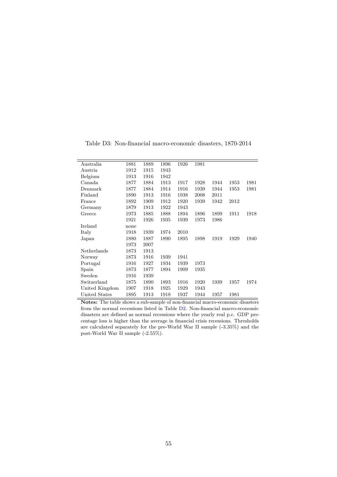Table D3: Non-financial macro-economic disasters, 1870-2014

<span id="page-56-0"></span>

| Australia      | 1881 | 1889 | 1896 | 1926 | 1981 |      |      |      |
|----------------|------|------|------|------|------|------|------|------|
| Austria        | 1912 | 1915 | 1943 |      |      |      |      |      |
| Belgium        | 1913 | 1916 | 1942 |      |      |      |      |      |
| Canada         | 1877 | 1884 | 1913 | 1917 | 1928 | 1944 | 1953 | 1981 |
| Denmark        | 1877 | 1884 | 1914 | 1916 | 1939 | 1944 | 1953 | 1981 |
| Finland        | 1890 | 1913 | 1916 | 1938 | 2008 | 2011 |      |      |
| France         | 1892 | 1909 | 1912 | 1920 | 1939 | 1942 | 2012 |      |
| Germany        | 1879 | 1913 | 1922 | 1943 |      |      |      |      |
| Greece         | 1973 | 1885 | 1888 | 1894 | 1896 | 1899 | 1911 | 1918 |
|                | 1921 | 1926 | 1935 | 1939 | 1973 | 1986 |      |      |
| Ireland        | none |      |      |      |      |      |      |      |
| Italy          | 1918 | 1939 | 1974 | 2010 |      |      |      |      |
| Japan          | 1880 | 1887 | 1890 | 1895 | 1898 | 1919 | 1929 | 1940 |
|                | 1973 | 2007 |      |      |      |      |      |      |
| Netherlands    | 1873 | 1913 |      |      |      |      |      |      |
| Norway         | 1873 | 1916 | 1939 | 1941 |      |      |      |      |
| Portugal       | 1916 | 1927 | 1934 | 1939 | 1973 |      |      |      |
| Spain          | 1873 | 1877 | 1894 | 1909 | 1935 |      |      |      |
| Sweden         | 1916 | 1939 |      |      |      |      |      |      |
| Switzerland    | 1875 | 1890 | 1893 | 1916 | 1920 | 1939 | 1957 | 1974 |
| United Kingdom | 1907 | 1918 | 1925 | 1929 | 1943 |      |      |      |
| United States  | 1895 | 1913 | 1918 | 1937 | 1944 | 1957 | 1981 |      |

**Notes:** The table shows a sub-sample of non-financial macro-economic disasters from the normal recessions listed in Table [D2.](#page-55-0) Non-financial macro-economic disasters are defined as normal recessions where the yearly real p.c. GDP precentage loss is higher than the average in financial crisis recessions. Thresholds are calculated separately for the pre-World War II sample (-3.35%) and the post-World War II sample (-2.55%).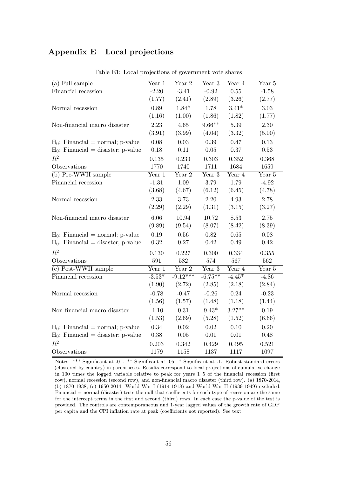## **Appendix E Local projections**

<span id="page-57-0"></span>

| $(a)$ Full sample                     | Year 1   | Year $2$   | Year <sub>3</sub> | Year 4   | Year 5  |
|---------------------------------------|----------|------------|-------------------|----------|---------|
| Financial recession                   | $-2.20$  | $-3.41$    | $-0.92$           | 0.55     | $-1.58$ |
|                                       | (1.77)   | (2.41)     | (2.89)            | (3.26)   | (2.77)  |
| Normal recession                      | 0.89     | $1.84*$    | 1.78              | $3.41*$  | 3.03    |
|                                       | (1.16)   | (1.00)     | (1.86)            | (1.82)   | (1.77)  |
| Non-financial macro disaster          | 2.23     | 4.65       | $9.66**$          | 5.39     | 2.30    |
|                                       | (3.91)   | (3.99)     | (4.04)            | (3.32)   | (5.00)  |
| $H_0$ : Financial = normal; p-value   | 0.08     | 0.03       | 0.39              | 0.47     | 0.13    |
| $H_0$ : Financial = disaster; p-value | 0.18     | 0.11       | 0.05              | 0.37     | 0.53    |
| $R^2$                                 | 0.135    | 0.233      | 0.303             | 0.352    | 0.368   |
| Observations                          | 1770     | 1740       | 1711              | 1684     | 1659    |
| (b) Pre-WWII sample                   | Year 1   | Year 2     | Year 3            | Year 4   | Year 5  |
| Financial recession                   | $-1.31$  | 1.09       | 3.79              | 1.79     | $-4.92$ |
|                                       | (3.68)   | (4.67)     | (6.12)            | (6.45)   | (4.78)  |
| Normal recession                      | 2.33     | 3.73       | 2.20              | 4.93     | 2.78    |
|                                       | (2.29)   | (2.29)     | (3.31)            | (3.15)   | (3.27)  |
| Non-financial macro disaster          | 6.06     | 10.94      | 10.72             | 8.53     | 2.75    |
|                                       | (9.89)   | (9.54)     | (8.07)            | (8.42)   | (8.39)  |
| $H_0$ : Financial = normal; p-value   | 0.19     | 0.56       | 0.82              | 0.65     | 0.08    |
| $H_0$ : Financial = disaster; p-value | 0.32     | 0.27       | 0.42              | 0.49     | 0.42    |
| $R^2$                                 | 0.130    | 0.227      | 0.300             | 0.334    | 0.355   |
| Observations                          | 591      | 582        | 574               | 567      | 562     |
| $(c)$ Post-WWII sample                | Year 1   | Year 2     | Year 3            | Year 4   | Year 5  |
| Financial recession                   | $-3.53*$ | $-9.12***$ | $-6.75***$        | $-4.45*$ | $-4.86$ |
|                                       | (1.90)   | (2.72)     | (2.85)            | (2.18)   | (2.84)  |
| Normal recession                      | $-0.78$  | $-0.47$    | $-0.26$           | 0.24     | $-0.23$ |
|                                       | (1.56)   | (1.57)     | (1.48)            | (1.18)   | (1.44)  |
| Non-financial macro disaster          | $-1.10$  | 0.31       | $9.43^{\ast}$     | $3.27**$ | 0.19    |
|                                       | (1.53)   | (2.69)     | (5.28)            | (1.52)   | (6.66)  |
| $H_0$ : Financial = normal; p-value   | 0.34     | 0.02       | 0.02              | 0.10     | 0.20    |
| $H_0$ : Financial = disaster; p-value | $0.38\,$ | $0.05\,$   | 0.01              | $0.01\,$ | 0.48    |
| $R^2$                                 | 0.203    | 0.342      | 0.429             | 0.495    | 0.521   |
| Observations                          | 1179     | 1158       | 1137              | 1117     | 1097    |

Table E1: Local projections of government vote shares

Notes: \*\*\* Significant at .01. \*\* Significant at .05. \* Significant at .1. Robust standard errors (clustered by country) in parentheses. Results correspond to local projections of cumulative change in 100 times the logged variable relative to peak for years 1–5 of the financial recession (first row), normal recession (second row), and non-financial macro disaster (third row). (a) 1870-2014, (b) 1870-1938, (c) 1950-2014. World War I (1914-1918) and World War II (1939-1949) excluded. Financial = normal (disaster) tests the null that coefficients for each type of recession are the same for the intercept terms in the first and second (third) rows. In each case the p-value of the test is provided. The controls are contemporaneous and 1-year lagged values of the growth rate of GDP per capita and the CPI inflation rate at peak (coefficients not reported). See text.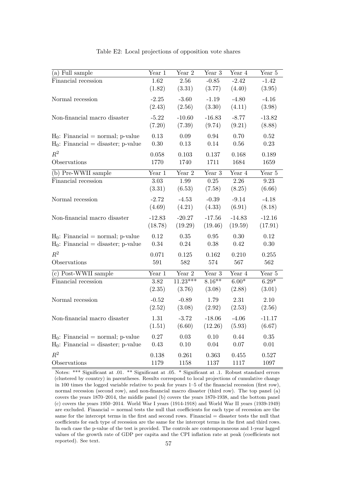| (a) Full sample                       | Year 1            | Year $2$               | Year 3             | Year 4            | Year 5             |
|---------------------------------------|-------------------|------------------------|--------------------|-------------------|--------------------|
| Financial recession                   | 1.62              | 2.56                   | $-0.85$            | $-2.42$           | $-1.42$<br>(3.95)  |
|                                       | (1.82)            | (3.31)                 | (3.77)             | (4.40)            |                    |
| Normal recession                      | $-2.25$           | $-3.60$                | $-1.19$            | $-4.80$           | $-4.16$            |
|                                       | (2.43)            | (2.56)                 | (3.30)             | (4.11)            | (3.98)             |
| Non-financial macro disaster          | $-5.22$<br>(7.20) | $-10.60$<br>(7.39)     | $-16.83$<br>(9.74) | $-8.77$<br>(9.21) | $-13.82$<br>(8.88) |
| $H_0$ : Financial = normal; p-value   | 0.13              | 0.09                   | 0.94               | 0.70              | 0.52               |
| $H_0$ : Financial = disaster; p-value | 0.30              | 0.13                   | 0.14               | 0.56              | 0.23               |
| $R^2$                                 | 0.058             | 0.103                  | 0.137              | 0.168             | 0.189              |
| Observations                          | 1770              | 1740                   | 1711               | 1684              | 1659               |
| (b) Pre-WWII sample                   | Year 1            | $\sqrt{\text{ear } 2}$ | Year 3             | Year 4            | Year 5             |
| Financial recession                   | 3.03              | 1.99                   | $0.25\,$           | 2.26              | $9.23\,$           |
|                                       | (3.31)            | (6.53)                 | (7.58)             | (8.25)            | (6.66)             |
| Normal recession                      | $-2.72$           | $-4.53$                | $-0.39$            | $-9.14$           | $-4.18$            |
|                                       | (4.69)            | (4.21)                 | (4.33)             | (6.91)            | (8.18)             |
| Non-financial macro disaster          | $-12.83$          | $-20.27$               | $-17.56$           | $-14.83$          | $-12.16$           |
|                                       | (18.78)           | (19.29)                | (19.46)            | (19.59)           | (17.91)            |
| $H_0$ : Financial = normal; p-value   | 0.12              | 0.35                   | 0.95               | 0.30              | 0.12               |
| $H_0$ : Financial = disaster; p-value | 0.34              | 0.24                   | 0.38               | 0.42              | 0.30               |
| $R^2$                                 | 0.071             | 0.125                  | 0.162              | 0.210             | 0.255              |
| Observations                          | 591               | 582                    | 574                | 567               | 562                |
| (c) Post-WWII sample                  | Year 1            | Year 2                 | Year $3$           | Year 4            | Year 5             |
| Financial recession                   | 3.82              | $11.23***$             | $8.16**$           | $6.00*$           | $6.29*$            |
|                                       | (2.35)            | (3.76)                 | (3.08)             | (2.88)            | (3.01)             |
| Normal recession                      | $-0.52$           | $-0.89$                | 1.79               | 2.31              | 2.10               |
|                                       | (2.52)            | (3.08)                 | (2.92)             | (2.53)            | (2.56)             |
| Non-financial macro disaster          | 1.31              | $-3.72$                | $-18.06$           | $-4.06$           | $-11.17$           |
|                                       | (1.51)            | (6.60)                 | (12.26)            | (5.93)            | (6.67)             |
| $H_0$ : Financial = normal; p-value   | 0.27<br>0.43      | 0.03                   | 0.10<br>0.04       | 0.44<br>0.07      | 0.35               |
| $H_0$ : Financial = disaster; p-value |                   | 0.10                   |                    |                   | $0.01\,$           |
| $R^2$                                 | 0.138             | 0.261                  | 0.363              | 0.455             | 0.527              |
| Observations                          | 1179              | 1158                   | 1137               | 1117              | 1097               |

Table E2: Local projections of opposition vote shares

Notes: \*\*\* Significant at .01. \*\* Significant at .05. \* Significant at .1. Robust standard errors (clustered by country) in parentheses. Results correspond to local projections of cumulative change in 100 times the logged variable relative to peak for years 1–5 of the financial recession (first row), normal recession (second row), and non-financial macro disaster (third row). The top panel (a) covers the years 1870–2014, the middle panel (b) covers the years 1870-1938, and the bottom panel (c) covers the years 1950–2014. World War I years (1914-1918) and World War II years (1939-1949) are excluded. Financial = normal tests the null that coefficients for each type of recession are the same for the intercept terms in the first and second rows. Financial = disaster tests the null that coefficients for each type of recession are the same for the intercept terms in the first and third rows. In each case the p-value of the test is provided. The controls are contemporaneous and 1-year lagged values of the growth rate of GDP per capita and the CPI inflation rate at peak (coefficients not reported). See text.  $57$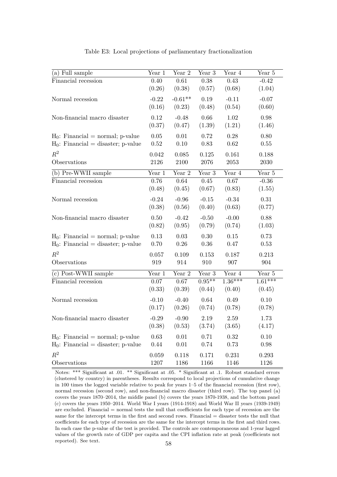| (a) Full sample                       | Year 1              | Year $\sqrt{2}$ | Year 3   | Year 4    | Year $5\,$ |
|---------------------------------------|---------------------|-----------------|----------|-----------|------------|
| Financial recession                   | 0.40                | 0.61            | 0.38     | 0.43      | $-0.42$    |
|                                       | (0.26)              | (0.38)          | (0.57)   | (0.68)    | (1.04)     |
| Normal recession                      | $-0.22$             | $-0.61**$       | 0.19     | $-0.11$   | $-0.07$    |
|                                       | (0.16)              | (0.23)          | (0.48)   | (0.54)    | (0.60)     |
| Non-financial macro disaster          | 0.12                | $-0.48$         | 0.66     | 1.02      | 0.98       |
|                                       | (0.37)              | (0.47)          | (1.39)   | (1.21)    | (1.46)     |
| $H_0$ : Financial = normal; p-value   | 0.05                | 0.01            | 0.72     | 0.28      | 0.80       |
| $H_0$ : Financial = disaster; p-value | 0.52                | 0.10            | 0.83     | 0.62      | 0.55       |
| $R^2$                                 | 0.042               | 0.085           | 0.125    | 0.161     | 0.188      |
| Observations                          | 2126                | 2100            | 2076     | 2053      | 2030       |
| (b) Pre-WWII sample                   | Year 1              | Year 2          | Year 3   | Year 4    | Year 5     |
| Financial recession                   | 0.76                | 0.64            | 0.45     | 0.67      | $-0.36$    |
|                                       | (0.48)              | (0.45)          | (0.67)   | (0.83)    | (1.55)     |
| Normal recession                      | $-0.24$             | $-0.96$         | $-0.15$  | $-0.34$   | 0.31       |
|                                       | (0.38)              | (0.56)          | (0.40)   | (0.63)    | (0.77)     |
| Non-financial macro disaster          | 0.50                | $-0.42$         | $-0.50$  | $-0.00$   | 0.88       |
|                                       | (0.82)              | (0.95)          | (0.79)   | (0.74)    | (1.03)     |
| $H_0$ : Financial = normal; p-value   | 0.13                | 0.03            | 0.30     | 0.15      | 0.73       |
| $H_0$ : Financial = disaster; p-value | 0.70                | $0.26\,$        | 0.36     | 0.47      | 0.53       |
| $R^2$                                 | $0.057\,$           | 0.109           | 0.153    | 0.187     | 0.213      |
| Observations                          | 919                 | 914             | 910      | 907       | 904        |
| (c) Post-WWII sample                  | Year $\overline{1}$ | Year $2$        | Year 3   | Year 4    | Year 5     |
| Financial recession                   | 0.07                | 0.67            | $0.95**$ | $1.36***$ | $1.61***$  |
|                                       | (0.33)              | (0.39)          | (0.44)   | (0.40)    | (0.45)     |
| Normal recession                      | $-0.10$             | $-0.40$         | 0.64     | 0.49      | 0.10       |
|                                       | (0.17)              | (0.26)          | (0.74)   | (0.78)    | (0.78)     |
| Non-financial macro disaster          | $-0.29$             | $-0.90$         | $2.19\,$ | 2.59      | 1.73       |
|                                       | (0.38)              | (0.53)          | (3.74)   | (3.65)    | (4.17)     |
| $H_0$ : Financial = normal; p-value   | 0.63                | 0.01            | 0.71     | 0.32      | 0.10       |
| $H_0$ : Financial = disaster; p-value | 0.44                | 0.01            | 0.74     | 0.73      | 0.98       |
| $R^2$                                 | 0.059               | 0.118           | 0.171    | 0.231     | 0.293      |
| Observations                          | 1207                | 1186            | 1166     | 1146      | 1126       |

Table E3: Local projections of parliamentary fractionalization

Notes: \*\*\* Significant at .01. \*\* Significant at .05. \* Significant at .1. Robust standard errors (clustered by country) in parentheses. Results correspond to local projections of cumulative change in 100 times the logged variable relative to peak for years 1–5 of the financial recession (first row), normal recession (second row), and non-financial macro disaster (third row). The top panel (a) covers the years 1870–2014, the middle panel (b) covers the years 1870-1938, and the bottom panel (c) covers the years 1950–2014. World War I years (1914-1918) and World War II years (1939-1949) are excluded. Financial = normal tests the null that coefficients for each type of recession are the same for the intercept terms in the first and second rows. Financial = disaster tests the null that coefficients for each type of recession are the same for the intercept terms in the first and third rows. In each case the p-value of the test is provided. The controls are contemporaneous and 1-year lagged values of the growth rate of GDP per capita and the CPI inflation rate at peak (coefficients not reported). See text. 58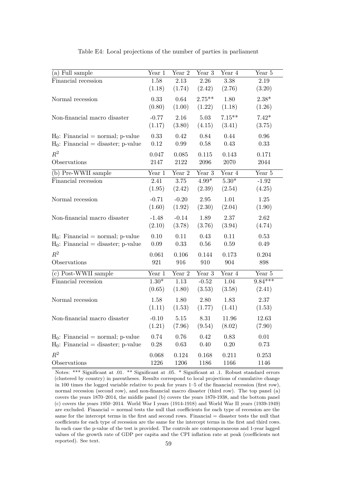<span id="page-60-0"></span>

| (a) Full sample                       | Year 1  | Year 2   | Year 3        | Year 4   | Year 5    |
|---------------------------------------|---------|----------|---------------|----------|-----------|
| Financial recession                   | 1.58    | 2.13     | 2.26          | 3.38     | 2.19      |
|                                       | (1.18)  | (1.74)   | (2.42)        | (2.76)   | (3.20)    |
| Normal recession                      | 0.33    | 0.64     | $2.75***$     | 1.80     | $2.38*$   |
|                                       | (0.80)  | (1.00)   | (1.22)        | (1.18)   | (1.26)    |
| Non-financial macro disaster          | $-0.77$ | 2.16     | 5.03          | $7.15**$ | $7.42*$   |
|                                       | (1.17)  | (3.80)   | (4.15)        | (3.41)   | (3.75)    |
| $H_0$ : Financial = normal; p-value   | 0.33    | 0.42     | 0.84          | 0.44     | 0.96      |
| $H_0$ : Financial = disaster; p-value | 0.12    | 0.99     | 0.58          | 0.43     | 0.33      |
| $R^2$                                 | 0.047   | 0.085    | 0.115         | 0.143    | 0.171     |
| Observations                          | 2147    | 2122     | 2096          | 2070     | 2044      |
| (b) Pre-WWII sample                   | Year 1  | Year 2   | Year 3        | Year 4   | Year 5    |
| Financial recession                   | 2.41    | $3.75\,$ | $4.99^{\ast}$ | $5.30*$  | $-1.92$   |
|                                       | (1.95)  | (2.42)   | (2.39)        | (2.54)   | (4.25)    |
| Normal recession                      | $-0.71$ | $-0.20$  | 2.95          | 1.01     | 1.25      |
|                                       | (1.60)  | (1.92)   | (2.30)        | (2.04)   | (1.90)    |
| Non-financial macro disaster          | $-1.48$ | $-0.14$  | 1.89          | 2.37     | 2.62      |
|                                       | (2.10)  | (3.78)   | (3.76)        | (3.94)   | (4.74)    |
| $H_0$ : Financial = normal; p-value   | 0.10    | 0.11     | 0.43          | 0.11     | 0.53      |
| $H_0$ : Financial = disaster; p-value | 0.09    | 0.33     | 0.56          | 0.59     | 0.49      |
| $R^2$                                 | 0.061   | 0.106    | 0.144         | 0.173    | 0.204     |
| Observations                          | 921     | 916      | 910           | 904      | 898       |
| (c) Post-WWII sample                  | Year 1  | Year $2$ | Year 3        | Year 4   | Year 5    |
| Financial recession                   | $1.30*$ | 1.13     | $-0.52$       | 1.04     | $9.84***$ |
|                                       | (0.65)  | (1.80)   | (3.53)        | (3.58)   | (2.41)    |
| Normal recession                      | 1.58    | 1.80     | 2.80          | 1.83     | 2.37      |
|                                       | (1.11)  | (1.53)   | (1.77)        | (1.41)   | (1.53)    |
| Non-financial macro disaster          | $-0.10$ | 5.15     | 8.31          | 11.96    | 12.63     |
|                                       | (1.21)  | (7.96)   | (9.54)        | (8.02)   | (7.90)    |
| $H_0$ : Financial = normal; p-value   | 0.74    | 0.76     | 0.42          | 0.83     | 0.01      |
| $H_0$ : Financial = disaster; p-value | 0.28    | 0.63     | 0.40          | 0.20     | 0.73      |
| $R^2$                                 | 0.068   | 0.124    | 0.168         | 0.211    | 0.253     |
| Observations                          | 1226    | 1206     | 1186          | 1166     | 1146      |

Table E4: Local projections of the number of parties in parliament

Notes: \*\*\* Significant at .01. \*\* Significant at .05. \* Significant at .1. Robust standard errors (clustered by country) in parentheses. Results correspond to local projections of cumulative change in 100 times the logged variable relative to peak for years 1–5 of the financial recession (first row), normal recession (second row), and non-financial macro disaster (third row). The top panel (a) covers the years 1870–2014, the middle panel (b) covers the years 1870-1938, and the bottom panel (c) covers the years 1950–2014. World War I years (1914-1918) and World War II years (1939-1949) are excluded. Financial = normal tests the null that coefficients for each type of recession are the same for the intercept terms in the first and second rows. Financial = disaster tests the null that coefficients for each type of recession are the same for the intercept terms in the first and third rows. In each case the p-value of the test is provided. The controls are contemporaneous and 1-year lagged values of the growth rate of GDP per capita and the CPI inflation rate at peak (coefficients not reported). See text. 59